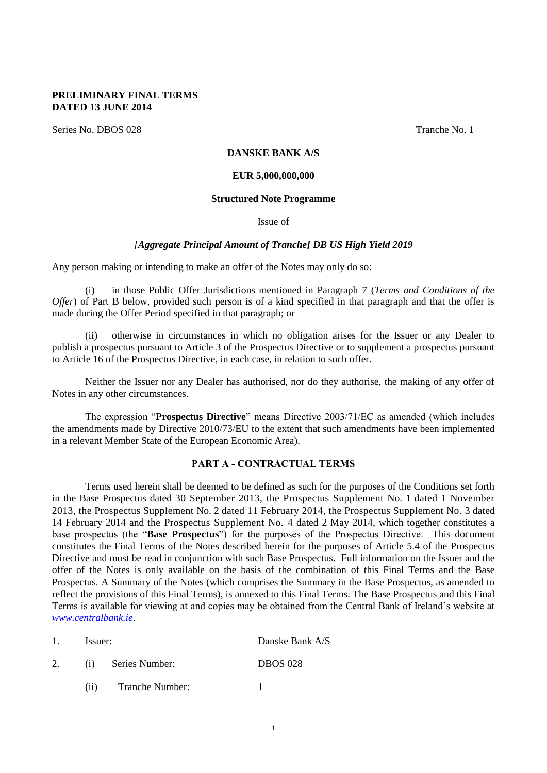#### **PRELIMINARY FINAL TERMS DATED 13 JUNE 2014**

Series No. DBOS 028 Tranche No. 1

#### **DANSKE BANK A/S**

#### **EUR 5,000,000,000**

#### **Structured Note Programme**

Issue of

#### *[Aggregate Principal Amount of Tranche] DB US High Yield 2019*

Any person making or intending to make an offer of the Notes may only do so:

(i) in those Public Offer Jurisdictions mentioned in Paragraph [7](#page-11-0) (*[Terms and Conditions of the](#page-11-0)  [Offer](#page-11-0)*) of Part B below, provided such person is of a kind specified in that paragraph and that the offer is made during the Offer Period specified in that paragraph; or

(ii) otherwise in circumstances in which no obligation arises for the Issuer or any Dealer to publish a prospectus pursuant to Article 3 of the Prospectus Directive or to supplement a prospectus pursuant to Article 16 of the Prospectus Directive, in each case, in relation to such offer.

Neither the Issuer nor any Dealer has authorised, nor do they authorise, the making of any offer of Notes in any other circumstances.

The expression "**Prospectus Directive**" means Directive 2003/71/EC as amended (which includes the amendments made by Directive 2010/73/EU to the extent that such amendments have been implemented in a relevant Member State of the European Economic Area).

#### **PART A - CONTRACTUAL TERMS**

Terms used herein shall be deemed to be defined as such for the purposes of the Conditions set forth in the Base Prospectus dated 30 September 2013, the Prospectus Supplement No. 1 dated 1 November 2013, the Prospectus Supplement No. 2 dated 11 February 2014, the Prospectus Supplement No. 3 dated 14 February 2014 and the Prospectus Supplement No. 4 dated 2 May 2014, which together constitutes a base prospectus (the "**Base Prospectus**") for the purposes of the Prospectus Directive. This document constitutes the Final Terms of the Notes described herein for the purposes of Article 5.4 of the Prospectus Directive and must be read in conjunction with such Base Prospectus. Full information on the Issuer and the offer of the Notes is only available on the basis of the combination of this Final Terms and the Base Prospectus. A Summary of the Notes (which comprises the Summary in the Base Prospectus, as amended to reflect the provisions of this Final Terms), is annexed to this Final Terms. The Base Prospectus and this Final Terms is available for viewing at and copies may be obtained from the Central Bank of Ireland's website at *[www.centralbank.ie](http://www.centralbank.ie/)*.

| Issuer: |                        | Danske Bank A/S |  |
|---------|------------------------|-----------------|--|
| (i)     | Series Number:         | <b>DBOS 028</b> |  |
| (11)    | <b>Tranche Number:</b> |                 |  |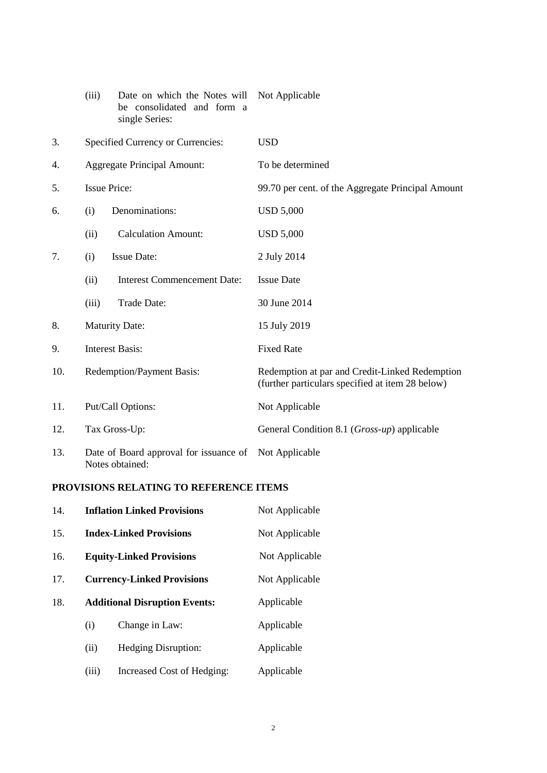|     | (iii)                                                     | Date on which the Notes will<br>be consolidated and form a<br>single Series: | Not Applicable                                                                                     |
|-----|-----------------------------------------------------------|------------------------------------------------------------------------------|----------------------------------------------------------------------------------------------------|
| 3.  |                                                           | Specified Currency or Currencies:                                            | <b>USD</b>                                                                                         |
| 4.  |                                                           | <b>Aggregate Principal Amount:</b>                                           | To be determined                                                                                   |
| 5.  |                                                           | <b>Issue Price:</b>                                                          | 99.70 per cent. of the Aggregate Principal Amount                                                  |
| 6.  | (i)                                                       | Denominations:                                                               | <b>USD 5,000</b>                                                                                   |
|     | (ii)                                                      | <b>Calculation Amount:</b>                                                   | <b>USD 5,000</b>                                                                                   |
| 7.  | (i)                                                       | <b>Issue Date:</b>                                                           | 2 July 2014                                                                                        |
|     | (ii)                                                      | <b>Interest Commencement Date:</b>                                           | <b>Issue Date</b>                                                                                  |
|     | (iii)                                                     | Trade Date:                                                                  | 30 June 2014                                                                                       |
| 8.  | <b>Maturity Date:</b>                                     |                                                                              | 15 July 2019                                                                                       |
| 9.  | <b>Interest Basis:</b>                                    |                                                                              | <b>Fixed Rate</b>                                                                                  |
| 10. | <b>Redemption/Payment Basis:</b>                          |                                                                              | Redemption at par and Credit-Linked Redemption<br>(further particulars specified at item 28 below) |
| 11. | Put/Call Options:                                         |                                                                              | Not Applicable                                                                                     |
| 12. | Tax Gross-Up:                                             |                                                                              | General Condition 8.1 (Gross-up) applicable                                                        |
| 13. | Date of Board approval for issuance of<br>Notes obtained: |                                                                              | Not Applicable                                                                                     |

## **PROVISIONS RELATING TO REFERENCE ITEMS**

| 14. | <b>Inflation Linked Provisions</b>   |                            | Not Applicable |
|-----|--------------------------------------|----------------------------|----------------|
| 15. | <b>Index-Linked Provisions</b>       |                            | Not Applicable |
| 16. | <b>Equity-Linked Provisions</b>      |                            | Not Applicable |
| 17. | <b>Currency-Linked Provisions</b>    |                            | Not Applicable |
| 18. | <b>Additional Disruption Events:</b> |                            | Applicable     |
|     | (i)                                  | Change in Law:             | Applicable     |
|     | (ii)                                 | <b>Hedging Disruption:</b> | Applicable     |
|     | (iii)                                | Increased Cost of Hedging: | Applicable     |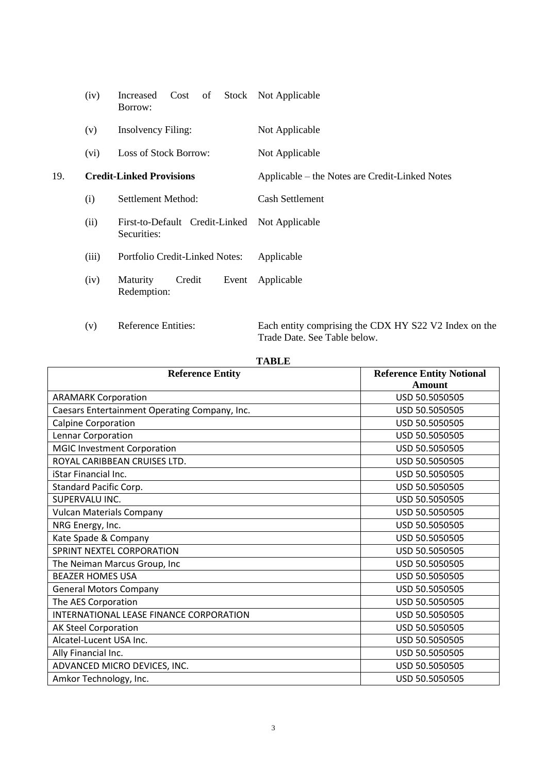|     | (iv)                | Cost of<br>Increased<br>Borrow:                          | Stock Not Applicable                                                                                                                         |
|-----|---------------------|----------------------------------------------------------|----------------------------------------------------------------------------------------------------------------------------------------------|
|     | (v)                 | <b>Insolvency Filing:</b>                                | Not Applicable                                                                                                                               |
|     | (vi)                | Loss of Stock Borrow:                                    | Not Applicable                                                                                                                               |
| 19. |                     | <b>Credit-Linked Provisions</b>                          | Applicable – the Notes are Credit-Linked Notes                                                                                               |
|     | (i)                 | Settlement Method:                                       | <b>Cash Settlement</b>                                                                                                                       |
|     | (ii)                | First-to-Default Credit-Linked<br>Securities:            | Not Applicable                                                                                                                               |
|     | (iii)               | Portfolio Credit-Linked Notes:                           | Applicable                                                                                                                                   |
|     | (iv)                | Maturity<br>Credit<br>Event<br>Redemption:               | Applicable                                                                                                                                   |
|     | $\left( -1 \right)$ | $\mathbf{D}$ of the set of $\mathbf{D}$ and $\mathbf{D}$ | $\mathbf{\mathbf{\mathbf{\mathbf{D}}}$ and $\mathbf{\mathbf{L}}$ are an approximately defined by the set of the set of $\mathbf{\mathbf{L}}$ |

(v) Reference Entities: Each entity comprising the CDX HY S22 V2 Index on the Trade Date. See Table below.

| ı.<br>I |
|---------|
|---------|

| <b>Reference Entity</b>                       | <b>Reference Entity Notional</b> |
|-----------------------------------------------|----------------------------------|
|                                               | <b>Amount</b>                    |
| <b>ARAMARK Corporation</b>                    | USD 50.5050505                   |
| Caesars Entertainment Operating Company, Inc. | USD 50.5050505                   |
| <b>Calpine Corporation</b>                    | USD 50.5050505                   |
| Lennar Corporation                            | USD 50.5050505                   |
| <b>MGIC Investment Corporation</b>            | USD 50.5050505                   |
| ROYAL CARIBBEAN CRUISES LTD.                  | USD 50.5050505                   |
| iStar Financial Inc.                          | USD 50.5050505                   |
| Standard Pacific Corp.                        | USD 50.5050505                   |
| SUPERVALU INC.                                | USD 50.5050505                   |
| <b>Vulcan Materials Company</b>               | USD 50.5050505                   |
| NRG Energy, Inc.                              | USD 50.5050505                   |
| Kate Spade & Company                          | USD 50.5050505                   |
| SPRINT NEXTEL CORPORATION                     | USD 50.5050505                   |
| The Neiman Marcus Group, Inc                  | USD 50.5050505                   |
| <b>BEAZER HOMES USA</b>                       | USD 50.5050505                   |
| <b>General Motors Company</b>                 | USD 50.5050505                   |
| The AES Corporation                           | USD 50.5050505                   |
| INTERNATIONAL LEASE FINANCE CORPORATION       | USD 50.5050505                   |
| <b>AK Steel Corporation</b>                   | USD 50.5050505                   |
| Alcatel-Lucent USA Inc.                       | USD 50.5050505                   |
| Ally Financial Inc.                           | USD 50.5050505                   |
| ADVANCED MICRO DEVICES, INC.                  | USD 50.5050505                   |
| Amkor Technology, Inc.                        | USD 50.5050505                   |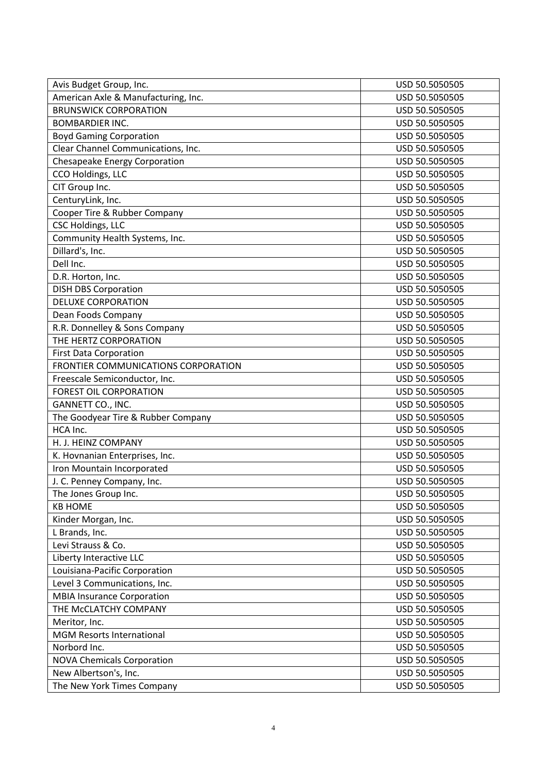| Avis Budget Group, Inc.             | USD 50.5050505 |
|-------------------------------------|----------------|
| American Axle & Manufacturing, Inc. | USD 50.5050505 |
| <b>BRUNSWICK CORPORATION</b>        | USD 50.5050505 |
| <b>BOMBARDIER INC.</b>              | USD 50.5050505 |
| <b>Boyd Gaming Corporation</b>      | USD 50.5050505 |
| Clear Channel Communications, Inc.  | USD 50.5050505 |
| Chesapeake Energy Corporation       | USD 50.5050505 |
| CCO Holdings, LLC                   | USD 50.5050505 |
| CIT Group Inc.                      | USD 50.5050505 |
| CenturyLink, Inc.                   | USD 50.5050505 |
| Cooper Tire & Rubber Company        | USD 50.5050505 |
| <b>CSC Holdings, LLC</b>            | USD 50.5050505 |
| Community Health Systems, Inc.      | USD 50.5050505 |
| Dillard's, Inc.                     | USD 50.5050505 |
| Dell Inc.                           | USD 50.5050505 |
| D.R. Horton, Inc.                   | USD 50.5050505 |
| <b>DISH DBS Corporation</b>         | USD 50.5050505 |
| <b>DELUXE CORPORATION</b>           | USD 50.5050505 |
| Dean Foods Company                  | USD 50.5050505 |
| R.R. Donnelley & Sons Company       | USD 50.5050505 |
| THE HERTZ CORPORATION               | USD 50.5050505 |
| <b>First Data Corporation</b>       | USD 50.5050505 |
| FRONTIER COMMUNICATIONS CORPORATION | USD 50.5050505 |
| Freescale Semiconductor, Inc.       | USD 50.5050505 |
| <b>FOREST OIL CORPORATION</b>       | USD 50.5050505 |
| GANNETT CO., INC.                   | USD 50.5050505 |
| The Goodyear Tire & Rubber Company  | USD 50.5050505 |
| HCA Inc.                            | USD 50.5050505 |
| H. J. HEINZ COMPANY                 | USD 50.5050505 |
| K. Hovnanian Enterprises, Inc.      | USD 50.5050505 |
| Iron Mountain Incorporated          | USD 50.5050505 |
| J. C. Penney Company, Inc.          | USD 50.5050505 |
| The Jones Group Inc.                | USD 50.5050505 |
| <b>KB HOME</b>                      | USD 50.5050505 |
| Kinder Morgan, Inc.                 | USD 50.5050505 |
| L Brands, Inc.                      | USD 50.5050505 |
| Levi Strauss & Co.                  | USD 50.5050505 |
| Liberty Interactive LLC             | USD 50.5050505 |
| Louisiana-Pacific Corporation       | USD 50.5050505 |
| Level 3 Communications, Inc.        | USD 50.5050505 |
| <b>MBIA Insurance Corporation</b>   | USD 50.5050505 |
| THE MCCLATCHY COMPANY               | USD 50.5050505 |
| Meritor, Inc.                       | USD 50.5050505 |
| <b>MGM Resorts International</b>    | USD 50.5050505 |
| Norbord Inc.                        | USD 50.5050505 |
| <b>NOVA Chemicals Corporation</b>   | USD 50.5050505 |
| New Albertson's, Inc.               | USD 50.5050505 |
| The New York Times Company          | USD 50.5050505 |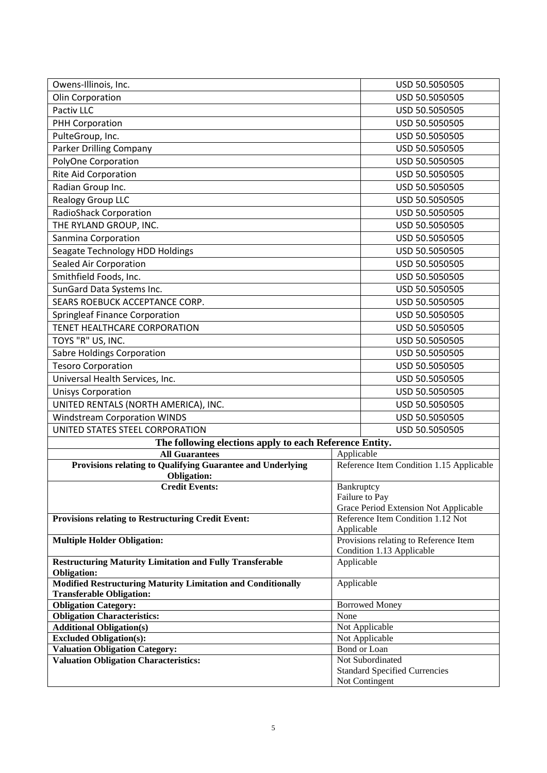| Owens-Illinois, Inc.                                                                      |                | USD 50.5050505                                                             |
|-------------------------------------------------------------------------------------------|----------------|----------------------------------------------------------------------------|
| Olin Corporation                                                                          | USD 50.5050505 |                                                                            |
| Pactiv LLC                                                                                |                | USD 50.5050505                                                             |
| PHH Corporation                                                                           |                | USD 50.5050505                                                             |
| PulteGroup, Inc.                                                                          | USD 50.5050505 |                                                                            |
| Parker Drilling Company                                                                   |                | USD 50.5050505                                                             |
| PolyOne Corporation                                                                       |                | USD 50.5050505                                                             |
| Rite Aid Corporation                                                                      |                | USD 50.5050505                                                             |
| Radian Group Inc.                                                                         |                | USD 50.5050505                                                             |
| <b>Realogy Group LLC</b>                                                                  |                | USD 50.5050505                                                             |
| <b>RadioShack Corporation</b>                                                             |                | USD 50.5050505                                                             |
| THE RYLAND GROUP, INC.                                                                    |                | USD 50.5050505                                                             |
| Sanmina Corporation                                                                       |                | USD 50.5050505                                                             |
| Seagate Technology HDD Holdings                                                           |                | USD 50.5050505                                                             |
| Sealed Air Corporation                                                                    |                | USD 50.5050505                                                             |
| Smithfield Foods, Inc.                                                                    |                | USD 50.5050505                                                             |
| SunGard Data Systems Inc.                                                                 |                | USD 50.5050505                                                             |
| SEARS ROEBUCK ACCEPTANCE CORP.                                                            |                | USD 50.5050505                                                             |
| <b>Springleaf Finance Corporation</b>                                                     |                | USD 50.5050505                                                             |
| TENET HEALTHCARE CORPORATION                                                              |                | USD 50.5050505                                                             |
| TOYS "R" US, INC.                                                                         |                | USD 50.5050505                                                             |
| <b>Sabre Holdings Corporation</b>                                                         | USD 50.5050505 |                                                                            |
|                                                                                           |                | USD 50.5050505                                                             |
| <b>Tesoro Corporation</b>                                                                 |                | USD 50.5050505                                                             |
| Universal Health Services, Inc.<br><b>Unisys Corporation</b>                              |                | USD 50.5050505                                                             |
| UNITED RENTALS (NORTH AMERICA), INC.                                                      |                | USD 50.5050505                                                             |
| <b>Windstream Corporation WINDS</b>                                                       |                | USD 50.5050505                                                             |
| UNITED STATES STEEL CORPORATION                                                           |                | USD 50.5050505                                                             |
| The following elections apply to each Reference Entity.                                   |                |                                                                            |
| <b>All Guarantees</b>                                                                     | Applicable     |                                                                            |
| Provisions relating to Qualifying Guarantee and Underlying                                |                | Reference Item Condition 1.15 Applicable                                   |
| <b>Obligation:</b>                                                                        |                |                                                                            |
| <b>Credit Events:</b>                                                                     | Bankruptcy     |                                                                            |
|                                                                                           |                | Failure to Pay                                                             |
| <b>Provisions relating to Restructuring Credit Event:</b>                                 |                | Grace Period Extension Not Applicable<br>Reference Item Condition 1.12 Not |
|                                                                                           | Applicable     |                                                                            |
| <b>Multiple Holder Obligation:</b>                                                        |                | Provisions relating to Reference Item                                      |
|                                                                                           |                | Condition 1.13 Applicable                                                  |
| <b>Restructuring Maturity Limitation and Fully Transferable</b>                           | Applicable     |                                                                            |
| <b>Obligation:</b><br><b>Modified Restructuring Maturity Limitation and Conditionally</b> | Applicable     |                                                                            |
| <b>Transferable Obligation:</b>                                                           |                |                                                                            |
| <b>Obligation Category:</b>                                                               |                | <b>Borrowed Money</b>                                                      |
| <b>Obligation Characteristics:</b>                                                        | None           |                                                                            |
| <b>Additional Obligation(s)</b>                                                           |                | Not Applicable                                                             |
| <b>Excluded Obligation(s):</b>                                                            |                | Not Applicable                                                             |
| <b>Valuation Obligation Category:</b>                                                     |                | Bond or Loan<br>Not Subordinated                                           |
| <b>Valuation Obligation Characteristics:</b>                                              |                | <b>Standard Specified Currencies</b>                                       |
|                                                                                           |                | Not Contingent                                                             |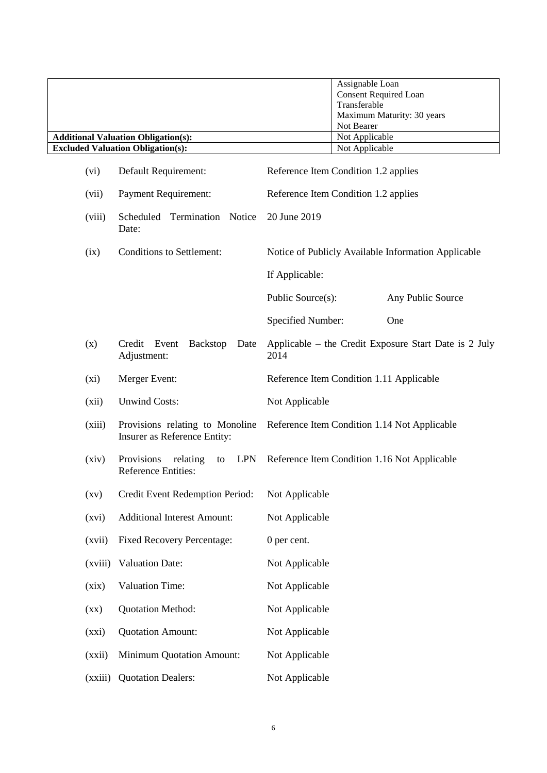|                    |                                                                   | Assignable Loan                                               |
|--------------------|-------------------------------------------------------------------|---------------------------------------------------------------|
|                    |                                                                   | <b>Consent Required Loan</b>                                  |
|                    |                                                                   | Transferable                                                  |
|                    |                                                                   | Maximum Maturity: 30 years                                    |
|                    |                                                                   | Not Bearer                                                    |
|                    | <b>Additional Valuation Obligation(s):</b>                        | Not Applicable                                                |
|                    | <b>Excluded Valuation Obligation(s):</b>                          | Not Applicable                                                |
| (vi)               | Default Requirement:                                              | Reference Item Condition 1.2 applies                          |
| (vii)              | <b>Payment Requirement:</b>                                       | Reference Item Condition 1.2 applies                          |
| (viii)             | Termination Notice<br>Scheduled<br>Date:                          | 20 June 2019                                                  |
| (ix)               | <b>Conditions to Settlement:</b>                                  | Notice of Publicly Available Information Applicable           |
|                    |                                                                   | If Applicable:                                                |
|                    |                                                                   | Public Source(s):<br>Any Public Source                        |
|                    |                                                                   | Specified Number:<br>One                                      |
| (x)                | Credit Event<br><b>Backstop</b><br>Date<br>Adjustment:            | Applicable – the Credit Exposure Start Date is 2 July<br>2014 |
| (xi)               | Merger Event:                                                     | Reference Item Condition 1.11 Applicable                      |
| (xii)              | <b>Unwind Costs:</b>                                              | Not Applicable                                                |
| (xiii)             | Provisions relating to Monoline<br>Insurer as Reference Entity:   | Reference Item Condition 1.14 Not Applicable                  |
| (xiv)              | Provisions<br>relating<br>LPN<br>to<br><b>Reference Entities:</b> | Reference Item Condition 1.16 Not Applicable                  |
| $\left( xy\right)$ | Credit Event Redemption Period:                                   | Not Applicable                                                |
| (xvi)              | <b>Additional Interest Amount:</b>                                | Not Applicable                                                |
| (xvii)             | <b>Fixed Recovery Percentage:</b>                                 | 0 per cent.                                                   |
| (xviii)            | <b>Valuation Date:</b>                                            | Not Applicable                                                |
| (xix)              | <b>Valuation Time:</b>                                            | Not Applicable                                                |
| $\left( xx\right)$ | <b>Quotation Method:</b>                                          | Not Applicable                                                |
| (xxi)              | <b>Quotation Amount:</b>                                          | Not Applicable                                                |
| (xxii)             | <b>Minimum Quotation Amount:</b>                                  | Not Applicable                                                |
| (xxiii)            | <b>Quotation Dealers:</b>                                         | Not Applicable                                                |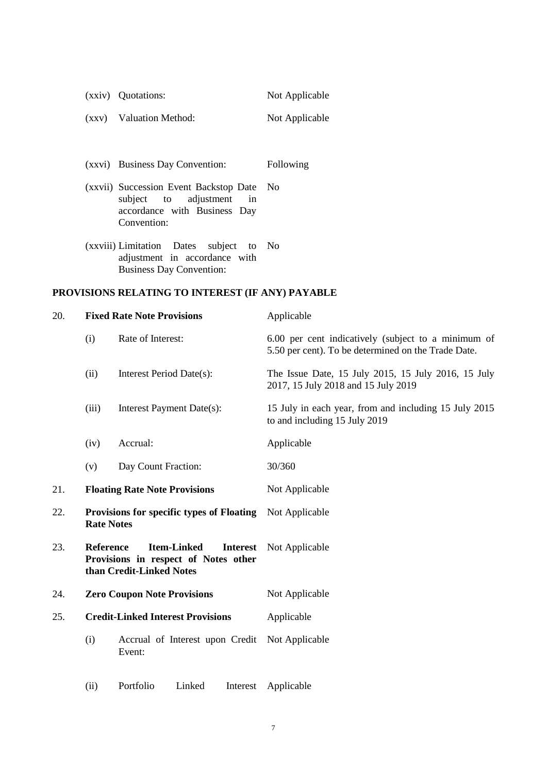|     |                   | (xxiv) Quotations:                                                                                                         | Not Applicable                                                                                             |
|-----|-------------------|----------------------------------------------------------------------------------------------------------------------------|------------------------------------------------------------------------------------------------------------|
|     | (xxy)             | Valuation Method:                                                                                                          | Not Applicable                                                                                             |
|     |                   |                                                                                                                            |                                                                                                            |
|     |                   | (xxvi) Business Day Convention:                                                                                            | Following                                                                                                  |
|     |                   | (xxvii) Succession Event Backstop Date<br>subject<br>adjustment<br>in<br>to<br>accordance with Business Day<br>Convention: | No                                                                                                         |
|     |                   | (xxviii) Limitation<br>Dates<br>subject<br>to<br>adjustment in accordance with<br><b>Business Day Convention:</b>          | N <sub>0</sub>                                                                                             |
|     |                   | PROVISIONS RELATING TO INTEREST (IF ANY) PAYABLE                                                                           |                                                                                                            |
| 20. |                   | <b>Fixed Rate Note Provisions</b>                                                                                          | Applicable                                                                                                 |
|     | (i)               | Rate of Interest:                                                                                                          | 6.00 per cent indicatively (subject to a minimum of<br>5.50 per cent). To be determined on the Trade Date. |
|     | (ii)              | Interest Period Date(s):                                                                                                   | The Issue Date, 15 July 2015, 15 July 2016, 15 July<br>2017, 15 July 2018 and 15 July 2019                 |
|     | (iii)             | Interest Payment Date(s):                                                                                                  | 15 July in each year, from and including 15 July 2015<br>to and including 15 July 2019                     |
|     | (iv)              | Accrual:                                                                                                                   | Applicable                                                                                                 |
|     | (v)               | Day Count Fraction:                                                                                                        | 30/360                                                                                                     |
| 21. |                   | <b>Floating Rate Note Provisions</b>                                                                                       | Not Applicable                                                                                             |
| 22. | <b>Rate Notes</b> | <b>Provisions for specific types of Floating</b> Not Applicable                                                            |                                                                                                            |
| 23. | <b>Reference</b>  | <b>Item-Linked</b><br><b>Interest</b><br>Provisions in respect of Notes other<br>than Credit-Linked Notes                  | Not Applicable                                                                                             |
| 24. |                   | <b>Zero Coupon Note Provisions</b>                                                                                         | Not Applicable                                                                                             |
| 25. |                   | <b>Credit-Linked Interest Provisions</b>                                                                                   | Applicable                                                                                                 |
|     | (i)               | Accrual of Interest upon Credit<br>Event:                                                                                  | Not Applicable                                                                                             |
|     | (ii)              | Portfolio<br>Linked<br>Interest                                                                                            | Applicable                                                                                                 |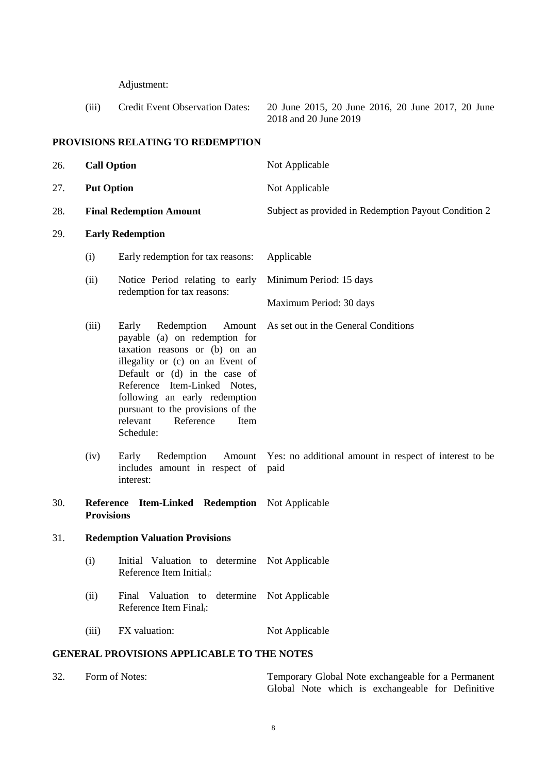Adjustment:

| (iii) | Credit Event Observation Dates: | 20 June 2015, 20 June 2016, 20 June 2017, 20 June |
|-------|---------------------------------|---------------------------------------------------|
|       |                                 | 2018 and 20 June 2019                             |
|       |                                 |                                                   |

# **PROVISIONS RELATING TO REDEMPTION**

<span id="page-7-0"></span>

| 26.                                               | <b>Call Option</b>                                                                    |                                                                                                                                                                                                                                                                                                                          | Not Applicable                                                 |
|---------------------------------------------------|---------------------------------------------------------------------------------------|--------------------------------------------------------------------------------------------------------------------------------------------------------------------------------------------------------------------------------------------------------------------------------------------------------------------------|----------------------------------------------------------------|
| 27.                                               | <b>Put Option</b>                                                                     |                                                                                                                                                                                                                                                                                                                          | Not Applicable                                                 |
| 28.                                               | <b>Final Redemption Amount</b>                                                        |                                                                                                                                                                                                                                                                                                                          | Subject as provided in Redemption Payout Condition 2           |
| 29.                                               |                                                                                       | <b>Early Redemption</b>                                                                                                                                                                                                                                                                                                  |                                                                |
|                                                   | (i)                                                                                   | Early redemption for tax reasons:                                                                                                                                                                                                                                                                                        | Applicable                                                     |
|                                                   | (ii)                                                                                  | Notice Period relating to early                                                                                                                                                                                                                                                                                          | Minimum Period: 15 days                                        |
|                                                   |                                                                                       | redemption for tax reasons:                                                                                                                                                                                                                                                                                              | Maximum Period: 30 days                                        |
|                                                   | (iii)                                                                                 | Early<br>Redemption<br>Amount<br>payable (a) on redemption for<br>taxation reasons or (b) on an<br>illegality or (c) on an Event of<br>Default or (d) in the case of<br>Reference Item-Linked Notes,<br>following an early redemption<br>pursuant to the provisions of the<br>relevant<br>Reference<br>Item<br>Schedule: | As set out in the General Conditions                           |
|                                                   | (iv)                                                                                  | Redemption<br>Early<br>Amount<br>includes amount in respect of<br>interest:                                                                                                                                                                                                                                              | Yes: no additional amount in respect of interest to be<br>paid |
| 30.                                               | <b>Reference</b><br><b>Item-Linked Redemption</b> Not Applicable<br><b>Provisions</b> |                                                                                                                                                                                                                                                                                                                          |                                                                |
| 31.                                               | <b>Redemption Valuation Provisions</b>                                                |                                                                                                                                                                                                                                                                                                                          |                                                                |
|                                                   | (i)                                                                                   | Initial Valuation to determine Not Applicable<br>Reference Item Initial <sub>i</sub> :                                                                                                                                                                                                                                   |                                                                |
|                                                   | (ii)                                                                                  | Valuation to<br>Final<br>determine<br>Reference Item Final <sub>i</sub> :                                                                                                                                                                                                                                                | Not Applicable                                                 |
|                                                   | (iii)                                                                                 | FX valuation:                                                                                                                                                                                                                                                                                                            | Not Applicable                                                 |
| <b>GENERAL PROVISIONS APPLICABLE TO THE NOTES</b> |                                                                                       |                                                                                                                                                                                                                                                                                                                          |                                                                |

| 32. | Form of Notes: | Temporary Global Note exchangeable for a Permanent |  |
|-----|----------------|----------------------------------------------------|--|
|     |                | Global Note which is exchangeable for Definitive   |  |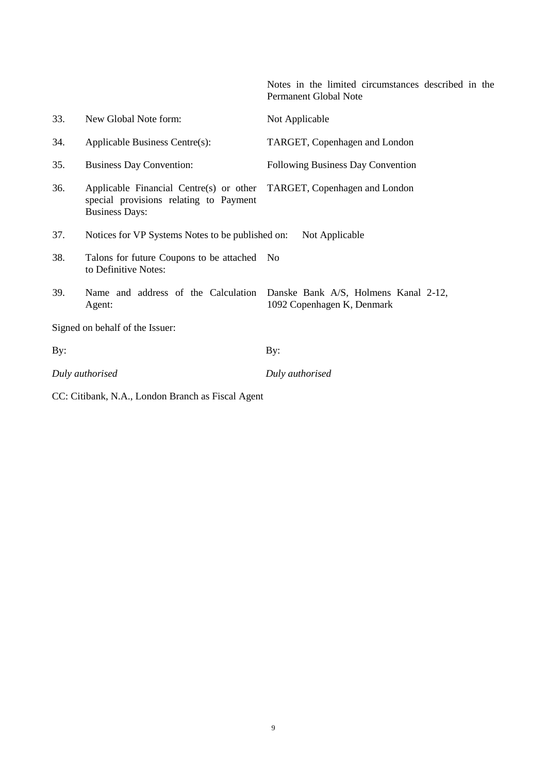Notes in the limited circumstances described in the Permanent Global Note

| 33. | New Global Note form:                                                                                      | Not Applicable                                                     |  |  |  |  |
|-----|------------------------------------------------------------------------------------------------------------|--------------------------------------------------------------------|--|--|--|--|
| 34. | Applicable Business Centre(s):                                                                             | TARGET, Copenhagen and London                                      |  |  |  |  |
| 35. | <b>Business Day Convention:</b>                                                                            | Following Business Day Convention                                  |  |  |  |  |
| 36. | Applicable Financial Centre(s) or other<br>special provisions relating to Payment<br><b>Business Days:</b> | TARGET, Copenhagen and London                                      |  |  |  |  |
| 37. | Notices for VP Systems Notes to be published on:                                                           | Not Applicable                                                     |  |  |  |  |
| 38. | Talons for future Coupons to be attached No<br>to Definitive Notes:                                        |                                                                    |  |  |  |  |
| 39. | Name and address of the Calculation<br>Agent:                                                              | Danske Bank A/S, Holmens Kanal 2-12,<br>1092 Copenhagen K, Denmark |  |  |  |  |
|     | Signed on behalf of the Issuer:                                                                            |                                                                    |  |  |  |  |
| By: |                                                                                                            | By:                                                                |  |  |  |  |
|     | Duly authorised                                                                                            | Duly authorised                                                    |  |  |  |  |
|     |                                                                                                            |                                                                    |  |  |  |  |

CC: Citibank, N.A., London Branch as Fiscal Agent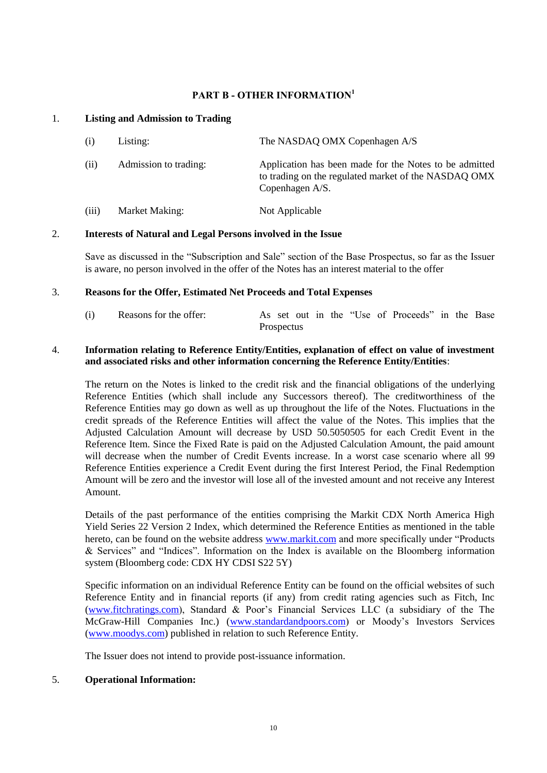### **PART B - OTHER INFORMATION<sup>1</sup>**

### 1. **Listing and Admission to Trading**

| (i)   | Listing:              | The NASDAQ OMX Copenhagen A/S                                                                                                     |
|-------|-----------------------|-----------------------------------------------------------------------------------------------------------------------------------|
| (ii)  | Admission to trading: | Application has been made for the Notes to be admitted<br>to trading on the regulated market of the NASDAQ OMX<br>Copenhagen A/S. |
| (iii) | Market Making:        | Not Applicable                                                                                                                    |

# 2. **Interests of Natural and Legal Persons involved in the Issue**

Save as discussed in the "Subscription and Sale" section of the Base Prospectus, so far as the Issuer is aware, no person involved in the offer of the Notes has an interest material to the offer

#### 3. **Reasons for the Offer, Estimated Net Proceeds and Total Expenses**

| (i) | Reasons for the offer: |            |  |  | As set out in the "Use of Proceeds" in the Base |  |  |
|-----|------------------------|------------|--|--|-------------------------------------------------|--|--|
|     |                        | Prospectus |  |  |                                                 |  |  |

#### 4. **Information relating to Reference Entity/Entities, explanation of effect on value of investment and associated risks and other information concerning the Reference Entity/Entities**:

The return on the Notes is linked to the credit risk and the financial obligations of the underlying Reference Entities (which shall include any Successors thereof). The creditworthiness of the Reference Entities may go down as well as up throughout the life of the Notes. Fluctuations in the credit spreads of the Reference Entities will affect the value of the Notes. This implies that the Adjusted Calculation Amount will decrease by USD 50.5050505 for each Credit Event in the Reference Item. Since the Fixed Rate is paid on the Adjusted Calculation Amount, the paid amount will decrease when the number of Credit Events increase. In a worst case scenario where all 99 Reference Entities experience a Credit Event during the first Interest Period, the Final Redemption Amount will be zero and the investor will lose all of the invested amount and not receive any Interest Amount.

Details of the past performance of the entities comprising the Markit CDX North America High Yield Series 22 Version 2 Index, which determined the Reference Entities as mentioned in the table hereto, can be found on the website address [www.markit.com](http://www.markit.com/) and more specifically under "Products & Services" and "Indices". Information on the Index is available on the Bloomberg information system (Bloomberg code: CDX HY CDSI S22 5Y)

Specific information on an individual Reference Entity can be found on the official websites of such Reference Entity and in financial reports (if any) from credit rating agencies such as Fitch, Inc [\(www.fitchratings.com\)](http://www.fitchratings.com/), Standard & Poor's Financial Services LLC (a subsidiary of the The McGraw-Hill Companies Inc.) [\(www.standardandpoors.com\)](http://www.standardandpoors.com/) or Moody's Investors Services [\(www.moodys.com\)](http://www.moodys.com/) published in relation to such Reference Entity.

The Issuer does not intend to provide post-issuance information.

### 5. **Operational Information:**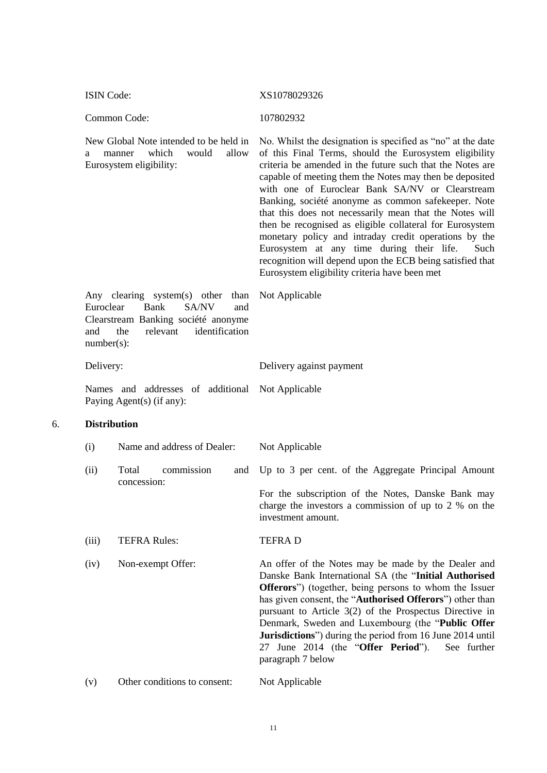ISIN Code: XS1078029326

Common Code: 107802932

New Global Note intended to be held in a manner which would allow Eurosystem eligibility:

No. Whilst the designation is specified as "no" at the date of this Final Terms, should the Eurosystem eligibility criteria be amended in the future such that the Notes are capable of meeting them the Notes may then be deposited with one of Euroclear Bank SA/NV or Clearstream Banking, société anonyme as common safekeeper. Note that this does not necessarily mean that the Notes will then be recognised as eligible collateral for Eurosystem monetary policy and intraday credit operations by the Eurosystem at any time during their life. Such recognition will depend upon the ECB being satisfied that Eurosystem eligibility criteria have been met

Any clearing system(s) other than Euroclear Bank SA/NV and Clearstream Banking société anonyme and the relevant identification number(s): Not Applicable

| Delivery: |  |  | Delivery against payment |  |  |
|-----------|--|--|--------------------------|--|--|
|           |  |  |                          |  |  |

Names and addresses of additional Not Applicable Paying Agent(s) (if any):

### 6. **Distribution**

| (i)   |                                    | Name and address of Dealer: | Not Applicable                                                                                                                                                                                                                                                                                                      |
|-------|------------------------------------|-----------------------------|---------------------------------------------------------------------------------------------------------------------------------------------------------------------------------------------------------------------------------------------------------------------------------------------------------------------|
| (ii)  | commission<br>Total<br>concession: |                             | and Up to 3 per cent. of the Aggregate Principal Amount                                                                                                                                                                                                                                                             |
|       |                                    |                             | For the subscription of the Notes, Danske Bank may<br>charge the investors a commission of up to 2 % on the<br>investment amount.                                                                                                                                                                                   |
| (iii) | <b>TEFRA Rules:</b>                |                             | <b>TEFRAD</b>                                                                                                                                                                                                                                                                                                       |
| (iv)  | Non-exempt Offer:                  |                             | An offer of the Notes may be made by the Dealer and<br>Danske Bank International SA (the "Initial Authorised<br><b>Offerors</b> ") (together, being persons to whom the Issuer<br>has given consent, the " <b>Authorised Offerors</b> ") other than<br>$n$ ureught to Article $3(2)$ of the Dreepectus Directive in |

pursuant to Article 3(2) of the Prospectus Directive in Denmark, Sweden and Luxembourg (the "**Public Offer Jurisdictions**") during the period from 16 June 2014 until 27 June 2014 (the "**Offer Period**"). See further paragraph [7 below](#page-11-0)

(v) Other conditions to consent: Not Applicable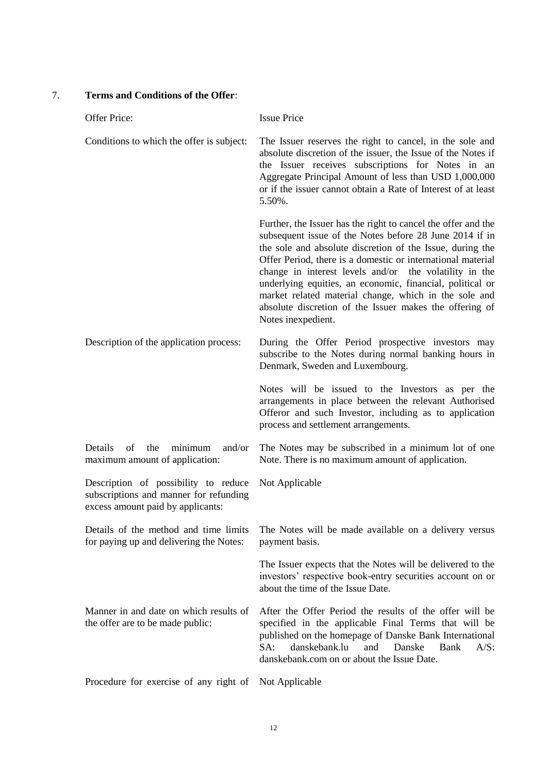# <span id="page-11-0"></span>7. **Terms and Conditions of the Offer**:

| Offer Price:                                                                                                        | <b>Issue Price</b>                                                                                                                                                                                                                                                                                                                                                                                                                                                                                                    |
|---------------------------------------------------------------------------------------------------------------------|-----------------------------------------------------------------------------------------------------------------------------------------------------------------------------------------------------------------------------------------------------------------------------------------------------------------------------------------------------------------------------------------------------------------------------------------------------------------------------------------------------------------------|
| Conditions to which the offer is subject:                                                                           | The Issuer reserves the right to cancel, in the sole and<br>absolute discretion of the issuer, the Issue of the Notes if<br>the Issuer receives subscriptions for Notes in an<br>Aggregate Principal Amount of less than USD 1,000,000<br>or if the issuer cannot obtain a Rate of Interest of at least<br>5.50%.                                                                                                                                                                                                     |
|                                                                                                                     | Further, the Issuer has the right to cancel the offer and the<br>subsequent issue of the Notes before 28 June 2014 if in<br>the sole and absolute discretion of the Issue, during the<br>Offer Period, there is a domestic or international material<br>change in interest levels and/or the volatility in the<br>underlying equities, an economic, financial, political or<br>market related material change, which in the sole and<br>absolute discretion of the Issuer makes the offering of<br>Notes inexpedient. |
| Description of the application process:                                                                             | During the Offer Period prospective investors may<br>subscribe to the Notes during normal banking hours in<br>Denmark, Sweden and Luxembourg.                                                                                                                                                                                                                                                                                                                                                                         |
|                                                                                                                     | Notes will be issued to the Investors as per the<br>arrangements in place between the relevant Authorised<br>Offeror and such Investor, including as to application<br>process and settlement arrangements.                                                                                                                                                                                                                                                                                                           |
| minimum<br>Details<br>of<br>the<br>and/or<br>maximum amount of application:                                         | The Notes may be subscribed in a minimum lot of one<br>Note. There is no maximum amount of application.                                                                                                                                                                                                                                                                                                                                                                                                               |
| Description of possibility to reduce<br>subscriptions and manner for refunding<br>excess amount paid by applicants: | Not Applicable                                                                                                                                                                                                                                                                                                                                                                                                                                                                                                        |
| Details of the method and time limits<br>for paying up and delivering the Notes:                                    | The Notes will be made available on a delivery versus<br>payment basis.                                                                                                                                                                                                                                                                                                                                                                                                                                               |
|                                                                                                                     | The Issuer expects that the Notes will be delivered to the<br>investors' respective book-entry securities account on or<br>about the time of the Issue Date.                                                                                                                                                                                                                                                                                                                                                          |
| Manner in and date on which results of<br>the offer are to be made public:                                          | After the Offer Period the results of the offer will be<br>specified in the applicable Final Terms that will be<br>published on the homepage of Danske Bank International<br>danskebank.lu<br>SA:<br>and<br>Danske<br>Bank<br>$A/S$ :<br>danskebank.com on or about the Issue Date.                                                                                                                                                                                                                                   |
| Procedure for exercise of any right of                                                                              | Not Applicable                                                                                                                                                                                                                                                                                                                                                                                                                                                                                                        |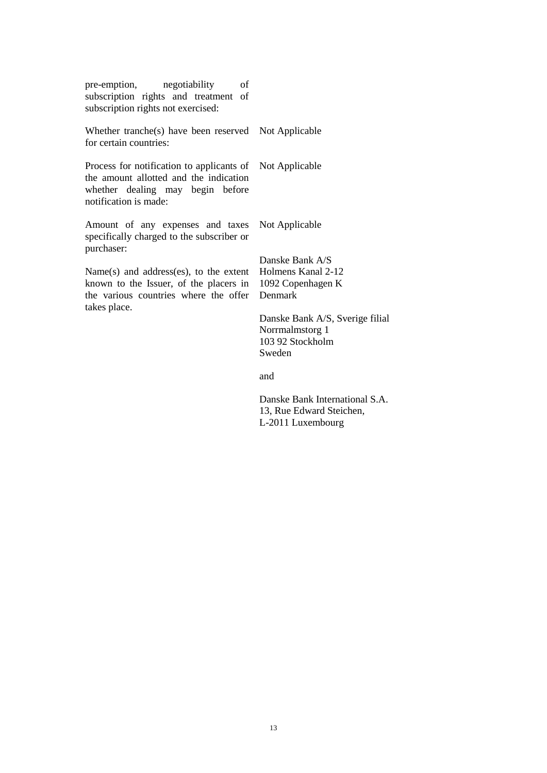| negotiability<br>pre-emption,<br>of<br>subscription rights and treatment of<br>subscription rights not exercised:                                               |                                                                                  |
|-----------------------------------------------------------------------------------------------------------------------------------------------------------------|----------------------------------------------------------------------------------|
| Whether tranche(s) have been reserved Not Applicable<br>for certain countries:                                                                                  |                                                                                  |
| Process for notification to applicants of Not Applicable<br>the amount allotted and the indication<br>whether dealing may begin before<br>notification is made: |                                                                                  |
| Amount of any expenses and taxes<br>specifically charged to the subscriber or<br>purchaser:                                                                     | Not Applicable                                                                   |
| Name(s) and address(es), to the extent Holmens Kanal 2-12<br>known to the Issuer, of the placers in 1092 Copenhagen K<br>the various countries where the offer  | Danske Bank A/S<br>Denmark                                                       |
| takes place.                                                                                                                                                    | Danske Bank A/S, Sverige filial<br>Norrmalmstorg 1<br>103 92 Stockholm<br>Sweden |
|                                                                                                                                                                 | and                                                                              |
|                                                                                                                                                                 | Danske Bank International S.A.                                                   |

 $al$  S.A. 13, Rue Edward Steichen, L-2011 Luxembourg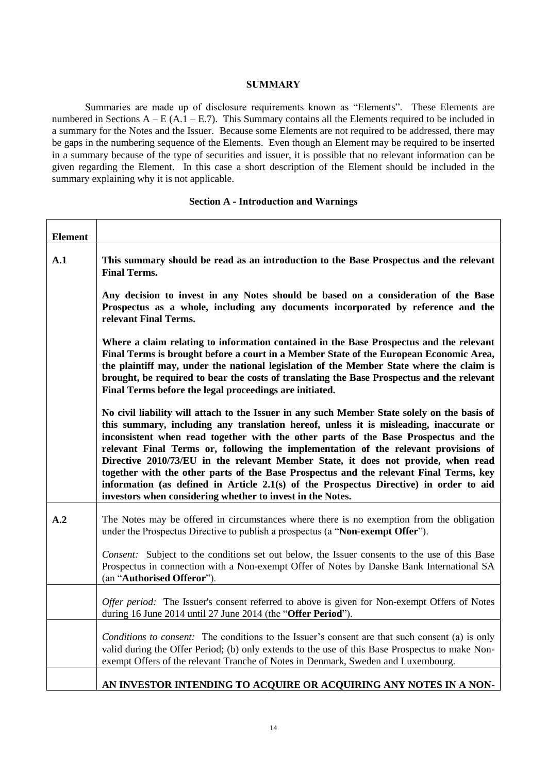#### **SUMMARY**

Summaries are made up of disclosure requirements known as "Elements". These Elements are numbered in Sections  $A - E(A.1 - E.7)$ . This Summary contains all the Elements required to be included in a summary for the Notes and the Issuer. Because some Elements are not required to be addressed, there may be gaps in the numbering sequence of the Elements. Even though an Element may be required to be inserted in a summary because of the type of securities and issuer, it is possible that no relevant information can be given regarding the Element. In this case a short description of the Element should be included in the summary explaining why it is not applicable.

#### **Section A - Introduction and Warnings**

| <b>Element</b> |                                                                                                                                                                                                                                                                                                                                                                                                                                                                                                                                                                                                                                                                                                             |  |  |  |  |  |  |
|----------------|-------------------------------------------------------------------------------------------------------------------------------------------------------------------------------------------------------------------------------------------------------------------------------------------------------------------------------------------------------------------------------------------------------------------------------------------------------------------------------------------------------------------------------------------------------------------------------------------------------------------------------------------------------------------------------------------------------------|--|--|--|--|--|--|
| A.1            | This summary should be read as an introduction to the Base Prospectus and the relevant<br><b>Final Terms.</b>                                                                                                                                                                                                                                                                                                                                                                                                                                                                                                                                                                                               |  |  |  |  |  |  |
|                | Any decision to invest in any Notes should be based on a consideration of the Base<br>Prospectus as a whole, including any documents incorporated by reference and the<br>relevant Final Terms.                                                                                                                                                                                                                                                                                                                                                                                                                                                                                                             |  |  |  |  |  |  |
|                | Where a claim relating to information contained in the Base Prospectus and the relevant<br>Final Terms is brought before a court in a Member State of the European Economic Area,<br>the plaintiff may, under the national legislation of the Member State where the claim is<br>brought, be required to bear the costs of translating the Base Prospectus and the relevant<br>Final Terms before the legal proceedings are initiated.                                                                                                                                                                                                                                                                      |  |  |  |  |  |  |
|                | No civil liability will attach to the Issuer in any such Member State solely on the basis of<br>this summary, including any translation hereof, unless it is misleading, inaccurate or<br>inconsistent when read together with the other parts of the Base Prospectus and the<br>relevant Final Terms or, following the implementation of the relevant provisions of<br>Directive 2010/73/EU in the relevant Member State, it does not provide, when read<br>together with the other parts of the Base Prospectus and the relevant Final Terms, key<br>information (as defined in Article 2.1(s) of the Prospectus Directive) in order to aid<br>investors when considering whether to invest in the Notes. |  |  |  |  |  |  |
| A.2            | The Notes may be offered in circumstances where there is no exemption from the obligation<br>under the Prospectus Directive to publish a prospectus (a "Non-exempt Offer").                                                                                                                                                                                                                                                                                                                                                                                                                                                                                                                                 |  |  |  |  |  |  |
|                | Consent: Subject to the conditions set out below, the Issuer consents to the use of this Base<br>Prospectus in connection with a Non-exempt Offer of Notes by Danske Bank International SA<br>(an "Authorised Offeror").                                                                                                                                                                                                                                                                                                                                                                                                                                                                                    |  |  |  |  |  |  |
|                | Offer period: The Issuer's consent referred to above is given for Non-exempt Offers of Notes<br>during 16 June 2014 until 27 June 2014 (the "Offer Period").                                                                                                                                                                                                                                                                                                                                                                                                                                                                                                                                                |  |  |  |  |  |  |
|                | <i>Conditions to consent:</i> The conditions to the Issuer's consent are that such consent (a) is only<br>valid during the Offer Period; (b) only extends to the use of this Base Prospectus to make Non-<br>exempt Offers of the relevant Tranche of Notes in Denmark, Sweden and Luxembourg.                                                                                                                                                                                                                                                                                                                                                                                                              |  |  |  |  |  |  |
|                | AN INVESTOR INTENDING TO ACQUIRE OR ACQUIRING ANY NOTES IN A NON-                                                                                                                                                                                                                                                                                                                                                                                                                                                                                                                                                                                                                                           |  |  |  |  |  |  |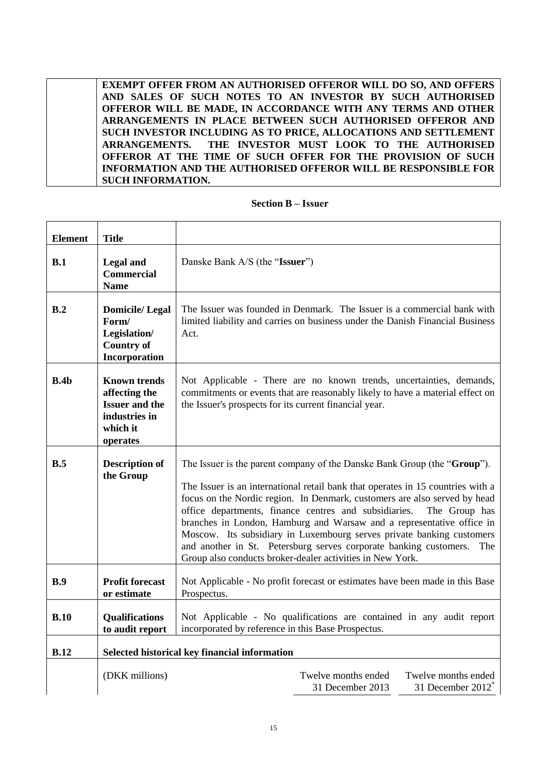**EXEMPT OFFER FROM AN AUTHORISED OFFEROR WILL DO SO, AND OFFERS AND SALES OF SUCH NOTES TO AN INVESTOR BY SUCH AUTHORISED OFFEROR WILL BE MADE, IN ACCORDANCE WITH ANY TERMS AND OTHER ARRANGEMENTS IN PLACE BETWEEN SUCH AUTHORISED OFFEROR AND SUCH INVESTOR INCLUDING AS TO PRICE, ALLOCATIONS AND SETTLEMENT ARRANGEMENTS. THE INVESTOR MUST LOOK TO THE AUTHORISED OFFEROR AT THE TIME OF SUCH OFFER FOR THE PROVISION OF SUCH INFORMATION AND THE AUTHORISED OFFEROR WILL BE RESPONSIBLE FOR SUCH INFORMATION.**

#### **Section B – Issuer**

<span id="page-14-0"></span>

| <b>Element</b> | <b>Title</b>                                                                                           |                                                                                                                                                                                                                                                                                                                                                                                                                                                                                                                                                                                                               |
|----------------|--------------------------------------------------------------------------------------------------------|---------------------------------------------------------------------------------------------------------------------------------------------------------------------------------------------------------------------------------------------------------------------------------------------------------------------------------------------------------------------------------------------------------------------------------------------------------------------------------------------------------------------------------------------------------------------------------------------------------------|
| B.1            | <b>Legal and</b><br><b>Commercial</b><br><b>Name</b>                                                   | Danske Bank A/S (the "Issuer")                                                                                                                                                                                                                                                                                                                                                                                                                                                                                                                                                                                |
| B.2            | <b>Domicile/Legal</b><br>Form/<br>Legislation/<br><b>Country of</b><br>Incorporation                   | The Issuer was founded in Denmark. The Issuer is a commercial bank with<br>limited liability and carries on business under the Danish Financial Business<br>Act.                                                                                                                                                                                                                                                                                                                                                                                                                                              |
| B.4b           | <b>Known trends</b><br>affecting the<br><b>Issuer and the</b><br>industries in<br>which it<br>operates | Not Applicable - There are no known trends, uncertainties, demands,<br>commitments or events that are reasonably likely to have a material effect on<br>the Issuer's prospects for its current financial year.                                                                                                                                                                                                                                                                                                                                                                                                |
| B.5            | <b>Description of</b><br>the Group                                                                     | The Issuer is the parent company of the Danske Bank Group (the "Group").<br>The Issuer is an international retail bank that operates in 15 countries with a<br>focus on the Nordic region. In Denmark, customers are also served by head<br>office departments, finance centres and subsidiaries.<br>The Group has<br>branches in London, Hamburg and Warsaw and a representative office in<br>Moscow. Its subsidiary in Luxembourg serves private banking customers<br>and another in St. Petersburg serves corporate banking customers.<br>The<br>Group also conducts broker-dealer activities in New York. |
| B.9            | <b>Profit forecast</b><br>or estimate                                                                  | Not Applicable - No profit forecast or estimates have been made in this Base<br>Prospectus.                                                                                                                                                                                                                                                                                                                                                                                                                                                                                                                   |
| B.10           | Qualifications<br>to audit report                                                                      | Not Applicable - No qualifications are contained in any audit report<br>incorporated by reference in this Base Prospectus.                                                                                                                                                                                                                                                                                                                                                                                                                                                                                    |
| B.12           |                                                                                                        | Selected historical key financial information                                                                                                                                                                                                                                                                                                                                                                                                                                                                                                                                                                 |
|                | (DKK millions)                                                                                         | Twelve months ended<br>Twelve months ended<br>31 December 2012 <sup>*</sup><br>31 December 2013                                                                                                                                                                                                                                                                                                                                                                                                                                                                                                               |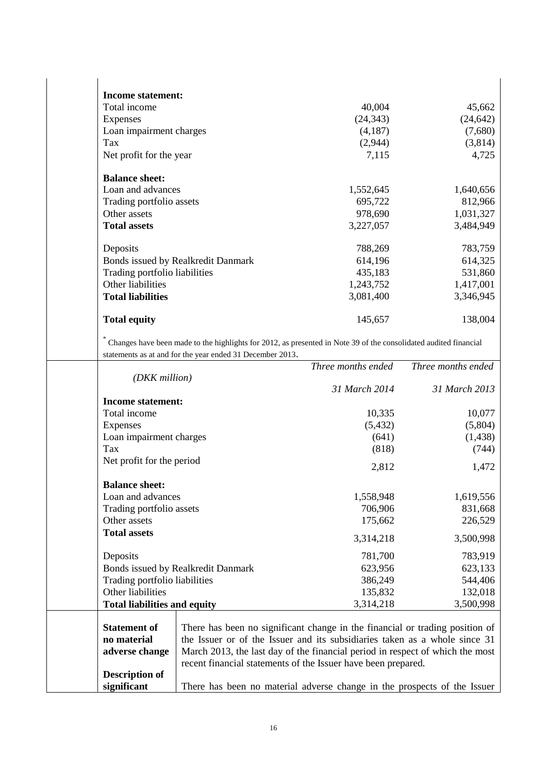| <b>Income statement:</b>           |           |           |
|------------------------------------|-----------|-----------|
| Total income                       | 40,004    | 45,662    |
| <b>Expenses</b>                    | (24, 343) | (24, 642) |
| Loan impairment charges            | (4,187)   | (7,680)   |
| Tax                                | (2,944)   | (3,814)   |
| Net profit for the year            | 7,115     | 4,725     |
| <b>Balance sheet:</b>              |           |           |
| Loan and advances                  | 1,552,645 | 1,640,656 |
| Trading portfolio assets           | 695,722   | 812,966   |
| Other assets                       | 978,690   | 1,031,327 |
| <b>Total assets</b>                | 3,227,057 | 3,484,949 |
| Deposits                           | 788,269   | 783,759   |
| Bonds issued by Realkredit Danmark | 614,196   | 614,325   |
| Trading portfolio liabilities      | 435,183   | 531,860   |
| Other liabilities                  | 1,243,752 | 1,417,001 |
| <b>Total liabilities</b>           | 3,081,400 | 3,346,945 |
| <b>Total equity</b>                | 145,657   | 138,004   |
|                                    |           |           |

\* Changes have been made to the highlights for 2012, as presented in Note 39 of the consolidated audited financial statements as at and for the year ended 31 December 2013.

|                                     |                                    | Three months ended                                                            | Three months ended |
|-------------------------------------|------------------------------------|-------------------------------------------------------------------------------|--------------------|
| (DKK million)                       |                                    |                                                                               |                    |
|                                     |                                    | 31 March 2014                                                                 | 31 March 2013      |
| <b>Income statement:</b>            |                                    |                                                                               |                    |
| Total income                        |                                    | 10,335                                                                        | 10,077             |
| <b>Expenses</b>                     |                                    | (5, 432)                                                                      | (5,804)            |
| Loan impairment charges             |                                    | (641)                                                                         | (1, 438)           |
| Tax                                 |                                    | (818)                                                                         | (744)              |
| Net profit for the period           |                                    | 2,812                                                                         | 1,472              |
| <b>Balance sheet:</b>               |                                    |                                                                               |                    |
| Loan and advances                   |                                    | 1,558,948                                                                     | 1,619,556          |
| Trading portfolio assets            |                                    | 706,906                                                                       | 831,668            |
| Other assets                        |                                    | 175,662                                                                       | 226,529            |
| <b>Total assets</b>                 |                                    | 3,314,218                                                                     | 3,500,998          |
| Deposits                            |                                    | 781,700                                                                       | 783,919            |
|                                     | Bonds issued by Realkredit Danmark | 623,956                                                                       | 623,133            |
| Trading portfolio liabilities       |                                    | 386,249                                                                       | 544,406            |
| Other liabilities                   |                                    | 135,832                                                                       | 132,018            |
| <b>Total liabilities and equity</b> |                                    | 3,314,218                                                                     | 3,500,998          |
|                                     |                                    |                                                                               |                    |
| <b>Statement of</b>                 |                                    | There has been no significant change in the financial or trading position of  |                    |
| no material                         |                                    | the Issuer or of the Issuer and its subsidiaries taken as a whole since 31    |                    |
| adverse change                      |                                    | March 2013, the last day of the financial period in respect of which the most |                    |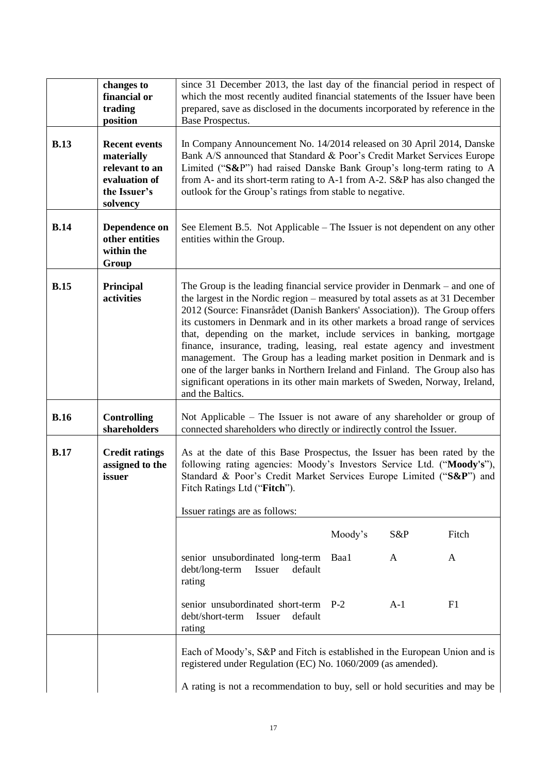|             | changes to<br>financial or<br>trading<br>position                                                 | since 31 December 2013, the last day of the financial period in respect of<br>which the most recently audited financial statements of the Issuer have been<br>prepared, save as disclosed in the documents incorporated by reference in the<br>Base Prospectus.                                                                                                                                                                                                                                                                                                                                                                                                                                                                            |  |  |  |  |  |  |
|-------------|---------------------------------------------------------------------------------------------------|--------------------------------------------------------------------------------------------------------------------------------------------------------------------------------------------------------------------------------------------------------------------------------------------------------------------------------------------------------------------------------------------------------------------------------------------------------------------------------------------------------------------------------------------------------------------------------------------------------------------------------------------------------------------------------------------------------------------------------------------|--|--|--|--|--|--|
| <b>B.13</b> | <b>Recent events</b><br>materially<br>relevant to an<br>evaluation of<br>the Issuer's<br>solvency | In Company Announcement No. 14/2014 released on 30 April 2014, Danske<br>Bank A/S announced that Standard & Poor's Credit Market Services Europe<br>Limited ("S&P") had raised Danske Bank Group's long-term rating to A<br>from A- and its short-term rating to A-1 from A-2. S&P has also changed the<br>outlook for the Group's ratings from stable to negative.                                                                                                                                                                                                                                                                                                                                                                        |  |  |  |  |  |  |
| <b>B.14</b> | Dependence on<br>other entities<br>within the<br>Group                                            | See Element B.5. Not Applicable – The Issuer is not dependent on any other<br>entities within the Group.                                                                                                                                                                                                                                                                                                                                                                                                                                                                                                                                                                                                                                   |  |  |  |  |  |  |
| <b>B.15</b> | <b>Principal</b><br>activities                                                                    | The Group is the leading financial service provider in Denmark $-$ and one of<br>the largest in the Nordic region – measured by total assets as at 31 December<br>2012 (Source: Finansrådet (Danish Bankers' Association)). The Group offers<br>its customers in Denmark and in its other markets a broad range of services<br>that, depending on the market, include services in banking, mortgage<br>finance, insurance, trading, leasing, real estate agency and investment<br>management. The Group has a leading market position in Denmark and is<br>one of the larger banks in Northern Ireland and Finland. The Group also has<br>significant operations in its other main markets of Sweden, Norway, Ireland,<br>and the Baltics. |  |  |  |  |  |  |
| <b>B.16</b> | <b>Controlling</b><br>shareholders                                                                | Not Applicable – The Issuer is not aware of any shareholder or group of<br>connected shareholders who directly or indirectly control the Issuer.                                                                                                                                                                                                                                                                                                                                                                                                                                                                                                                                                                                           |  |  |  |  |  |  |
| <b>B.17</b> | <b>Credit ratings</b><br>assigned to the<br>issuer                                                | As at the date of this Base Prospectus, the Issuer has been rated by the<br>following rating agencies: Moody's Investors Service Ltd. ("Moody's"),<br>Standard & Poor's Credit Market Services Europe Limited ("S&P") and<br>Fitch Ratings Ltd ("Fitch").<br>Issuer ratings are as follows:                                                                                                                                                                                                                                                                                                                                                                                                                                                |  |  |  |  |  |  |
|             |                                                                                                   | Moody's<br>S&P<br>Fitch                                                                                                                                                                                                                                                                                                                                                                                                                                                                                                                                                                                                                                                                                                                    |  |  |  |  |  |  |
|             |                                                                                                   | senior unsubordinated long-term<br>Baa1<br>A<br>A<br>debt/long-term<br>default<br>Issuer<br>rating                                                                                                                                                                                                                                                                                                                                                                                                                                                                                                                                                                                                                                         |  |  |  |  |  |  |
|             |                                                                                                   | $A-1$<br>F1<br>senior unsubordinated short-term<br>$P-2$<br>debt/short-term<br>default<br>Issuer<br>rating                                                                                                                                                                                                                                                                                                                                                                                                                                                                                                                                                                                                                                 |  |  |  |  |  |  |
|             |                                                                                                   | Each of Moody's, S&P and Fitch is established in the European Union and is<br>registered under Regulation (EC) No. 1060/2009 (as amended).                                                                                                                                                                                                                                                                                                                                                                                                                                                                                                                                                                                                 |  |  |  |  |  |  |
|             |                                                                                                   | A rating is not a recommendation to buy, sell or hold securities and may be                                                                                                                                                                                                                                                                                                                                                                                                                                                                                                                                                                                                                                                                |  |  |  |  |  |  |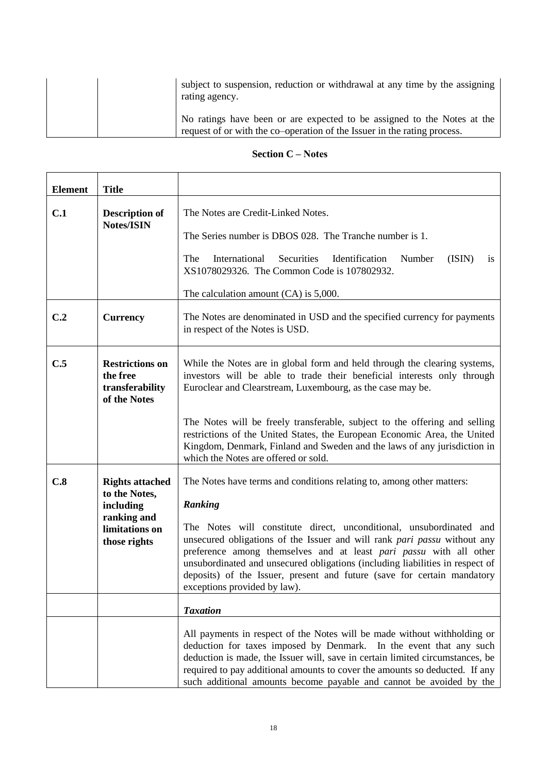| subject to suspension, reduction or withdrawal at any time by the assigning<br>rating agency.                                                       |
|-----------------------------------------------------------------------------------------------------------------------------------------------------|
| No ratings have been or are expected to be assigned to the Notes at the<br>request of or with the co-operation of the Issuer in the rating process. |

## **Section C – Notes**

<span id="page-17-0"></span>

| <b>Element</b> | <b>Title</b>                                                                                          |                                                                                                                                                                                                                                                                                                                                                                                                                                                                                                       |  |  |  |  |  |
|----------------|-------------------------------------------------------------------------------------------------------|-------------------------------------------------------------------------------------------------------------------------------------------------------------------------------------------------------------------------------------------------------------------------------------------------------------------------------------------------------------------------------------------------------------------------------------------------------------------------------------------------------|--|--|--|--|--|
| C.1            | <b>Description of</b><br><b>Notes/ISIN</b>                                                            | The Notes are Credit-Linked Notes.<br>The Series number is DBOS 028. The Tranche number is 1.<br>International<br>Identification<br>(ISIN)<br>The<br>Securities<br>Number<br>is<br>XS1078029326. The Common Code is 107802932.<br>The calculation amount $(CA)$ is 5,000.                                                                                                                                                                                                                             |  |  |  |  |  |
| C.2            | <b>Currency</b>                                                                                       | The Notes are denominated in USD and the specified currency for payments<br>in respect of the Notes is USD.                                                                                                                                                                                                                                                                                                                                                                                           |  |  |  |  |  |
| C.5            | <b>Restrictions on</b><br>the free<br>transferability<br>of the Notes                                 | While the Notes are in global form and held through the clearing systems,<br>investors will be able to trade their beneficial interests only through<br>Euroclear and Clearstream, Luxembourg, as the case may be.<br>The Notes will be freely transferable, subject to the offering and selling<br>restrictions of the United States, the European Economic Area, the United                                                                                                                         |  |  |  |  |  |
|                |                                                                                                       | Kingdom, Denmark, Finland and Sweden and the laws of any jurisdiction in<br>which the Notes are offered or sold.                                                                                                                                                                                                                                                                                                                                                                                      |  |  |  |  |  |
| C.8            | <b>Rights attached</b><br>to the Notes,<br>including<br>ranking and<br>limitations on<br>those rights | The Notes have terms and conditions relating to, among other matters:<br>Ranking<br>The Notes will constitute direct, unconditional, unsubordinated and<br>unsecured obligations of the Issuer and will rank pari passu without any<br>preference among themselves and at least pari passu with all other<br>unsubordinated and unsecured obligations (including liabilities in respect of<br>deposits) of the Issuer, present and future (save for certain mandatory<br>exceptions provided by law). |  |  |  |  |  |
|                |                                                                                                       | <b>Taxation</b>                                                                                                                                                                                                                                                                                                                                                                                                                                                                                       |  |  |  |  |  |
|                |                                                                                                       | All payments in respect of the Notes will be made without withholding or<br>deduction for taxes imposed by Denmark. In the event that any such<br>deduction is made, the Issuer will, save in certain limited circumstances, be<br>required to pay additional amounts to cover the amounts so deducted. If any<br>such additional amounts become payable and cannot be avoided by the                                                                                                                 |  |  |  |  |  |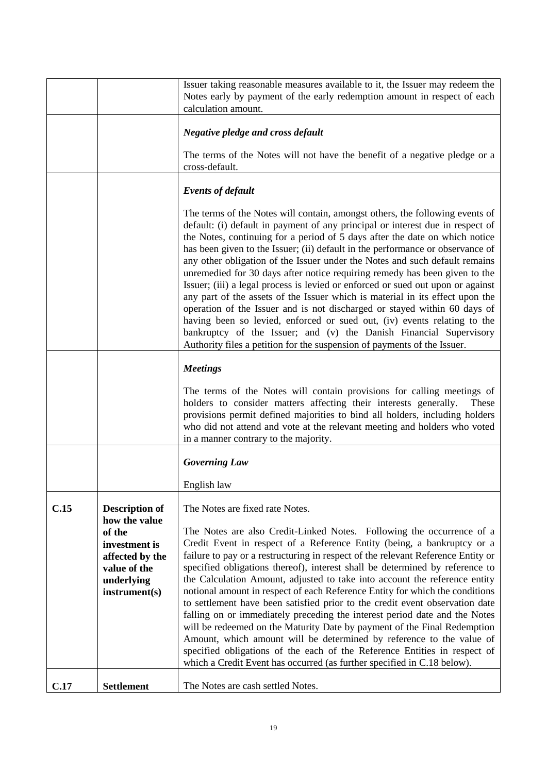<span id="page-18-0"></span>

|      |                                                                                                                                     | Issuer taking reasonable measures available to it, the Issuer may redeem the<br>Notes early by payment of the early redemption amount in respect of each<br>calculation amount.                                                                                                                                                                                                                                                                                                                                                                                                                                                                                                                                                                                                                                                                                                                                                                                                                 |
|------|-------------------------------------------------------------------------------------------------------------------------------------|-------------------------------------------------------------------------------------------------------------------------------------------------------------------------------------------------------------------------------------------------------------------------------------------------------------------------------------------------------------------------------------------------------------------------------------------------------------------------------------------------------------------------------------------------------------------------------------------------------------------------------------------------------------------------------------------------------------------------------------------------------------------------------------------------------------------------------------------------------------------------------------------------------------------------------------------------------------------------------------------------|
|      |                                                                                                                                     | <b>Negative pledge and cross default</b>                                                                                                                                                                                                                                                                                                                                                                                                                                                                                                                                                                                                                                                                                                                                                                                                                                                                                                                                                        |
|      |                                                                                                                                     | The terms of the Notes will not have the benefit of a negative pledge or a<br>cross-default.                                                                                                                                                                                                                                                                                                                                                                                                                                                                                                                                                                                                                                                                                                                                                                                                                                                                                                    |
|      |                                                                                                                                     | <b>Events of default</b>                                                                                                                                                                                                                                                                                                                                                                                                                                                                                                                                                                                                                                                                                                                                                                                                                                                                                                                                                                        |
|      |                                                                                                                                     | The terms of the Notes will contain, amongst others, the following events of<br>default: (i) default in payment of any principal or interest due in respect of<br>the Notes, continuing for a period of 5 days after the date on which notice<br>has been given to the Issuer; (ii) default in the performance or observance of<br>any other obligation of the Issuer under the Notes and such default remains<br>unremedied for 30 days after notice requiring remedy has been given to the<br>Issuer; (iii) a legal process is levied or enforced or sued out upon or against<br>any part of the assets of the Issuer which is material in its effect upon the<br>operation of the Issuer and is not discharged or stayed within 60 days of<br>having been so levied, enforced or sued out, (iv) events relating to the<br>bankruptcy of the Issuer; and (v) the Danish Financial Supervisory<br>Authority files a petition for the suspension of payments of the Issuer.                     |
|      |                                                                                                                                     | <b>Meetings</b>                                                                                                                                                                                                                                                                                                                                                                                                                                                                                                                                                                                                                                                                                                                                                                                                                                                                                                                                                                                 |
|      |                                                                                                                                     | The terms of the Notes will contain provisions for calling meetings of<br>holders to consider matters affecting their interests generally.<br>These<br>provisions permit defined majorities to bind all holders, including holders<br>who did not attend and vote at the relevant meeting and holders who voted<br>in a manner contrary to the majority.                                                                                                                                                                                                                                                                                                                                                                                                                                                                                                                                                                                                                                        |
|      |                                                                                                                                     | <b>Governing Law</b>                                                                                                                                                                                                                                                                                                                                                                                                                                                                                                                                                                                                                                                                                                                                                                                                                                                                                                                                                                            |
|      |                                                                                                                                     | English law                                                                                                                                                                                                                                                                                                                                                                                                                                                                                                                                                                                                                                                                                                                                                                                                                                                                                                                                                                                     |
| C.15 | <b>Description of</b><br>how the value<br>of the<br>investment is<br>affected by the<br>value of the<br>underlying<br>instrument(s) | The Notes are fixed rate Notes.<br>The Notes are also Credit-Linked Notes. Following the occurrence of a<br>Credit Event in respect of a Reference Entity (being, a bankruptcy or a<br>failure to pay or a restructuring in respect of the relevant Reference Entity or<br>specified obligations thereof), interest shall be determined by reference to<br>the Calculation Amount, adjusted to take into account the reference entity<br>notional amount in respect of each Reference Entity for which the conditions<br>to settlement have been satisfied prior to the credit event observation date<br>falling on or immediately preceding the interest period date and the Notes<br>will be redeemed on the Maturity Date by payment of the Final Redemption<br>Amount, which amount will be determined by reference to the value of<br>specified obligations of the each of the Reference Entities in respect of<br>which a Credit Event has occurred (as further specified in C.18 below). |
| C.17 | <b>Settlement</b>                                                                                                                   | The Notes are cash settled Notes.                                                                                                                                                                                                                                                                                                                                                                                                                                                                                                                                                                                                                                                                                                                                                                                                                                                                                                                                                               |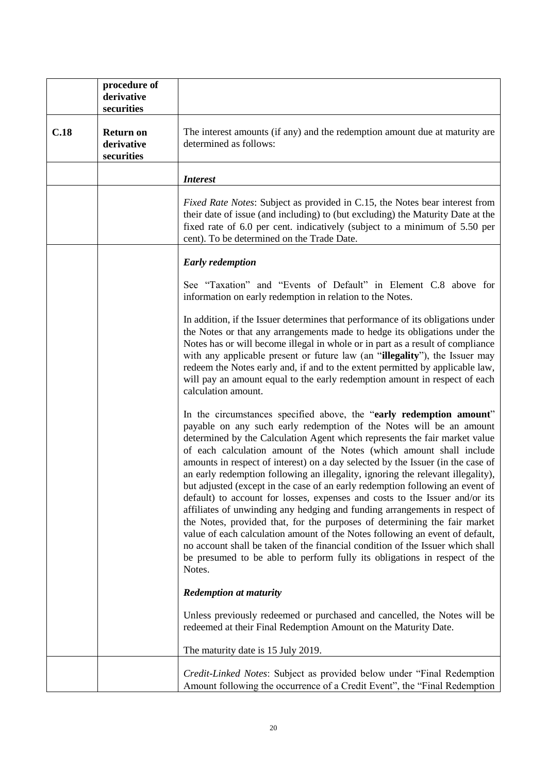<span id="page-19-0"></span>

|      | procedure of<br>derivative<br>securities     |                                                                                                                                                                                                                                                                                                                                                                                                                                                                                                                                                                                                                                                                                                                                                                                                                                                                                                                                                                                                                                                           |  |
|------|----------------------------------------------|-----------------------------------------------------------------------------------------------------------------------------------------------------------------------------------------------------------------------------------------------------------------------------------------------------------------------------------------------------------------------------------------------------------------------------------------------------------------------------------------------------------------------------------------------------------------------------------------------------------------------------------------------------------------------------------------------------------------------------------------------------------------------------------------------------------------------------------------------------------------------------------------------------------------------------------------------------------------------------------------------------------------------------------------------------------|--|
| C.18 | <b>Return on</b><br>derivative<br>securities | The interest amounts (if any) and the redemption amount due at maturity are<br>determined as follows:                                                                                                                                                                                                                                                                                                                                                                                                                                                                                                                                                                                                                                                                                                                                                                                                                                                                                                                                                     |  |
|      |                                              | <b>Interest</b>                                                                                                                                                                                                                                                                                                                                                                                                                                                                                                                                                                                                                                                                                                                                                                                                                                                                                                                                                                                                                                           |  |
|      |                                              | Fixed Rate Notes: Subject as provided in C.15, the Notes bear interest from<br>their date of issue (and including) to (but excluding) the Maturity Date at the<br>fixed rate of 6.0 per cent. indicatively (subject to a minimum of 5.50 per<br>cent). To be determined on the Trade Date.                                                                                                                                                                                                                                                                                                                                                                                                                                                                                                                                                                                                                                                                                                                                                                |  |
|      |                                              | <b>Early redemption</b>                                                                                                                                                                                                                                                                                                                                                                                                                                                                                                                                                                                                                                                                                                                                                                                                                                                                                                                                                                                                                                   |  |
|      |                                              | See "Taxation" and "Events of Default" in Element C.8 above for<br>information on early redemption in relation to the Notes.                                                                                                                                                                                                                                                                                                                                                                                                                                                                                                                                                                                                                                                                                                                                                                                                                                                                                                                              |  |
|      |                                              | In addition, if the Issuer determines that performance of its obligations under<br>the Notes or that any arrangements made to hedge its obligations under the<br>Notes has or will become illegal in whole or in part as a result of compliance<br>with any applicable present or future law (an "illegality"), the Issuer may<br>redeem the Notes early and, if and to the extent permitted by applicable law,<br>will pay an amount equal to the early redemption amount in respect of each<br>calculation amount.                                                                                                                                                                                                                                                                                                                                                                                                                                                                                                                                      |  |
|      |                                              | In the circumstances specified above, the "early redemption amount"<br>payable on any such early redemption of the Notes will be an amount<br>determined by the Calculation Agent which represents the fair market value<br>of each calculation amount of the Notes (which amount shall include<br>amounts in respect of interest) on a day selected by the Issuer (in the case of<br>an early redemption following an illegality, ignoring the relevant illegality),<br>but adjusted (except in the case of an early redemption following an event of<br>default) to account for losses, expenses and costs to the Issuer and/or its<br>affiliates of unwinding any hedging and funding arrangements in respect of<br>the Notes, provided that, for the purposes of determining the fair market<br>value of each calculation amount of the Notes following an event of default,<br>no account shall be taken of the financial condition of the Issuer which shall<br>be presumed to be able to perform fully its obligations in respect of the<br>Notes. |  |
|      |                                              | <b>Redemption at maturity</b>                                                                                                                                                                                                                                                                                                                                                                                                                                                                                                                                                                                                                                                                                                                                                                                                                                                                                                                                                                                                                             |  |
|      |                                              | Unless previously redeemed or purchased and cancelled, the Notes will be<br>redeemed at their Final Redemption Amount on the Maturity Date.                                                                                                                                                                                                                                                                                                                                                                                                                                                                                                                                                                                                                                                                                                                                                                                                                                                                                                               |  |
|      |                                              | The maturity date is 15 July 2019.                                                                                                                                                                                                                                                                                                                                                                                                                                                                                                                                                                                                                                                                                                                                                                                                                                                                                                                                                                                                                        |  |
|      |                                              | Credit-Linked Notes: Subject as provided below under "Final Redemption"<br>Amount following the occurrence of a Credit Event", the "Final Redemption                                                                                                                                                                                                                                                                                                                                                                                                                                                                                                                                                                                                                                                                                                                                                                                                                                                                                                      |  |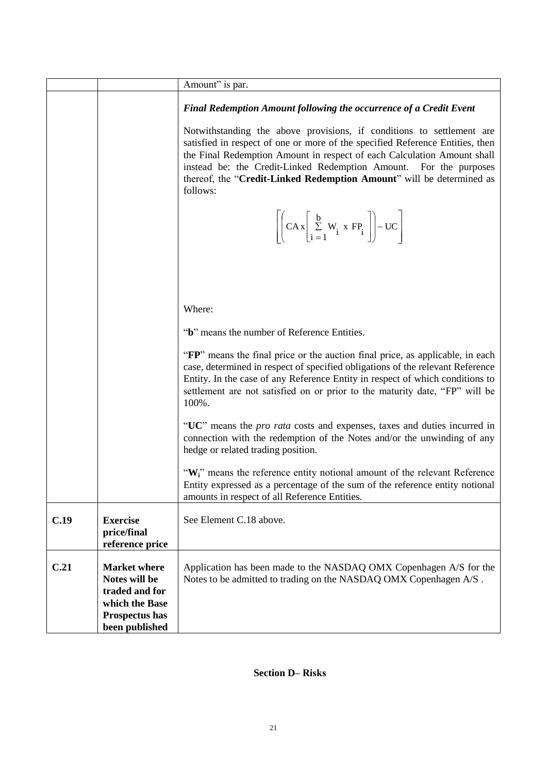|      |                                                                                                              | Amount" is par.                                                                                                                                                                                                                                                                                                                                                                            |  |  |  |  |  |  |
|------|--------------------------------------------------------------------------------------------------------------|--------------------------------------------------------------------------------------------------------------------------------------------------------------------------------------------------------------------------------------------------------------------------------------------------------------------------------------------------------------------------------------------|--|--|--|--|--|--|
|      |                                                                                                              | Final Redemption Amount following the occurrence of a Credit Event                                                                                                                                                                                                                                                                                                                         |  |  |  |  |  |  |
|      |                                                                                                              | Notwithstanding the above provisions, if conditions to settlement are<br>satisfied in respect of one or more of the specified Reference Entities, then<br>the Final Redemption Amount in respect of each Calculation Amount shall<br>instead be: the Credit-Linked Redemption Amount. For the purposes<br>thereof, the "Credit-Linked Redemption Amount" will be determined as<br>follows: |  |  |  |  |  |  |
|      |                                                                                                              | $\left[\left(CAx\left[\sum_{i=1}^{b} W_i \times FP_i\right]\right)-UC\right]$                                                                                                                                                                                                                                                                                                              |  |  |  |  |  |  |
|      |                                                                                                              |                                                                                                                                                                                                                                                                                                                                                                                            |  |  |  |  |  |  |
|      |                                                                                                              | Where:                                                                                                                                                                                                                                                                                                                                                                                     |  |  |  |  |  |  |
|      |                                                                                                              | "b" means the number of Reference Entities.                                                                                                                                                                                                                                                                                                                                                |  |  |  |  |  |  |
|      |                                                                                                              | "FP" means the final price or the auction final price, as applicable, in each<br>case, determined in respect of specified obligations of the relevant Reference<br>Entity. In the case of any Reference Entity in respect of which conditions to<br>settlement are not satisfied on or prior to the maturity date, "FP" will be<br>100%.                                                   |  |  |  |  |  |  |
|      |                                                                                                              | "UC" means the <i>pro rata</i> costs and expenses, taxes and duties incurred in<br>connection with the redemption of the Notes and/or the unwinding of any<br>hedge or related trading position.                                                                                                                                                                                           |  |  |  |  |  |  |
|      |                                                                                                              | "W <sub>i</sub> " means the reference entity notional amount of the relevant Reference<br>Entity expressed as a percentage of the sum of the reference entity notional<br>amounts in respect of all Reference Entities.                                                                                                                                                                    |  |  |  |  |  |  |
| C.19 | <b>Exercise</b><br>price/final<br>reference price                                                            | See Element C.18 above.                                                                                                                                                                                                                                                                                                                                                                    |  |  |  |  |  |  |
| C.21 | <b>Market where</b><br>Notes will be<br>traded and for<br>which the Base<br>Prospectus has<br>been published | Application has been made to the NASDAQ OMX Copenhagen A/S for the<br>Notes to be admitted to trading on the NASDAQ OMX Copenhagen A/S.                                                                                                                                                                                                                                                    |  |  |  |  |  |  |

## **Section D– Risks**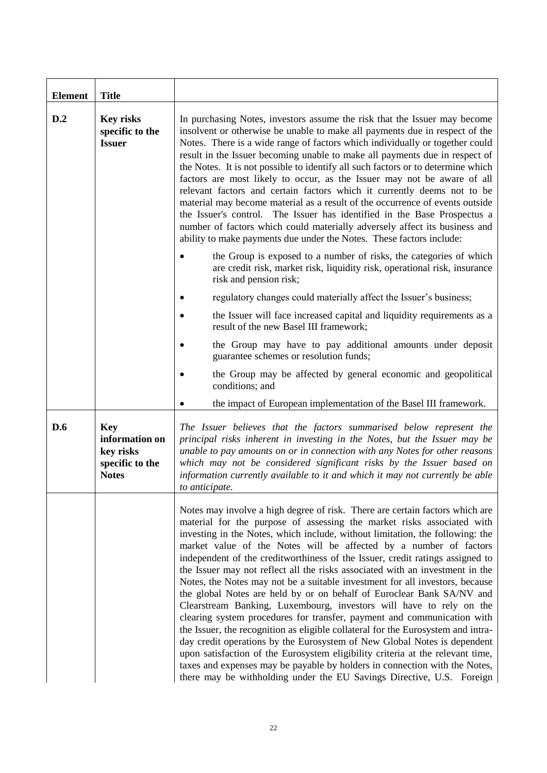| <b>Element</b> | <b>Title</b>                                                                 |                                                                                                                                                                                                                                                                                                                                                                                                                                                                                                                                                                                                                                                                                                                                                                                                                                                                                                                                                                                                                                                                                                                                                                                                    |  |  |  |  |  |
|----------------|------------------------------------------------------------------------------|----------------------------------------------------------------------------------------------------------------------------------------------------------------------------------------------------------------------------------------------------------------------------------------------------------------------------------------------------------------------------------------------------------------------------------------------------------------------------------------------------------------------------------------------------------------------------------------------------------------------------------------------------------------------------------------------------------------------------------------------------------------------------------------------------------------------------------------------------------------------------------------------------------------------------------------------------------------------------------------------------------------------------------------------------------------------------------------------------------------------------------------------------------------------------------------------------|--|--|--|--|--|
| D.2            | <b>Key risks</b><br>specific to the<br><b>Issuer</b>                         | In purchasing Notes, investors assume the risk that the Issuer may become<br>insolvent or otherwise be unable to make all payments due in respect of the<br>Notes. There is a wide range of factors which individually or together could<br>result in the Issuer becoming unable to make all payments due in respect of<br>the Notes. It is not possible to identify all such factors or to determine which<br>factors are most likely to occur, as the Issuer may not be aware of all<br>relevant factors and certain factors which it currently deems not to be<br>material may become material as a result of the occurrence of events outside<br>the Issuer's control. The Issuer has identified in the Base Prospectus a<br>number of factors which could materially adversely affect its business and<br>ability to make payments due under the Notes. These factors include:                                                                                                                                                                                                                                                                                                                |  |  |  |  |  |
|                |                                                                              | the Group is exposed to a number of risks, the categories of which<br>are credit risk, market risk, liquidity risk, operational risk, insurance<br>risk and pension risk;                                                                                                                                                                                                                                                                                                                                                                                                                                                                                                                                                                                                                                                                                                                                                                                                                                                                                                                                                                                                                          |  |  |  |  |  |
|                |                                                                              | regulatory changes could materially affect the Issuer's business;                                                                                                                                                                                                                                                                                                                                                                                                                                                                                                                                                                                                                                                                                                                                                                                                                                                                                                                                                                                                                                                                                                                                  |  |  |  |  |  |
|                |                                                                              | the Issuer will face increased capital and liquidity requirements as a<br>result of the new Basel III framework;                                                                                                                                                                                                                                                                                                                                                                                                                                                                                                                                                                                                                                                                                                                                                                                                                                                                                                                                                                                                                                                                                   |  |  |  |  |  |
|                |                                                                              | the Group may have to pay additional amounts under deposit<br>guarantee schemes or resolution funds;                                                                                                                                                                                                                                                                                                                                                                                                                                                                                                                                                                                                                                                                                                                                                                                                                                                                                                                                                                                                                                                                                               |  |  |  |  |  |
|                |                                                                              | the Group may be affected by general economic and geopolitical<br>conditions; and                                                                                                                                                                                                                                                                                                                                                                                                                                                                                                                                                                                                                                                                                                                                                                                                                                                                                                                                                                                                                                                                                                                  |  |  |  |  |  |
|                |                                                                              | the impact of European implementation of the Basel III framework.                                                                                                                                                                                                                                                                                                                                                                                                                                                                                                                                                                                                                                                                                                                                                                                                                                                                                                                                                                                                                                                                                                                                  |  |  |  |  |  |
| D.6            | <b>Key</b><br>information on<br>key risks<br>specific to the<br><b>Notes</b> | The Issuer believes that the factors summarised below represent the<br>principal risks inherent in investing in the Notes, but the Issuer may be<br>unable to pay amounts on or in connection with any Notes for other reasons<br>which may not be considered significant risks by the Issuer based on<br>information currently available to it and which it may not currently be able<br>to anticipate.                                                                                                                                                                                                                                                                                                                                                                                                                                                                                                                                                                                                                                                                                                                                                                                           |  |  |  |  |  |
|                |                                                                              | Notes may involve a high degree of risk. There are certain factors which are<br>material for the purpose of assessing the market risks associated with<br>investing in the Notes, which include, without limitation, the following: the<br>market value of the Notes will be affected by a number of factors<br>independent of the creditworthiness of the Issuer, credit ratings assigned to<br>the Issuer may not reflect all the risks associated with an investment in the<br>Notes, the Notes may not be a suitable investment for all investors, because<br>the global Notes are held by or on behalf of Euroclear Bank SA/NV and<br>Clearstream Banking, Luxembourg, investors will have to rely on the<br>clearing system procedures for transfer, payment and communication with<br>the Issuer, the recognition as eligible collateral for the Eurosystem and intra-<br>day credit operations by the Eurosystem of New Global Notes is dependent<br>upon satisfaction of the Eurosystem eligibility criteria at the relevant time,<br>taxes and expenses may be payable by holders in connection with the Notes,<br>there may be withholding under the EU Savings Directive, U.S. Foreign |  |  |  |  |  |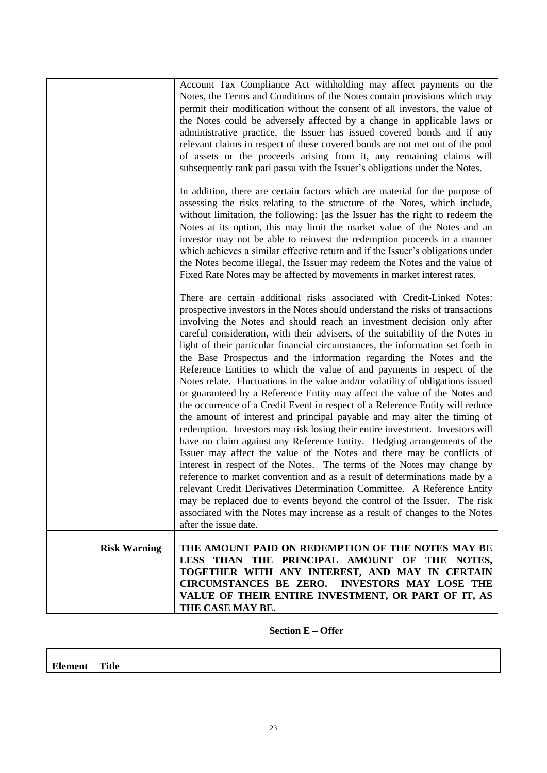| Account Tax Compliance Act withholding may affect payments on the<br>Notes, the Terms and Conditions of the Notes contain provisions which may<br>permit their modification without the consent of all investors, the value of<br>the Notes could be adversely affected by a change in applicable laws or<br>administrative practice, the Issuer has issued covered bonds and if any<br>relevant claims in respect of these covered bonds are not met out of the pool<br>of assets or the proceeds arising from it, any remaining claims will<br>subsequently rank pari passu with the Issuer's obligations under the Notes.                                                                                                                                                                                                                                                                                                                                                                                                                                                                                                                                                                                                                                                                                                                                                                                                                                                                                                                        |
|-----------------------------------------------------------------------------------------------------------------------------------------------------------------------------------------------------------------------------------------------------------------------------------------------------------------------------------------------------------------------------------------------------------------------------------------------------------------------------------------------------------------------------------------------------------------------------------------------------------------------------------------------------------------------------------------------------------------------------------------------------------------------------------------------------------------------------------------------------------------------------------------------------------------------------------------------------------------------------------------------------------------------------------------------------------------------------------------------------------------------------------------------------------------------------------------------------------------------------------------------------------------------------------------------------------------------------------------------------------------------------------------------------------------------------------------------------------------------------------------------------------------------------------------------------|
| In addition, there are certain factors which are material for the purpose of<br>assessing the risks relating to the structure of the Notes, which include,<br>without limitation, the following: [as the Issuer has the right to redeem the<br>Notes at its option, this may limit the market value of the Notes and an<br>investor may not be able to reinvest the redemption proceeds in a manner<br>which achieves a similar effective return and if the Issuer's obligations under<br>the Notes become illegal, the Issuer may redeem the Notes and the value of<br>Fixed Rate Notes may be affected by movements in market interest rates.                                                                                                                                                                                                                                                                                                                                                                                                                                                                                                                                                                                                                                                                                                                                                                                                                                                                                                     |
| There are certain additional risks associated with Credit-Linked Notes:<br>prospective investors in the Notes should understand the risks of transactions<br>involving the Notes and should reach an investment decision only after<br>careful consideration, with their advisers, of the suitability of the Notes in<br>light of their particular financial circumstances, the information set forth in<br>the Base Prospectus and the information regarding the Notes and the<br>Reference Entities to which the value of and payments in respect of the<br>Notes relate. Fluctuations in the value and/or volatility of obligations issued<br>or guaranteed by a Reference Entity may affect the value of the Notes and<br>the occurrence of a Credit Event in respect of a Reference Entity will reduce<br>the amount of interest and principal payable and may alter the timing of<br>redemption. Investors may risk losing their entire investment. Investors will<br>have no claim against any Reference Entity. Hedging arrangements of the<br>Issuer may affect the value of the Notes and there may be conflicts of<br>interest in respect of the Notes. The terms of the Notes may change by<br>reference to market convention and as a result of determinations made by a<br>relevant Credit Derivatives Determination Committee. A Reference Entity<br>may be replaced due to events beyond the control of the Issuer. The risk<br>associated with the Notes may increase as a result of changes to the Notes<br>after the issue date. |
| <b>Risk Warning</b><br>THE AMOUNT PAID ON REDEMPTION OF THE NOTES MAY BE<br>LESS THAN THE PRINCIPAL AMOUNT OF THE NOTES,<br>TOGETHER WITH ANY INTEREST, AND MAY IN CERTAIN<br>CIRCUMSTANCES BE ZERO. INVESTORS MAY LOSE THE<br>VALUE OF THEIR ENTIRE INVESTMENT, OR PART OF IT, AS<br>THE CASE MAY BE.                                                                                                                                                                                                                                                                                                                                                                                                                                                                                                                                                                                                                                                                                                                                                                                                                                                                                                                                                                                                                                                                                                                                                                                                                                              |

**Section E – Offer**

| $\mathbf{r}$ | --- |  |
|--------------|-----|--|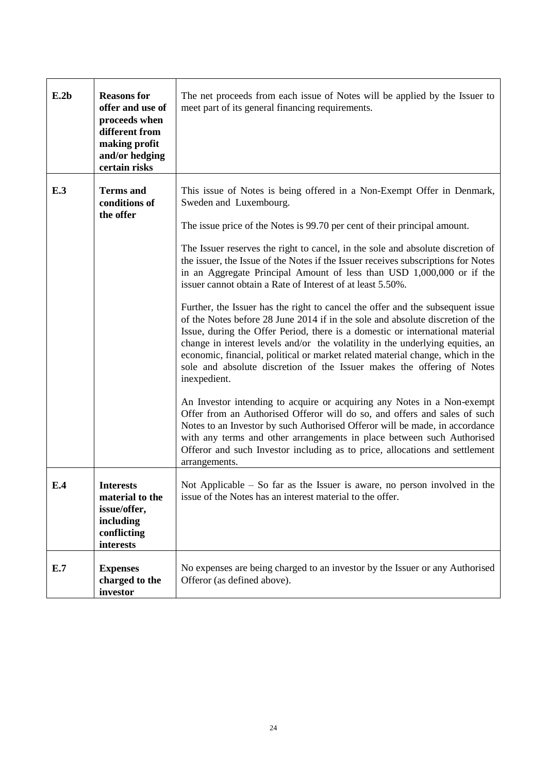| E.2b | <b>Reasons for</b><br>offer and use of<br>proceeds when<br>different from<br>making profit<br>and/or hedging<br>certain risks | The net proceeds from each issue of Notes will be applied by the Issuer to<br>meet part of its general financing requirements.                                                                                                                                                                                                                                                                                                                                                                                                                                                                                                                                                                                                                                                                                                                                                                                                                                                                                                                                                                                                                                                                                                                                                                                                                                                                                                   |  |  |  |
|------|-------------------------------------------------------------------------------------------------------------------------------|----------------------------------------------------------------------------------------------------------------------------------------------------------------------------------------------------------------------------------------------------------------------------------------------------------------------------------------------------------------------------------------------------------------------------------------------------------------------------------------------------------------------------------------------------------------------------------------------------------------------------------------------------------------------------------------------------------------------------------------------------------------------------------------------------------------------------------------------------------------------------------------------------------------------------------------------------------------------------------------------------------------------------------------------------------------------------------------------------------------------------------------------------------------------------------------------------------------------------------------------------------------------------------------------------------------------------------------------------------------------------------------------------------------------------------|--|--|--|
| E.3  | <b>Terms</b> and<br>conditions of<br>the offer                                                                                | This issue of Notes is being offered in a Non-Exempt Offer in Denmark,<br>Sweden and Luxembourg.<br>The issue price of the Notes is 99.70 per cent of their principal amount.<br>The Issuer reserves the right to cancel, in the sole and absolute discretion of<br>the issuer, the Issue of the Notes if the Issuer receives subscriptions for Notes<br>in an Aggregate Principal Amount of less than USD 1,000,000 or if the<br>issuer cannot obtain a Rate of Interest of at least 5.50%.<br>Further, the Issuer has the right to cancel the offer and the subsequent issue<br>of the Notes before 28 June 2014 if in the sole and absolute discretion of the<br>Issue, during the Offer Period, there is a domestic or international material<br>change in interest levels and/or the volatility in the underlying equities, an<br>economic, financial, political or market related material change, which in the<br>sole and absolute discretion of the Issuer makes the offering of Notes<br>inexpedient.<br>An Investor intending to acquire or acquiring any Notes in a Non-exempt<br>Offer from an Authorised Offeror will do so, and offers and sales of such<br>Notes to an Investor by such Authorised Offeror will be made, in accordance<br>with any terms and other arrangements in place between such Authorised<br>Offeror and such Investor including as to price, allocations and settlement<br>arrangements. |  |  |  |
| E.4  | <b>Interests</b><br>material to the<br>issue/offer,<br>including<br>conflicting<br>interests                                  | Not Applicable $-$ So far as the Issuer is aware, no person involved in the<br>issue of the Notes has an interest material to the offer.                                                                                                                                                                                                                                                                                                                                                                                                                                                                                                                                                                                                                                                                                                                                                                                                                                                                                                                                                                                                                                                                                                                                                                                                                                                                                         |  |  |  |
| E.7  | <b>Expenses</b><br>charged to the<br>investor                                                                                 | No expenses are being charged to an investor by the Issuer or any Authorised<br>Offeror (as defined above).                                                                                                                                                                                                                                                                                                                                                                                                                                                                                                                                                                                                                                                                                                                                                                                                                                                                                                                                                                                                                                                                                                                                                                                                                                                                                                                      |  |  |  |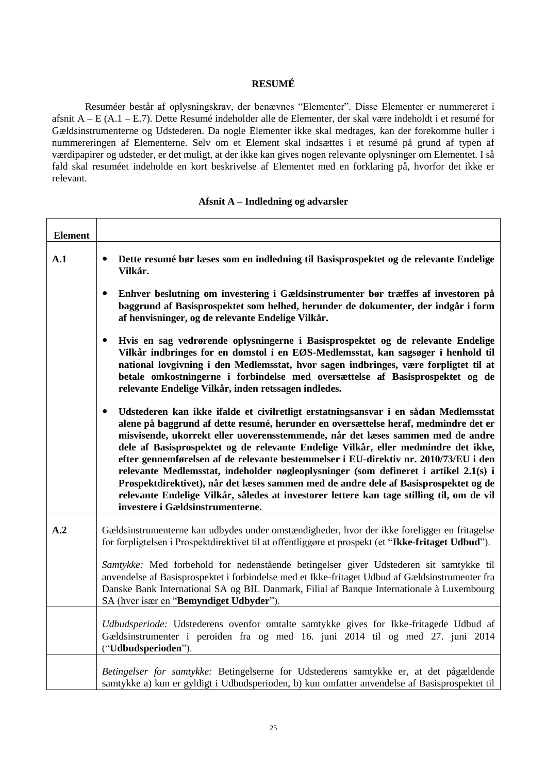### **RESUMÉ**

Resuméer består af oplysningskrav, der benævnes "Elementer". Disse Elementer er nummereret i afsnit A – E (A.1 – E.7). Dette Resumé indeholder alle de Elementer, der skal være indeholdt i et resumé for Gældsinstrumenterne og Udstederen. Da nogle Elementer ikke skal medtages, kan der forekomme huller i nummereringen af Elementerne. Selv om et Element skal indsættes i et resumé på grund af typen af værdipapirer og udsteder, er det muligt, at der ikke kan gives nogen relevante oplysninger om Elementet. I så fald skal resuméet indeholde en kort beskrivelse af Elementet med en forklaring på, hvorfor det ikke er relevant.

| <b>Element</b> |                                                                                                                                                                                                                                                                                                                                                                                                                                                                                                                                                                                                                                                                                                                                                                           |  |  |  |  |
|----------------|---------------------------------------------------------------------------------------------------------------------------------------------------------------------------------------------------------------------------------------------------------------------------------------------------------------------------------------------------------------------------------------------------------------------------------------------------------------------------------------------------------------------------------------------------------------------------------------------------------------------------------------------------------------------------------------------------------------------------------------------------------------------------|--|--|--|--|
| A.1            | Dette resumé bør læses som en indledning til Basisprospektet og de relevante Endelige<br>$\bullet$<br>Vilkår.                                                                                                                                                                                                                                                                                                                                                                                                                                                                                                                                                                                                                                                             |  |  |  |  |
|                | Enhver beslutning om investering i Gældsinstrumenter bør træffes af investoren på<br>$\bullet$<br>baggrund af Basisprospektet som helhed, herunder de dokumenter, der indgår i form<br>af henvisninger, og de relevante Endelige Vilkår.                                                                                                                                                                                                                                                                                                                                                                                                                                                                                                                                  |  |  |  |  |
|                | Hvis en sag vedrørende oplysningerne i Basisprospektet og de relevante Endelige<br>$\bullet$<br>Vilkår indbringes for en domstol i en EØS-Medlemsstat, kan sagsøger i henhold til<br>national lovgivning i den Medlemsstat, hvor sagen indbringes, være forpligtet til at<br>betale omkostningerne i forbindelse med oversættelse af Basisprospektet og de<br>relevante Endelige Vilkår, inden retssagen indledes.                                                                                                                                                                                                                                                                                                                                                        |  |  |  |  |
|                | Udstederen kan ikke ifalde et civilretligt erstatningsansvar i en sådan Medlemsstat<br>$\bullet$<br>alene på baggrund af dette resumé, herunder en oversættelse heraf, medmindre det er<br>misvisende, ukorrekt eller uoverensstemmende, når det læses sammen med de andre<br>dele af Basisprospektet og de relevante Endelige Vilkår, eller medmindre det ikke,<br>efter gennemførelsen af de relevante bestemmelser i EU-direktiv nr. 2010/73/EU i den<br>relevante Medlemsstat, indeholder nøgleoplysninger (som defineret i artikel 2.1(s) i<br>Prospektdirektivet), når det læses sammen med de andre dele af Basisprospektet og de<br>relevante Endelige Vilkår, således at investorer lettere kan tage stilling til, om de vil<br>investere i Gældsinstrumenterne. |  |  |  |  |
| A.2            | Gældsinstrumenterne kan udbydes under omstændigheder, hvor der ikke foreligger en fritagelse<br>for forpligtelsen i Prospektdirektivet til at offentliggøre et prospekt (et "Ikke-fritaget Udbud").                                                                                                                                                                                                                                                                                                                                                                                                                                                                                                                                                                       |  |  |  |  |
|                | Samtykke: Med forbehold for nedenstående betingelser giver Udstederen sit samtykke til<br>anvendelse af Basisprospektet i forbindelse med et Ikke-fritaget Udbud af Gældsinstrumenter fra<br>Danske Bank International SA og BIL Danmark, Filial af Banque Internationale à Luxembourg<br>SA (hver især en "Bemyndiget Udbyder").                                                                                                                                                                                                                                                                                                                                                                                                                                         |  |  |  |  |
|                | Udbudsperiode: Udstederens ovenfor omtalte samtykke gives for Ikke-fritagede Udbud af<br>Gældsinstrumenter i peroiden fra og med 16. juni 2014 til og med 27. juni 2014<br>("Udbudsperioden").                                                                                                                                                                                                                                                                                                                                                                                                                                                                                                                                                                            |  |  |  |  |
|                | Betingelser for samtykke: Betingelserne for Udstederens samtykke er, at det pågældende<br>samtykke a) kun er gyldigt i Udbudsperioden, b) kun omfatter anvendelse af Basisprospektet til                                                                                                                                                                                                                                                                                                                                                                                                                                                                                                                                                                                  |  |  |  |  |

#### **Afsnit A – Indledning og advarsler**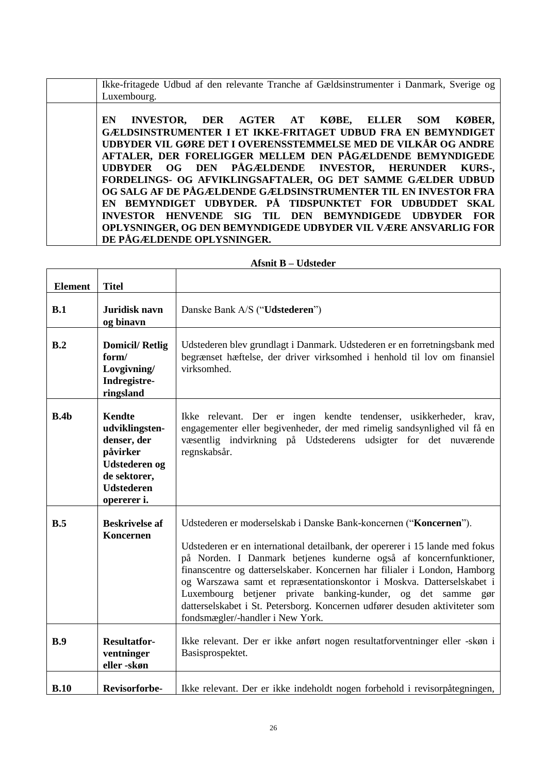|             |  | . Ikke-fritagede Udbud af den relevante Tranche af Gældsinstrumenter i Danmark, Sverige og b |  |  |
|-------------|--|----------------------------------------------------------------------------------------------|--|--|
| Luxembourg. |  |                                                                                              |  |  |
|             |  |                                                                                              |  |  |

**EN INVESTOR, DER AGTER AT KØBE, ELLER SOM KØBER, GÆLDSINSTRUMENTER I ET IKKE-FRITAGET UDBUD FRA EN BEMYNDIGET UDBYDER VIL GØRE DET I OVERENSSTEMMELSE MED DE VILKÅR OG ANDRE AFTALER, DER FORELIGGER MELLEM DEN PÅGÆLDENDE BEMYNDIGEDE UDBYDER OG DEN PÅGÆLDENDE INVESTOR, HERUNDER KURS-, FORDELINGS- OG AFVIKLINGSAFTALER, OG DET SAMME GÆLDER UDBUD OG SALG AF DE PÅGÆLDENDE GÆLDSINSTRUMENTER TIL EN INVESTOR FRA EN BEMYNDIGET UDBYDER. PÅ TIDSPUNKTET FOR UDBUDDET SKAL INVESTOR HENVENDE SIG TIL DEN BEMYNDIGEDE UDBYDER FOR OPLYSNINGER, OG DEN BEMYNDIGEDE UDBYDER VIL VÆRE ANSVARLIG FOR DE PÅGÆLDENDE OPLYSNINGER.** 

| <b>Element</b> | <b>Titel</b>                                                                                                                           |                                                                                                                                                                                                                                                                                                                                                                                                                                                                                                                                                                 |  |
|----------------|----------------------------------------------------------------------------------------------------------------------------------------|-----------------------------------------------------------------------------------------------------------------------------------------------------------------------------------------------------------------------------------------------------------------------------------------------------------------------------------------------------------------------------------------------------------------------------------------------------------------------------------------------------------------------------------------------------------------|--|
| B.1            | Juridisk navn<br>og binavn                                                                                                             | Danske Bank A/S ("Udstederen")                                                                                                                                                                                                                                                                                                                                                                                                                                                                                                                                  |  |
| B.2            | <b>Domicil/Retlig</b><br>form/<br>Lovgivning/<br>Indregistre-<br>ringsland                                                             | Udstederen blev grundlagt i Danmark. Udstederen er en forretningsbank med<br>begrænset hæftelse, der driver virksomhed i henhold til lov om finansiel<br>virksomhed.                                                                                                                                                                                                                                                                                                                                                                                            |  |
| B.4b           | <b>Kendte</b><br>udviklingsten-<br>denser, der<br>påvirker<br><b>Udstederen og</b><br>de sektorer,<br><b>Udstederen</b><br>opererer i. | Ikke relevant. Der er ingen kendte tendenser, usikkerheder, krav,<br>engagementer eller begivenheder, der med rimelig sandsynlighed vil få en<br>væsentlig indvirkning på Udstederens udsigter for det nuværende<br>regnskabsår.                                                                                                                                                                                                                                                                                                                                |  |
| B.5            | <b>Beskrivelse af</b><br>Koncernen                                                                                                     | Udstederen er moderselskab i Danske Bank-koncernen ("Koncernen").<br>Udstederen er en international detailbank, der opererer i 15 lande med fokus<br>på Norden. I Danmark betjenes kunderne også af koncernfunktioner,<br>finanscentre og datterselskaber. Koncernen har filialer i London, Hamborg<br>og Warszawa samt et repræsentationskontor i Moskva. Datterselskabet i<br>Luxembourg betjener private banking-kunder, og det samme gør<br>datterselskabet i St. Petersborg. Koncernen udfører desuden aktiviteter som<br>fondsmægler/-handler i New York. |  |
| B.9            | <b>Resultatfor-</b><br>ventninger<br>eller-skøn                                                                                        | Ikke relevant. Der er ikke anført nogen resultatforventninger eller -skøn i<br>Basisprospektet.                                                                                                                                                                                                                                                                                                                                                                                                                                                                 |  |
| B.10           | <b>Revisorforbe-</b>                                                                                                                   | Ikke relevant. Der er ikke indeholdt nogen forbehold i revisorpåtegningen,                                                                                                                                                                                                                                                                                                                                                                                                                                                                                      |  |

#### **Afsnit B – Udsteder**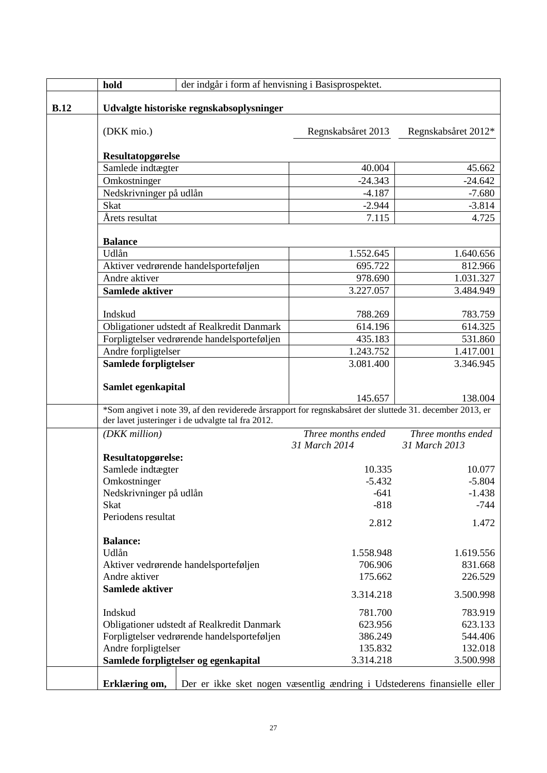|      | hold                                     | der indgår i form af henvisning i Basisprospektet.                                                        |                                                                          |                     |
|------|------------------------------------------|-----------------------------------------------------------------------------------------------------------|--------------------------------------------------------------------------|---------------------|
| B.12 | Udvalgte historiske regnskabsoplysninger |                                                                                                           |                                                                          |                     |
|      | (DKK mio.)                               |                                                                                                           | Regnskabsåret 2013                                                       | Regnskabsåret 2012* |
|      | Resultatopgørelse                        |                                                                                                           |                                                                          |                     |
|      | Samlede indtægter                        |                                                                                                           | 40.004                                                                   | 45.662              |
|      | Omkostninger                             |                                                                                                           | $-24.343$                                                                | $-24.642$           |
|      | Nedskrivninger på udlån                  |                                                                                                           | $-4.187$                                                                 | $-7.680$            |
|      | <b>Skat</b>                              |                                                                                                           | $-2.944$                                                                 | $-3.814$            |
|      | Årets resultat                           |                                                                                                           | 7.115                                                                    | 4.725               |
|      |                                          |                                                                                                           |                                                                          |                     |
|      | <b>Balance</b>                           |                                                                                                           |                                                                          |                     |
|      | Udlån                                    |                                                                                                           | 1.552.645                                                                | 1.640.656           |
|      |                                          | Aktiver vedrørende handelsporteføljen                                                                     | 695.722                                                                  | 812.966             |
|      | Andre aktiver                            |                                                                                                           | 978.690                                                                  | 1.031.327           |
|      | Samlede aktiver                          |                                                                                                           | 3.227.057                                                                | 3.484.949           |
|      | Indskud                                  |                                                                                                           | 788.269                                                                  | 783.759             |
|      |                                          | Obligationer udstedt af Realkredit Danmark                                                                | 614.196                                                                  | 614.325             |
|      |                                          | Forpligtelser vedrørende handelsporteføljen                                                               | 435.183                                                                  | 531.860             |
|      | Andre forpligtelser                      |                                                                                                           | 1.243.752                                                                | 1.417.001           |
|      | Samlede forpligtelser                    |                                                                                                           | 3.081.400                                                                | 3.346.945           |
|      |                                          |                                                                                                           |                                                                          |                     |
|      | Samlet egenkapital                       |                                                                                                           | 145.657                                                                  | 138.004             |
|      |                                          | *Som angivet i note 39, af den reviderede årsrapport for regnskabsåret der sluttede 31. december 2013, er |                                                                          |                     |
|      |                                          | der lavet justeringer i de udvalgte tal fra 2012.                                                         |                                                                          |                     |
|      | (DKK million)                            |                                                                                                           | Three months ended                                                       | Three months ended  |
|      |                                          |                                                                                                           | 31 March 2014                                                            | 31 March 2013       |
|      | Resultatopgørelse:<br>Samlede indtægter  |                                                                                                           |                                                                          |                     |
|      |                                          |                                                                                                           | 10.335                                                                   | 10.077              |
|      | Omkostninger                             |                                                                                                           | $-5.432$                                                                 | $-5.804$            |
|      | Nedskrivninger på udlån                  |                                                                                                           | $-641$                                                                   | $-1.438$            |
|      | <b>Skat</b>                              |                                                                                                           | $-818$                                                                   | $-744$              |
|      | Periodens resultat                       |                                                                                                           | 2.812                                                                    | 1.472               |
|      | <b>Balance:</b>                          |                                                                                                           |                                                                          |                     |
|      | Udlån                                    |                                                                                                           | 1.558.948                                                                | 1.619.556           |
|      |                                          | Aktiver vedrørende handelsporteføljen                                                                     | 706.906                                                                  | 831.668             |
|      | Andre aktiver                            |                                                                                                           | 175.662                                                                  | 226.529             |
|      | Samlede aktiver                          |                                                                                                           |                                                                          | 3.500.998           |
|      | Indskud                                  |                                                                                                           | 781.700                                                                  | 783.919             |
|      |                                          | Obligationer udstedt af Realkredit Danmark                                                                | 623.956                                                                  | 623.133             |
|      |                                          | Forpligtelser vedrørende handelsporteføljen                                                               | 386.249                                                                  | 544.406             |
|      | Andre forpligtelser                      |                                                                                                           | 135.832                                                                  | 132.018             |
|      |                                          | Samlede forpligtelser og egenkapital                                                                      | 3.314.218                                                                | 3.500.998           |
|      | Erklæring om,                            |                                                                                                           | Der er ikke sket nogen væsentlig ændring i Udstederens finansielle eller |                     |
|      |                                          |                                                                                                           |                                                                          |                     |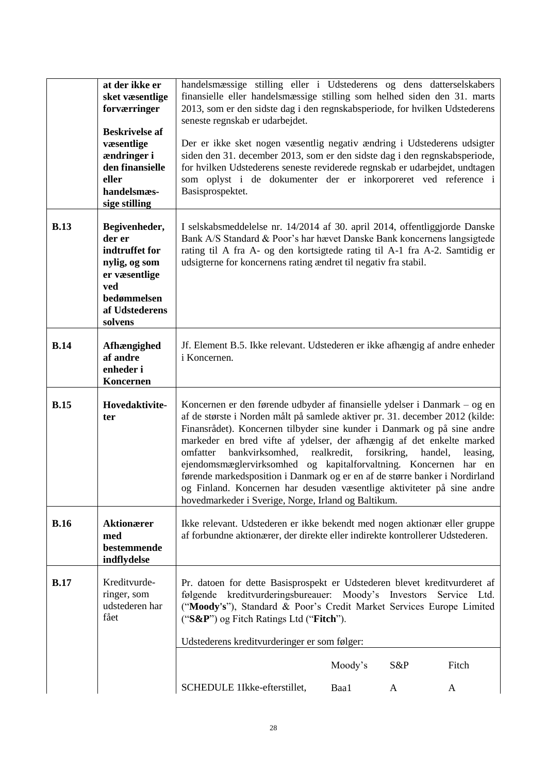|             | at der ikke er<br>sket væsentlige<br>forværringer<br><b>Beskrivelse af</b><br>væsentlige<br>ændringer i<br>den finansielle<br>eller<br>handelsmæs-<br>sige stilling | handelsmæssige stilling eller i Udstederens og dens datterselskabers<br>finansielle eller handelsmæssige stilling som helhed siden den 31. marts<br>2013, som er den sidste dag i den regnskabsperiode, for hvilken Udstederens<br>seneste regnskab er udarbejdet.<br>Der er ikke sket nogen væsentlig negativ ændring i Udstederens udsigter<br>siden den 31. december 2013, som er den sidste dag i den regnskabsperiode,<br>for hvilken Udstederens seneste reviderede regnskab er udarbejdet, undtagen<br>som oplyst i de dokumenter der er inkorporeret ved reference i<br>Basisprospektet.                                                                                   |  |
|-------------|---------------------------------------------------------------------------------------------------------------------------------------------------------------------|------------------------------------------------------------------------------------------------------------------------------------------------------------------------------------------------------------------------------------------------------------------------------------------------------------------------------------------------------------------------------------------------------------------------------------------------------------------------------------------------------------------------------------------------------------------------------------------------------------------------------------------------------------------------------------|--|
| <b>B.13</b> | Begivenheder,<br>der er<br>indtruffet for<br>nylig, og som<br>er væsentlige<br>ved<br>bedømmelsen<br>af Udstederens<br>solvens                                      | I selskabsmeddelelse nr. 14/2014 af 30. april 2014, offentliggjorde Danske<br>Bank A/S Standard & Poor's har hævet Danske Bank koncernens langsigtede<br>rating til A fra A- og den kortsigtede rating til A-1 fra A-2. Samtidig er<br>udsigterne for koncernens rating ændret til negativ fra stabil.                                                                                                                                                                                                                                                                                                                                                                             |  |
| <b>B.14</b> | Afhængighed<br>af andre<br>enheder i<br>Koncernen                                                                                                                   | Jf. Element B.5. Ikke relevant. Udstederen er ikke afhængig af andre enheder<br>i Koncernen.                                                                                                                                                                                                                                                                                                                                                                                                                                                                                                                                                                                       |  |
| <b>B.15</b> | Hovedaktivite-<br>ter                                                                                                                                               | Koncernen er den førende udbyder af finansielle ydelser i Danmark – og en<br>af de største i Norden målt på samlede aktiver pr. 31. december 2012 (kilde:<br>Finansrådet). Koncernen tilbyder sine kunder i Danmark og på sine andre<br>markeder en bred vifte af ydelser, der afhængig af det enkelte marked<br>bankvirksomhed, realkredit,<br>forsikring,<br>omfatter<br>handel,<br>leasing,<br>ejendomsmæglervirksomhed og kapitalforvaltning. Koncernen har en<br>førende markedsposition i Danmark og er en af de større banker i Nordirland<br>og Finland. Koncernen har desuden væsentlige aktiviteter på sine andre<br>hovedmarkeder i Sverige, Norge, Irland og Baltikum. |  |
| <b>B.16</b> | <b>Aktionærer</b><br>med<br>bestemmende<br>indflydelse                                                                                                              | Ikke relevant. Udstederen er ikke bekendt med nogen aktionær eller gruppe<br>af forbundne aktionærer, der direkte eller indirekte kontrollerer Udstederen.                                                                                                                                                                                                                                                                                                                                                                                                                                                                                                                         |  |
| B.17        | Kreditvurde-<br>ringer, som<br>udstederen har<br>fået                                                                                                               | Pr. datoen for dette Basisprospekt er Udstederen blevet kreditvurderet af<br>følgende kreditvurderingsbureauer: Moody's Investors Service Ltd.<br>("Moody's"), Standard & Poor's Credit Market Services Europe Limited<br>("S&P") og Fitch Ratings Ltd ("Fitch").<br>Udstederens kreditvurderinger er som følger:                                                                                                                                                                                                                                                                                                                                                                  |  |
|             |                                                                                                                                                                     | Moody's<br>S&P<br>Fitch                                                                                                                                                                                                                                                                                                                                                                                                                                                                                                                                                                                                                                                            |  |
|             |                                                                                                                                                                     | SCHEDULE 1Ikke-efterstillet,<br>Baa1<br>A<br>A                                                                                                                                                                                                                                                                                                                                                                                                                                                                                                                                                                                                                                     |  |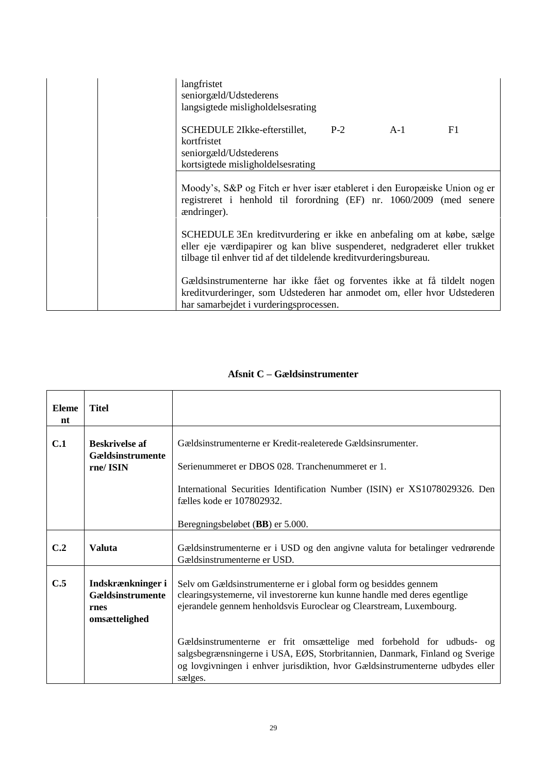| langfristet<br>seniorgæld/Udstederens<br>langsigtede misligholdelsesrating                                                                                                                                             |  |    |
|------------------------------------------------------------------------------------------------------------------------------------------------------------------------------------------------------------------------|--|----|
| SCHEDULE 2Ikke-efterstillet, P-2 A-1<br>kortfristet<br>seniorgæld/Udstederens<br>kortsigtede misligholdelsesrating                                                                                                     |  | F1 |
| Moody's, S&P og Fitch er hver især etableret i den Europæiske Union og er<br>registreret i henhold til forordning (EF) nr. 1060/2009 (med senere<br><i>andringer</i> ).                                                |  |    |
| SCHEDULE 3En kreditvurdering er ikke en anbefaling om at købe, sælge<br>eller eje værdipapirer og kan blive suspenderet, nedgraderet eller trukket<br>tilbage til enhver tid af det tildelende kreditvurderingsbureau. |  |    |
| Gældsinstrumenterne har ikke fået og forventes ikke at få tildelt nogen<br>kreditvurderinger, som Udstederen har anmodet om, eller hvor Udstederen<br>har samarbejdet i vurderingsprocessen.                           |  |    |

# **Afsnit C – Gældsinstrumenter**

| <b>Eleme</b><br>nt | <b>Titel</b>                                                   |                                                                                                                                                                                                                                                  |
|--------------------|----------------------------------------------------------------|--------------------------------------------------------------------------------------------------------------------------------------------------------------------------------------------------------------------------------------------------|
| C.1                | <b>Beskrivelse af</b><br>Gældsinstrumente                      | Gældsinstrumenterne er Kredit-realeterede Gældsinsrumenter.                                                                                                                                                                                      |
|                    | rne/ISIN                                                       | Serienummeret er DBOS 028. Tranchenummeret er 1.                                                                                                                                                                                                 |
|                    |                                                                | International Securities Identification Number (ISIN) er XS1078029326. Den<br>fælles kode er 107802932.                                                                                                                                          |
|                    |                                                                | Beregningsbeløbet (BB) er 5.000.                                                                                                                                                                                                                 |
| C.2                | <b>Valuta</b>                                                  | Gældsinstrumenterne er i USD og den angivne valuta for betalinger vedrørende<br>Gældsinstrumenterne er USD.                                                                                                                                      |
| C.5                | Indskrænkninger i<br>Gældsinstrumente<br>rnes<br>omsættelighed | Selv om Gældsinstrumenterne er i global form og besiddes gennem<br>clearingsystemerne, vil investorerne kun kunne handle med deres egentlige<br>ejerandele gennem henholdsvis Euroclear og Clearstream, Luxembourg.                              |
|                    |                                                                | Gældsinstrumenterne er frit omsættelige med forbehold for udbuds- og<br>salgsbegrænsningerne i USA, EØS, Storbritannien, Danmark, Finland og Sverige<br>og lovgivningen i enhver jurisdiktion, hvor Gældsinstrumenterne udbydes eller<br>sælges. |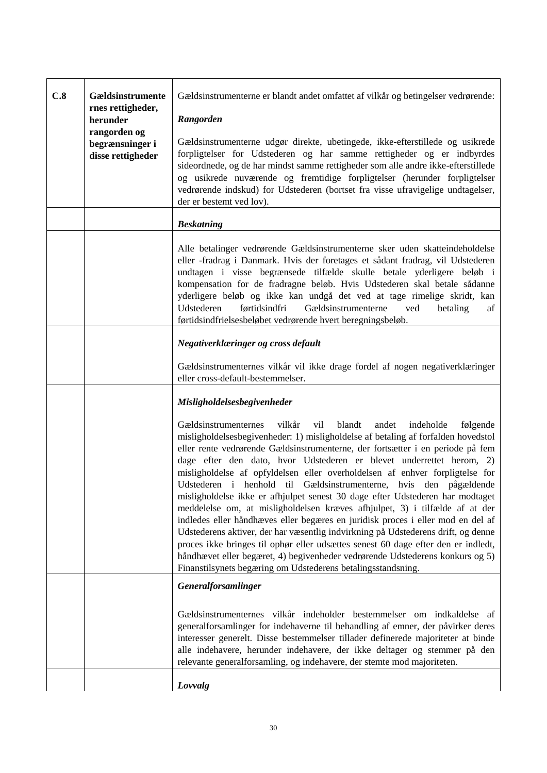| C.8 | Gældsinstrumente<br>rnes rettigheder,<br>herunder<br>rangorden og<br>begrænsninger i<br>disse rettigheder | Gældsinstrumenterne er blandt andet omfattet af vilkår og betingelser vedrørende:<br>Rangorden<br>Gældsinstrumenterne udgør direkte, ubetingede, ikke-efterstillede og usikrede<br>forpligtelser for Udstederen og har samme rettigheder og er indbyrdes<br>sideordnede, og de har mindst samme rettigheder som alle andre ikke-efterstillede<br>og usikrede nuværende og fremtidige forpligtelser (herunder forpligtelser<br>vedrørende indskud) for Udstederen (bortset fra visse ufravigelige undtagelser,<br>der er bestemt ved lov).                                                                                                                                                                                                                                                                                                                                                                                                                                                                                                                           |
|-----|-----------------------------------------------------------------------------------------------------------|---------------------------------------------------------------------------------------------------------------------------------------------------------------------------------------------------------------------------------------------------------------------------------------------------------------------------------------------------------------------------------------------------------------------------------------------------------------------------------------------------------------------------------------------------------------------------------------------------------------------------------------------------------------------------------------------------------------------------------------------------------------------------------------------------------------------------------------------------------------------------------------------------------------------------------------------------------------------------------------------------------------------------------------------------------------------|
|     |                                                                                                           | <b>Beskatning</b>                                                                                                                                                                                                                                                                                                                                                                                                                                                                                                                                                                                                                                                                                                                                                                                                                                                                                                                                                                                                                                                   |
|     |                                                                                                           | Alle betalinger vedrørende Gældsinstrumenterne sker uden skatteindeholdelse<br>eller -fradrag i Danmark. Hvis der foretages et sådant fradrag, vil Udstederen<br>undtagen i visse begrænsede tilfælde skulle betale yderligere beløb i<br>kompensation for de fradragne beløb. Hvis Udstederen skal betale sådanne<br>yderligere beløb og ikke kan undgå det ved at tage rimelige skridt, kan<br>Udstederen<br>førtidsindfri<br>Gældsinstrumenterne<br>ved<br>betaling<br>af<br>førtidsindfrielsesbeløbet vedrørende hvert beregningsbeløb.                                                                                                                                                                                                                                                                                                                                                                                                                                                                                                                         |
|     |                                                                                                           | Negativerklæringer og cross default                                                                                                                                                                                                                                                                                                                                                                                                                                                                                                                                                                                                                                                                                                                                                                                                                                                                                                                                                                                                                                 |
|     |                                                                                                           | Gældsinstrumenternes vilkår vil ikke drage fordel af nogen negativerklæringer<br>eller cross-default-bestemmelser.                                                                                                                                                                                                                                                                                                                                                                                                                                                                                                                                                                                                                                                                                                                                                                                                                                                                                                                                                  |
|     |                                                                                                           | Misligholdelsesbegivenheder                                                                                                                                                                                                                                                                                                                                                                                                                                                                                                                                                                                                                                                                                                                                                                                                                                                                                                                                                                                                                                         |
|     |                                                                                                           | vilkår<br>vil<br>Gældsinstrumenternes<br>blandt<br>andet<br>indeholde<br>følgende<br>misligholdelsesbegivenheder: 1) misligholdelse af betaling af forfalden hovedstol<br>eller rente vedrørende Gældsinstrumenterne, der fortsætter i en periode på fem<br>dage efter den dato, hvor Udstederen er blevet underrettet herom, 2)<br>misligholdelse af opfyldelsen eller overholdelsen af enhver forpligtelse for<br>Udstederen i henhold til Gældsinstrumenterne, hvis den pågældende<br>misligholdelse ikke er afhjulpet senest 30 dage efter Udstederen har modtaget<br>meddelelse om, at misligholdelsen kræves afhjulpet, 3) i tilfælde af at der<br>indledes eller håndhæves eller begæres en juridisk proces i eller mod en del af<br>Udstederens aktiver, der har væsentlig indvirkning på Udstederens drift, og denne<br>proces ikke bringes til ophør eller udsættes senest 60 dage efter den er indledt,<br>håndhævet eller begæret, 4) begivenheder vedrørende Udstederens konkurs og 5)<br>Finanstilsynets begæring om Udstederens betalingsstandsning. |
|     |                                                                                                           | Generalforsamlinger                                                                                                                                                                                                                                                                                                                                                                                                                                                                                                                                                                                                                                                                                                                                                                                                                                                                                                                                                                                                                                                 |
|     |                                                                                                           | Gældsinstrumenternes vilkår indeholder bestemmelser om indkaldelse af<br>generalforsamlinger for indehaverne til behandling af emner, der påvirker deres<br>interesser generelt. Disse bestemmelser tillader definerede majoriteter at binde<br>alle indehavere, herunder indehavere, der ikke deltager og stemmer på den<br>relevante generalforsamling, og indehavere, der stemte mod majoriteten.                                                                                                                                                                                                                                                                                                                                                                                                                                                                                                                                                                                                                                                                |
|     |                                                                                                           | Lovvalg                                                                                                                                                                                                                                                                                                                                                                                                                                                                                                                                                                                                                                                                                                                                                                                                                                                                                                                                                                                                                                                             |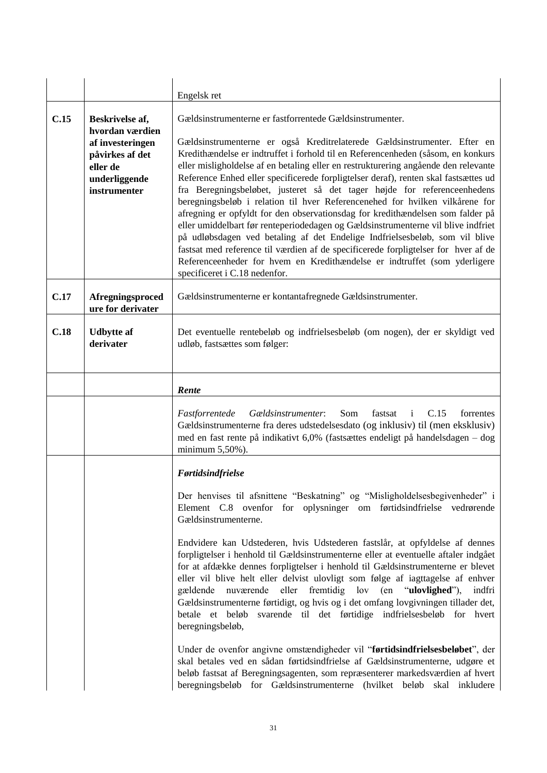|      |                                                                                                                        | Engelsk ret                                                                                                                                                                                                                                                                                                                                                                                                                                                                                                                                                                                                                                                                                                                                                                                                                                                                                                                                                                                                                  |
|------|------------------------------------------------------------------------------------------------------------------------|------------------------------------------------------------------------------------------------------------------------------------------------------------------------------------------------------------------------------------------------------------------------------------------------------------------------------------------------------------------------------------------------------------------------------------------------------------------------------------------------------------------------------------------------------------------------------------------------------------------------------------------------------------------------------------------------------------------------------------------------------------------------------------------------------------------------------------------------------------------------------------------------------------------------------------------------------------------------------------------------------------------------------|
| C.15 | Beskrivelse af,<br>hvordan værdien<br>af investeringen<br>påvirkes af det<br>eller de<br>underliggende<br>instrumenter | Gældsinstrumenterne er fastforrentede Gældsinstrumenter.<br>Gældsinstrumenterne er også Kreditrelaterede Gældsinstrumenter. Efter en<br>Kredithændelse er indtruffet i forhold til en Referencenheden (såsom, en konkurs<br>eller misligholdelse af en betaling eller en restrukturering angående den relevante<br>Reference Enhed eller specificerede forpligtelser deraf), renten skal fastsættes ud<br>fra Beregningsbeløbet, justeret så det tager højde for referenceenhedens<br>beregningsbeløb i relation til hver Referencenehed for hvilken vilkårene for<br>afregning er opfyldt for den observationsdag for kredithændelsen som falder på<br>eller umiddelbart før renteperiodedagen og Gældsinstrumenterne vil blive indfriet<br>på udløbsdagen ved betaling af det Endelige Indfrielsesbeløb, som vil blive<br>fastsat med reference til værdien af de specificerede forpligtelser for hver af de<br>Referenceenheder for hvem en Kredithændelse er indtruffet (som yderligere<br>specificeret i C.18 nedenfor. |
| C.17 | Afregningsproced<br>ure for derivater                                                                                  | Gældsinstrumenterne er kontantafregnede Gældsinstrumenter.                                                                                                                                                                                                                                                                                                                                                                                                                                                                                                                                                                                                                                                                                                                                                                                                                                                                                                                                                                   |
| C.18 | <b>Udbytte</b> af<br>derivater                                                                                         | Det eventuelle rentebeløb og indfrielsesbeløb (om nogen), der er skyldigt ved<br>udløb, fastsættes som følger:                                                                                                                                                                                                                                                                                                                                                                                                                                                                                                                                                                                                                                                                                                                                                                                                                                                                                                               |
|      |                                                                                                                        | Rente                                                                                                                                                                                                                                                                                                                                                                                                                                                                                                                                                                                                                                                                                                                                                                                                                                                                                                                                                                                                                        |
|      |                                                                                                                        | Som<br>C.15<br>Fastforrentede<br>Gældsinstrumenter:<br>fastsat<br>forrentes<br><sup>i</sup><br>Gældsinstrumenterne fra deres udstedelsesdato (og inklusiv) til (men eksklusiv)<br>med en fast rente på indikativt 6,0% (fastsættes endeligt på handelsdagen – dog<br>minimum 5,50%).                                                                                                                                                                                                                                                                                                                                                                                                                                                                                                                                                                                                                                                                                                                                         |
|      |                                                                                                                        | Førtidsindfrielse                                                                                                                                                                                                                                                                                                                                                                                                                                                                                                                                                                                                                                                                                                                                                                                                                                                                                                                                                                                                            |
|      |                                                                                                                        | Der henvises til afsnittene "Beskatning" og "Misligholdelsesbegivenheder" i<br>Element C.8 ovenfor for oplysninger om førtidsindfrielse vedrørende<br>Gældsinstrumenterne.                                                                                                                                                                                                                                                                                                                                                                                                                                                                                                                                                                                                                                                                                                                                                                                                                                                   |
|      |                                                                                                                        | Endvidere kan Udstederen, hvis Udstederen fastslår, at opfyldelse af dennes<br>forpligtelser i henhold til Gældsinstrumenterne eller at eventuelle aftaler indgået<br>for at afdække dennes forpligtelser i henhold til Gældsinstrumenterne er blevet<br>eller vil blive helt eller delvist ulovligt som følge af iagttagelse af enhver<br>nuværende eller fremtidig lov (en "ulovlighed"),<br>gældende<br>indfri<br>Gældsinstrumenterne førtidigt, og hvis og i det omfang lovgivningen tillader det,<br>betale et beløb svarende til det førtidige indfrielsesbeløb for hvert<br>beregningsbeløb,                                                                                                                                                                                                                                                                                                                                                                                                                          |
|      |                                                                                                                        | Under de ovenfor angivne omstændigheder vil "førtidsindfrielsesbeløbet", der<br>skal betales ved en sådan førtidsindfrielse af Gældsinstrumenterne, udgøre et<br>beløb fastsat af Beregningsagenten, som repræsenterer markedsværdien af hvert<br>beregningsbeløb for Gældsinstrumenterne (hvilket beløb skal inkludere                                                                                                                                                                                                                                                                                                                                                                                                                                                                                                                                                                                                                                                                                                      |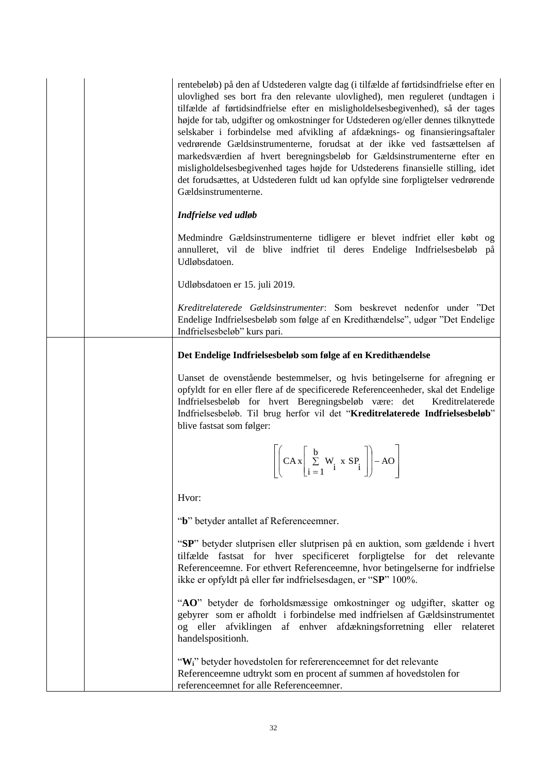rentebeløb) på den af Udstederen valgte dag (i tilfælde af førtidsindfrielse efter en ulovlighed ses bort fra den relevante ulovlighed), men reguleret (undtagen i tilfælde af førtidsindfrielse efter en misligholdelsesbegivenhed), så der tages højde for tab, udgifter og omkostninger for Udstederen og/eller dennes tilknyttede selskaber i forbindelse med afvikling af afdæknings- og finansieringsaftaler vedrørende Gældsinstrumenterne, forudsat at der ikke ved fastsættelsen af markedsværdien af hvert beregningsbeløb for Gældsinstrumenterne efter en misligholdelsesbegivenhed tages højde for Udstederens finansielle stilling, idet det forudsættes, at Udstederen fuldt ud kan opfylde sine forpligtelser vedrørende Gældsinstrumenterne.

### *Indfrielse ved udløb*

Medmindre Gældsinstrumenterne tidligere er blevet indfriet eller købt og annulleret, vil de blive indfriet til deres Endelige Indfrielsesbeløb på Udløbsdatoen.

Udløbsdatoen er 15. juli 2019.

*Kreditrelaterede Gældsinstrumenter*: Som beskrevet nedenfor under "Det Endelige Indfrielsesbeløb som følge af en Kredithændelse", udgør "Det Endelige Indfrielsesbeløb" kurs pari.

## **Det Endelige Indfrielsesbeløb som følge af en Kredithændelse**

Uanset de ovenstående bestemmelser, og hvis betingelserne for afregning er opfyldt for en eller flere af de specificerede Referenceenheder, skal det Endelige Indfrielsesbeløb for hvert Beregningsbeløb være: det Kreditrelaterede Indfrielsesbeløb. Til brug herfor vil det "**Kreditrelaterede Indfrielsesbeløb**" blive fastsat som følger:

$$
\left[ \left( C A x \left[ \sum_{i=1}^{b} W_i x SP_i \right] \right) - A O \right]
$$

Hvor:

"**b**" betyder antallet af Referenceemner.

"**SP**" betyder slutprisen eller slutprisen på en auktion, som gældende i hvert tilfælde fastsat for hver specificeret forpligtelse for det relevante Referenceemne. For ethvert Referenceemne, hvor betingelserne for indfrielse ikke er opfyldt på eller før indfrielsesdagen, er "S**P**" 100%.

"**AO**" betyder de forholdsmæssige omkostninger og udgifter, skatter og gebyrer som er afholdt i forbindelse med indfrielsen af Gældsinstrumentet og eller afviklingen af enhver afdækningsforretning eller relateret handelspositionh.

"**Wi**" betyder hovedstolen for refererenceemnet for det relevante Referenceemne udtrykt som en procent af summen af hovedstolen for referenceemnet for alle Referenceemner.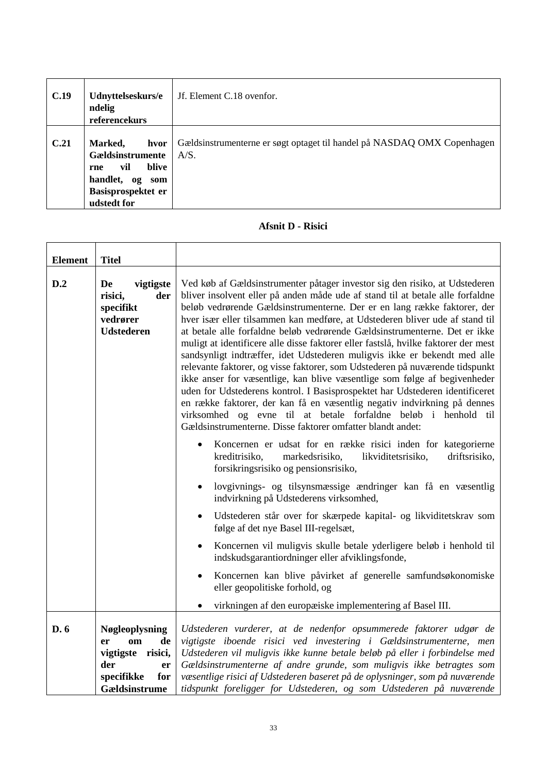| C.19 | Udnyttelseskurs/e<br>ndelig<br>referencekurs                                                                          | Jf. Element C.18 ovenfor.                                                       |
|------|-----------------------------------------------------------------------------------------------------------------------|---------------------------------------------------------------------------------|
| C.21 | Marked,<br>hvor<br>Gældsinstrumente<br>blive<br>vil<br>rne<br>handlet, og<br>som<br>Basisprospektet er<br>udstedt for | Gældsinstrumenterne er søgt optaget til handel på NASDAQ OMX Copenhagen<br>A/S. |

## **Afsnit D - Risici**

| <b>Element</b> | <b>Titel</b>                                                                            |                                                                                                                                                                                                                                                                                                                                                                                                                                                                                                                                                                                                                                                                                                                                                                                                                                                                                                                                                                                                                                     |  |
|----------------|-----------------------------------------------------------------------------------------|-------------------------------------------------------------------------------------------------------------------------------------------------------------------------------------------------------------------------------------------------------------------------------------------------------------------------------------------------------------------------------------------------------------------------------------------------------------------------------------------------------------------------------------------------------------------------------------------------------------------------------------------------------------------------------------------------------------------------------------------------------------------------------------------------------------------------------------------------------------------------------------------------------------------------------------------------------------------------------------------------------------------------------------|--|
| D.2            | De<br>vigtigste<br>der<br>risici,<br>specifikt<br>vedrører<br><b>Udstederen</b>         | Ved køb af Gældsinstrumenter påtager investor sig den risiko, at Udstederen<br>bliver insolvent eller på anden måde ude af stand til at betale alle forfaldne<br>beløb vedrørende Gældsinstrumenterne. Der er en lang række faktorer, der<br>hver især eller tilsammen kan medføre, at Udstederen bliver ude af stand til<br>at betale alle forfaldne beløb vedrørende Gældsinstrumenterne. Det er ikke<br>muligt at identificere alle disse faktorer eller fastslå, hvilke faktorer der mest<br>sandsynligt indtræffer, idet Udstederen muligvis ikke er bekendt med alle<br>relevante faktorer, og visse faktorer, som Udstederen på nuværende tidspunkt<br>ikke anser for væsentlige, kan blive væsentlige som følge af begivenheder<br>uden for Udstederens kontrol. I Basisprospektet har Udstederen identificeret<br>en række faktorer, der kan få en væsentlig negativ indvirkning på dennes<br>virksomhed og evne til at betale forfaldne beløb i henhold til<br>Gældsinstrumenterne. Disse faktorer omfatter blandt andet: |  |
|                |                                                                                         | Koncernen er udsat for en række risici inden for kategorierne<br>kreditrisiko,<br>driftsrisiko,<br>markedsrisiko,<br>likviditetsrisiko,<br>forsikringsrisiko og pensionsrisiko,                                                                                                                                                                                                                                                                                                                                                                                                                                                                                                                                                                                                                                                                                                                                                                                                                                                     |  |
|                |                                                                                         | lovgivnings- og tilsynsmæssige ændringer kan få en væsentlig<br>indvirkning på Udstederens virksomhed,                                                                                                                                                                                                                                                                                                                                                                                                                                                                                                                                                                                                                                                                                                                                                                                                                                                                                                                              |  |
|                |                                                                                         | Udstederen står over for skærpede kapital- og likviditetskrav som<br>følge af det nye Basel III-regelsæt,                                                                                                                                                                                                                                                                                                                                                                                                                                                                                                                                                                                                                                                                                                                                                                                                                                                                                                                           |  |
|                |                                                                                         | Koncernen vil muligvis skulle betale yderligere beløb i henhold til<br>indskudsgarantiordninger eller afviklingsfonde,                                                                                                                                                                                                                                                                                                                                                                                                                                                                                                                                                                                                                                                                                                                                                                                                                                                                                                              |  |
|                |                                                                                         | Koncernen kan blive påvirket af generelle samfundsøkonomiske<br>٠<br>eller geopolitiske forhold, og                                                                                                                                                                                                                                                                                                                                                                                                                                                                                                                                                                                                                                                                                                                                                                                                                                                                                                                                 |  |
|                |                                                                                         | virkningen af den europæiske implementering af Basel III.                                                                                                                                                                                                                                                                                                                                                                                                                                                                                                                                                                                                                                                                                                                                                                                                                                                                                                                                                                           |  |
| D. 6           | Nøgleoplysning<br>de<br>er<br>om<br>vigtigste risici,<br>der<br>er<br>specifikke<br>for | Udstederen vurderer, at de nedenfor opsummerede faktorer udgør de<br>vigtigste iboende risici ved investering i Gældsinstrumenterne, men<br>Udstederen vil muligvis ikke kunne betale beløb på eller i forbindelse med<br>Gældsinstrumenterne af andre grunde, som muligvis ikke betragtes som<br>væsentlige risici af Udstederen baseret på de oplysninger, som på nuværende                                                                                                                                                                                                                                                                                                                                                                                                                                                                                                                                                                                                                                                       |  |
|                | Gældsinstrume                                                                           | tidspunkt foreligger for Udstederen, og som Udstederen på nuværende                                                                                                                                                                                                                                                                                                                                                                                                                                                                                                                                                                                                                                                                                                                                                                                                                                                                                                                                                                 |  |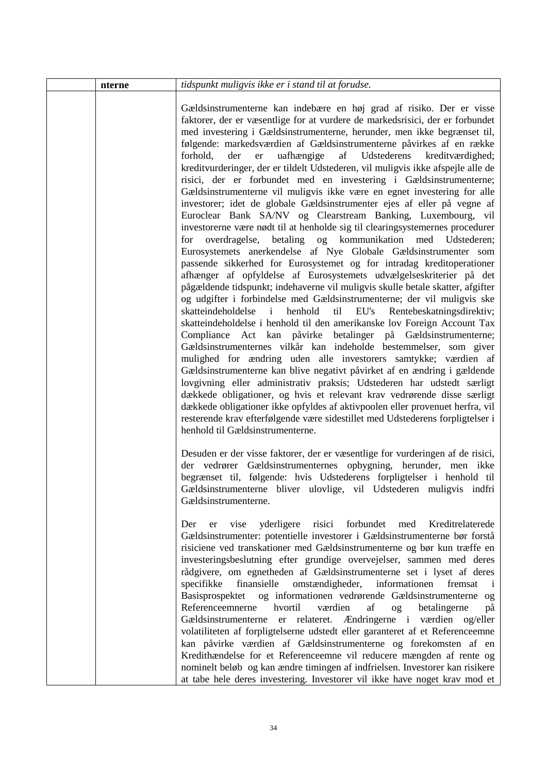| nterne | tidspunkt muligvis ikke er i stand til at forudse.                                                                                                                                                                                                                                                                                                                                                                                                                                                                                                                                                                                                                                                                                                                                                                                                                                                                                                                                                                                                                                                                                                                                                                                                                                                                                                                                                                                                                                                                                                                                                                                                                                                                                                                                                                                                                                                                                                                                                                                                                                                                     |
|--------|------------------------------------------------------------------------------------------------------------------------------------------------------------------------------------------------------------------------------------------------------------------------------------------------------------------------------------------------------------------------------------------------------------------------------------------------------------------------------------------------------------------------------------------------------------------------------------------------------------------------------------------------------------------------------------------------------------------------------------------------------------------------------------------------------------------------------------------------------------------------------------------------------------------------------------------------------------------------------------------------------------------------------------------------------------------------------------------------------------------------------------------------------------------------------------------------------------------------------------------------------------------------------------------------------------------------------------------------------------------------------------------------------------------------------------------------------------------------------------------------------------------------------------------------------------------------------------------------------------------------------------------------------------------------------------------------------------------------------------------------------------------------------------------------------------------------------------------------------------------------------------------------------------------------------------------------------------------------------------------------------------------------------------------------------------------------------------------------------------------------|
|        | Gældsinstrumenterne kan indebære en høj grad af risiko. Der er visse<br>faktorer, der er væsentlige for at vurdere de markedsrisici, der er forbundet<br>med investering i Gældsinstrumenterne, herunder, men ikke begrænset til,<br>følgende: markedsværdien af Gældsinstrumenterne påvirkes af en række<br>Udstederens<br>forhold,<br>uafhængige<br>af<br>der<br>kreditværdighed;<br>er<br>kreditvurderinger, der er tildelt Udstederen, vil muligvis ikke afspejle alle de<br>risici, der er forbundet med en investering i Gældsinstrumenterne;<br>Gældsinstrumenterne vil muligvis ikke være en egnet investering for alle<br>investorer; idet de globale Gældsinstrumenter ejes af eller på vegne af<br>Euroclear Bank SA/NV og Clearstream Banking, Luxembourg, vil<br>investorerne være nødt til at henholde sig til clearingsystemernes procedurer<br>for overdragelse, betaling og kommunikation med Udstederen;<br>Eurosystemets anerkendelse af Nye Globale Gældsinstrumenter som<br>passende sikkerhed for Eurosystemet og for intradag kreditoperationer<br>afhænger af opfyldelse af Eurosystemets udvælgelseskriterier på det<br>pågældende tidspunkt; indehaverne vil muligvis skulle betale skatter, afgifter<br>og udgifter i forbindelse med Gældsinstrumenterne; der vil muligvis ske<br>skatteindeholdelse i<br>EU's<br>henhold<br>til<br>Rentebeskatningsdirektiv;<br>skatteindeholdelse i henhold til den amerikanske lov Foreign Account Tax<br>Compliance Act kan påvirke betalinger på Gældsinstrumenterne;<br>Gældsinstrumenternes vilkår kan indeholde bestemmelser, som giver<br>mulighed for ændring uden alle investorers samtykke; værdien af<br>Gældsinstrumenterne kan blive negativt påvirket af en ændring i gældende<br>lovgivning eller administrativ praksis; Udstederen har udstedt særligt<br>dækkede obligationer, og hvis et relevant krav vedrørende disse særligt<br>dækkede obligationer ikke opfyldes af aktivpoolen eller provenuet herfra, vil<br>resterende krav efterfølgende være sidestillet med Udstederens forpligtelser i<br>henhold til Gældsinstrumenterne. |
|        | Desuden er der visse faktorer, der er væsentlige for vurderingen af de risici,<br>der vedrører Gældsinstrumenternes opbygning, herunder, men ikke<br>begrænset til, følgende: hvis Udstederens forpligtelser i henhold til<br>Gældsinstrumenterne bliver ulovlige, vil Udstederen muligvis indfri<br>Gældsinstrumenterne.                                                                                                                                                                                                                                                                                                                                                                                                                                                                                                                                                                                                                                                                                                                                                                                                                                                                                                                                                                                                                                                                                                                                                                                                                                                                                                                                                                                                                                                                                                                                                                                                                                                                                                                                                                                              |
|        | yderligere<br>forbundet<br>Kreditrelaterede<br>risici<br>Der<br>vise<br>med<br>er<br>Gældsinstrumenter: potentielle investorer i Gældsinstrumenterne bør forstå<br>risiciene ved transkationer med Gældsinstrumenterne og bør kun træffe en<br>investeringsbeslutning efter grundige overvejelser, sammen med deres<br>rådgivere, om egnetheden af Gældsinstrumenterne set i lyset af deres<br>specifikke finansielle omstændigheder, informationen<br>fremsat<br>Basisprospektet<br>og informationen vedrørende Gældsinstrumenterne og<br>Referenceemnerne<br>hvortil<br>værdien<br>af<br>betalingerne<br>$_{\text{og}}$<br>på<br>Gældsinstrumenterne er relateret. Ændringerne i værdien og/eller<br>volatiliteten af forpligtelserne udstedt eller garanteret af et Referenceemne<br>kan påvirke værdien af Gældsinstrumenterne og forekomsten af en<br>Kredithændelse for et Referenceemne vil reducere mængden af rente og<br>nominelt beløb og kan ændre timingen af indfrielsen. Investorer kan risikere<br>at tabe hele deres investering. Investorer vil ikke have noget krav mod et                                                                                                                                                                                                                                                                                                                                                                                                                                                                                                                                                                                                                                                                                                                                                                                                                                                                                                                                                                                                                          |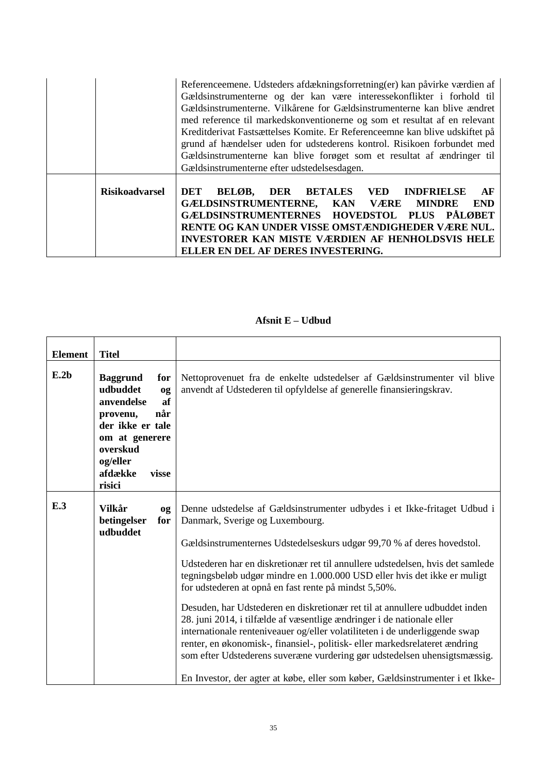|                       | Referenceemene. Udsteders afdækningsforretning(er) kan påvirke værdien af<br>Gældsinstrumenterne og der kan være interessekonflikter i forhold til<br>Gældsinstrumenterne. Vilkårene for Gældsinstrumenterne kan blive ændret<br>med reference til markedskonventionerne og som et resultat af en relevant<br>Kreditderivat Fastsættelses Komite. Er Referenceemne kan blive udskiftet på<br>grund af hændelser uden for udstederens kontrol. Risikoen forbundet med<br>Gældsinstrumenterne kan blive forøget som et resultat af ændringer til<br>Gældsinstrumenterne efter udstedelsesdagen. |
|-----------------------|-----------------------------------------------------------------------------------------------------------------------------------------------------------------------------------------------------------------------------------------------------------------------------------------------------------------------------------------------------------------------------------------------------------------------------------------------------------------------------------------------------------------------------------------------------------------------------------------------|
| <b>Risikoadvarsel</b> | <b>BETALES VED INDFRIELSE</b><br>BELØB,<br>DER<br>DET<br>AF<br>GÆLDSINSTRUMENTERNE, KAN VÆRE<br><b>MINDRE</b><br><b>END</b><br>GÆLDSINSTRUMENTERNES HOVEDSTOL PLUS PÅLØBET<br>RENTE OG KAN UNDER VISSE OMSTÆNDIGHEDER VÆRE NUL.<br><b>INVESTORER KAN MISTE VÆRDIEN AF HENHOLDSVIS HELE</b><br>ELLER EN DEL AF DERES INVESTERING.                                                                                                                                                                                                                                                              |

# **Afsnit E – Udbud**

٦

| <b>Element</b> | <b>Titel</b>                                                                                                                                                                |                                                                                                                                                                                                                                                                                                                                                                                                                                                                                                                                                                                                                                                                                                                                                                                                                                                                                                    |
|----------------|-----------------------------------------------------------------------------------------------------------------------------------------------------------------------------|----------------------------------------------------------------------------------------------------------------------------------------------------------------------------------------------------------------------------------------------------------------------------------------------------------------------------------------------------------------------------------------------------------------------------------------------------------------------------------------------------------------------------------------------------------------------------------------------------------------------------------------------------------------------------------------------------------------------------------------------------------------------------------------------------------------------------------------------------------------------------------------------------|
| E.2b           | <b>Baggrund</b><br>for<br>udbuddet<br>og<br>af<br>anvendelse<br>når<br>provenu,<br>der ikke er tale<br>om at generere<br>overskud<br>og/eller<br>afdække<br>visse<br>risici | Nettoprovenuet fra de enkelte udstedelser af Gældsinstrumenter vil blive<br>anvendt af Udstederen til opfyldelse af generelle finansieringskrav.                                                                                                                                                                                                                                                                                                                                                                                                                                                                                                                                                                                                                                                                                                                                                   |
| E.3            | <b>Vilkår</b><br>0 <sub>g</sub><br>betingelser<br>for<br>udbuddet                                                                                                           | Denne udstedelse af Gældsinstrumenter udbydes i et Ikke-fritaget Udbud i<br>Danmark, Sverige og Luxembourg.<br>Gældsinstrumenternes Udstedelseskurs udgør 99,70 % af deres hovedstol.<br>Udstederen har en diskretionær ret til annullere udstedelsen, hvis det samlede<br>tegningsbeløb udgør mindre en 1.000.000 USD eller hvis det ikke er muligt<br>for udstederen at opnå en fast rente på mindst 5,50%.<br>Desuden, har Udstederen en diskretionær ret til at annullere udbuddet inden<br>28. juni 2014, i tilfælde af væsentlige ændringer i de nationale eller<br>internationale renteniveauer og/eller volatiliteten i de underliggende swap<br>renter, en økonomisk-, finansiel-, politisk- eller markedsrelateret ændring<br>som efter Udstederens suveræne vurdering gør udstedelsen uhensigtsmæssig.<br>En Investor, der agter at købe, eller som køber, Gældsinstrumenter i et Ikke- |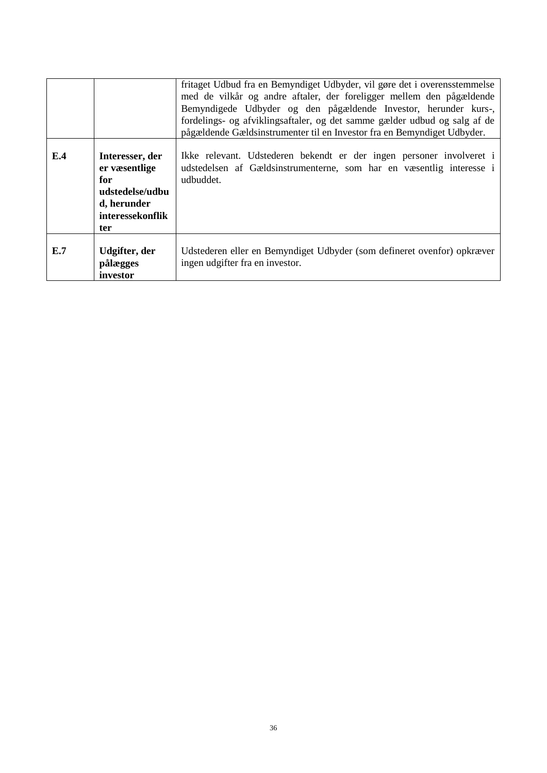|     |                                                                                                      | fritaget Udbud fra en Bemyndiget Udbyder, vil gøre det i overensstemmelse<br>med de vilkår og andre aftaler, der foreligger mellem den pågældende<br>Bemyndigede Udbyder og den pågældende Investor, herunder kurs-,<br>fordelings- og afviklingsaftaler, og det samme gælder udbud og salg af de<br>pågældende Gældsinstrumenter til en Investor fra en Bemyndiget Udbyder. |
|-----|------------------------------------------------------------------------------------------------------|------------------------------------------------------------------------------------------------------------------------------------------------------------------------------------------------------------------------------------------------------------------------------------------------------------------------------------------------------------------------------|
| E.4 | Interesser, der<br>er væsentlige<br>for<br>udstedelse/udbu<br>d, herunder<br>interessekonflik<br>ter | Ikke relevant. Udstederen bekendt er der ingen personer involveret i<br>udstedelsen af Gældsinstrumenterne, som har en væsentlig interesse i<br>udbuddet.                                                                                                                                                                                                                    |
| E.7 | Udgifter, der<br>pålægges<br>investor                                                                | Udstederen eller en Bemyndiget Udbyder (som defineret ovenfor) opkræver<br>ingen udgifter fra en investor.                                                                                                                                                                                                                                                                   |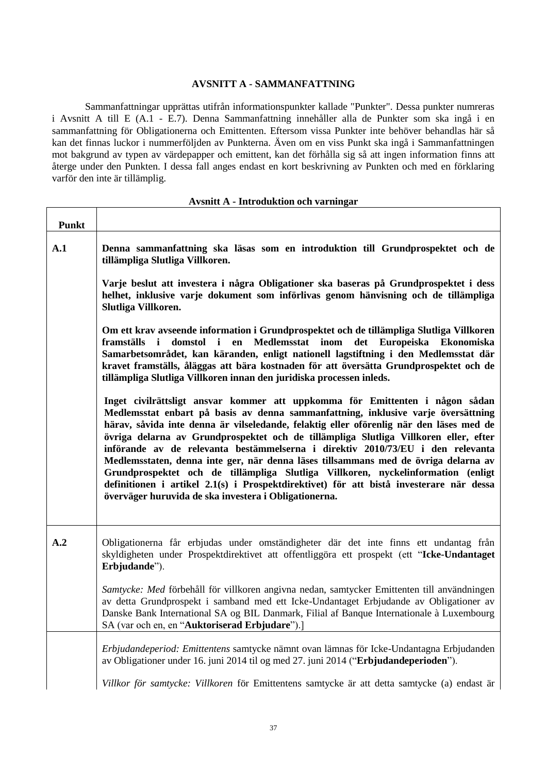### **AVSNITT A - SAMMANFATTNING**

Sammanfattningar upprättas utifrån informationspunkter kallade "Punkter". Dessa punkter numreras i Avsnitt A till E (A.1 - E.7). Denna Sammanfattning innehåller alla de Punkter som ska ingå i en sammanfattning för Obligationerna och Emittenten. Eftersom vissa Punkter inte behöver behandlas här så kan det finnas luckor i nummerföljden av Punkterna. Även om en viss Punkt ska ingå i Sammanfattningen mot bakgrund av typen av värdepapper och emittent, kan det förhålla sig så att ingen information finns att återge under den Punkten. I dessa fall anges endast en kort beskrivning av Punkten och med en förklaring varför den inte är tillämplig.

| <b>Punkt</b>   |                                                                                                                                                                                                                                                                                                                                                                                                                                                                                                                                                                                                                                                                                                                                                                       |
|----------------|-----------------------------------------------------------------------------------------------------------------------------------------------------------------------------------------------------------------------------------------------------------------------------------------------------------------------------------------------------------------------------------------------------------------------------------------------------------------------------------------------------------------------------------------------------------------------------------------------------------------------------------------------------------------------------------------------------------------------------------------------------------------------|
| A.1            | Denna sammanfattning ska läsas som en introduktion till Grundprospektet och de<br>tillämpliga Slutliga Villkoren.                                                                                                                                                                                                                                                                                                                                                                                                                                                                                                                                                                                                                                                     |
|                | Varje beslut att investera i några Obligationer ska baseras på Grundprospektet i dess<br>helhet, inklusive varje dokument som införlivas genom hänvisning och de tillämpliga<br>Slutliga Villkoren.                                                                                                                                                                                                                                                                                                                                                                                                                                                                                                                                                                   |
|                | Om ett krav avseende information i Grundprospektet och de tillämpliga Slutliga Villkoren<br>domstol i en<br>Medlemsstat inom<br>det Europeiska Ekonomiska<br>framställs i<br>Samarbetsområdet, kan käranden, enligt nationell lagstiftning i den Medlemsstat där<br>kravet framställs, åläggas att bära kostnaden för att översätta Grundprospektet och de<br>tillämpliga Slutliga Villkoren innan den juridiska processen inleds.                                                                                                                                                                                                                                                                                                                                    |
|                | Inget civilrättsligt ansvar kommer att uppkomma för Emittenten i någon sådan<br>Medlemsstat enbart på basis av denna sammanfattning, inklusive varje översättning<br>härav, såvida inte denna är vilseledande, felaktig eller oförenlig när den läses med de<br>övriga delarna av Grundprospektet och de tillämpliga Slutliga Villkoren eller, efter<br>införande av de relevanta bestämmelserna i direktiv 2010/73/EU i den relevanta<br>Medlemsstaten, denna inte ger, när denna läses tillsammans med de övriga delarna av<br>Grundprospektet och de tillämpliga Slutliga Villkoren, nyckelinformation (enligt<br>definitionen i artikel 2.1(s) i Prospektdirektivet) för att bistå investerare när dessa<br>överväger huruvida de ska investera i Obligationerna. |
| A <sub>2</sub> | Obligationerna får erbjudas under omständigheter där det inte finns ett undantag från<br>skyldigheten under Prospektdirektivet att offentliggöra ett prospekt (ett "Icke-Undantaget<br>Erbjudande").                                                                                                                                                                                                                                                                                                                                                                                                                                                                                                                                                                  |
|                | Samtycke: Med förbehåll för villkoren angivna nedan, samtycker Emittenten till användningen<br>av detta Grundprospekt i samband med ett Icke-Undantaget Erbjudande av Obligationer av<br>Danske Bank International SA og BIL Danmark, Filial af Banque Internationale à Luxembourg<br>SA (var och en, en "Auktoriserad Erbjudare").]                                                                                                                                                                                                                                                                                                                                                                                                                                  |
|                | Erbjudandeperiod: Emittentens samtycke nämnt ovan lämnas för Icke-Undantagna Erbjudanden<br>av Obligationer under 16. juni 2014 til og med 27. juni 2014 ("Erbjudandeperioden").                                                                                                                                                                                                                                                                                                                                                                                                                                                                                                                                                                                      |
|                |                                                                                                                                                                                                                                                                                                                                                                                                                                                                                                                                                                                                                                                                                                                                                                       |

#### **Avsnitt A - Introduktion och varningar**

┓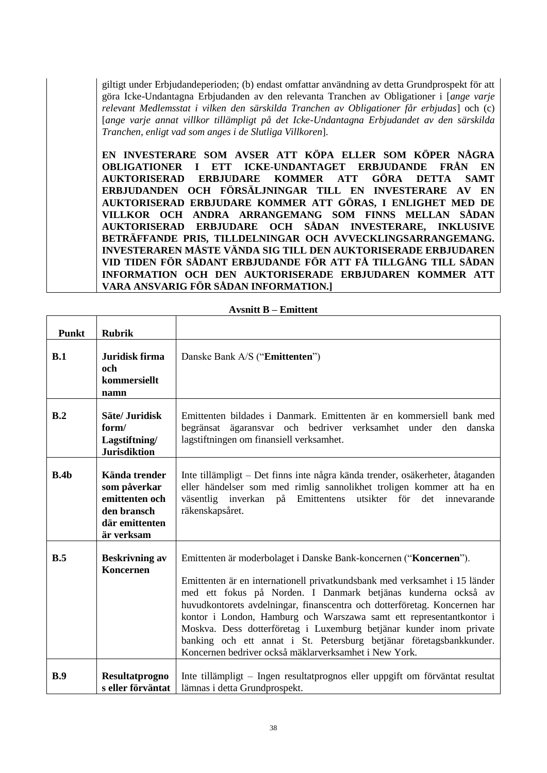giltigt under Erbjudandeperioden; (b) endast omfattar användning av detta Grundprospekt för att göra Icke-Undantagna Erbjudanden av den relevanta Tranchen av Obligationer i [*ange varje relevant Medlemsstat i vilken den särskilda Tranchen av Obligationer får erbjudas*] och (c) [*ange varje annat villkor tillämpligt på det Icke-Undantagna Erbjudandet av den särskilda Tranchen, enligt vad som anges i de Slutliga Villkoren*].

**EN INVESTERARE SOM AVSER ATT KÖPA ELLER SOM KÖPER NÅGRA OBLIGATIONER I ETT ICKE-UNDANTAGET ERBJUDANDE FRÅN EN AUKTORISERAD ERBJUDARE KOMMER ATT GÖRA DETTA SAMT ERBJUDANDEN OCH FÖRSÄLJNINGAR TILL EN INVESTERARE AV EN AUKTORISERAD ERBJUDARE KOMMER ATT GÖRAS, I ENLIGHET MED DE VILLKOR OCH ANDRA ARRANGEMANG SOM FINNS MELLAN SÅDAN AUKTORISERAD ERBJUDARE OCH SÅDAN INVESTERARE, INKLUSIVE BETRÄFFANDE PRIS, TILLDELNINGAR OCH AVVECKLINGSARRANGEMANG. INVESTERAREN MÅSTE VÄNDA SIG TILL DEN AUKTORISERADE ERBJUDAREN VID TIDEN FÖR SÅDANT ERBJUDANDE FÖR ATT FÅ TILLGÅNG TILL SÅDAN INFORMATION OCH DEN AUKTORISERADE ERBJUDAREN KOMMER ATT VARA ANSVARIG FÖR SÅDAN INFORMATION.]** 

| <b>Punkt</b> | <b>Rubrik</b>                                                                                  |                                                                                                                                                                                                                                                                                                                                                                                                                                                                                                                                                                             |
|--------------|------------------------------------------------------------------------------------------------|-----------------------------------------------------------------------------------------------------------------------------------------------------------------------------------------------------------------------------------------------------------------------------------------------------------------------------------------------------------------------------------------------------------------------------------------------------------------------------------------------------------------------------------------------------------------------------|
| B.1          | Juridisk firma<br>och<br>kommersiellt<br>namn                                                  | Danske Bank A/S ("Emittenten")                                                                                                                                                                                                                                                                                                                                                                                                                                                                                                                                              |
| B.2          | Säte/ Juridisk<br>form/<br>Lagstiftning/<br><b>Jurisdiktion</b>                                | Emittenten bildades i Danmark. Emittenten är en kommersiell bank med<br>ägaransvar och bedriver verksamhet under den<br>begränsat<br>danska<br>lagstiftningen om finansiell verksamhet.                                                                                                                                                                                                                                                                                                                                                                                     |
| B.4b         | Kända trender<br>som påverkar<br>emittenten och<br>den bransch<br>där emittenten<br>är verksam | Inte tillämpligt – Det finns inte några kända trender, osäkerheter, åtaganden<br>eller händelser som med rimlig sannolikhet troligen kommer att ha en<br>väsentlig inverkan på Emittentens utsikter för<br>det<br>innevarande<br>räkenskapsåret.                                                                                                                                                                                                                                                                                                                            |
| B.5          | <b>Beskrivning av</b><br>Koncernen                                                             | Emittenten är moderbolaget i Danske Bank-koncernen ("Koncernen").<br>Emittenten är en internationell privatkundsbank med verksamhet i 15 länder<br>med ett fokus på Norden. I Danmark betjänas kunderna också av<br>huvudkontorets avdelningar, finanscentra och dotterföretag. Koncernen har<br>kontor i London, Hamburg och Warszawa samt ett representantkontor i<br>Moskva. Dess dotterföretag i Luxemburg betjänar kunder inom private<br>banking och ett annat i St. Petersburg betjänar företagsbankkunder.<br>Koncernen bedriver också mäklarverksamhet i New York. |
| B.9          | Resultatprogno<br>s eller förväntat                                                            | Inte tillämpligt – Ingen resultatprognos eller uppgift om förväntat resultat<br>lämnas i detta Grundprospekt.                                                                                                                                                                                                                                                                                                                                                                                                                                                               |

**Avsnitt B – Emittent**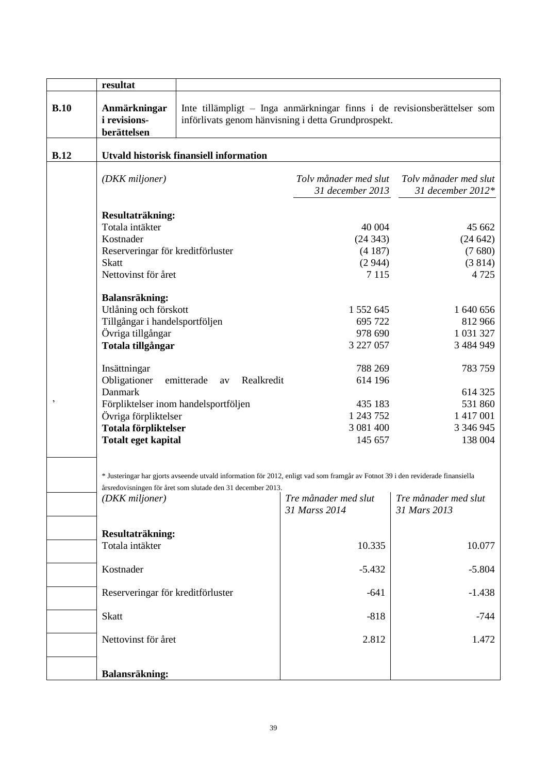|                | resultat                                           |                                                             |                                                                                                                                 |                                            |
|----------------|----------------------------------------------------|-------------------------------------------------------------|---------------------------------------------------------------------------------------------------------------------------------|--------------------------------------------|
| B.10           | Anmärkningar<br><i>i</i> revisions-<br>berättelsen |                                                             | Inte tillämpligt – Inga anmärkningar finns i de revisionsberättelser som<br>införlivats genom hänvisning i detta Grundprospekt. |                                            |
| B.12           |                                                    | <b>Utvald historisk finansiell information</b>              |                                                                                                                                 |                                            |
|                |                                                    |                                                             |                                                                                                                                 |                                            |
|                | (DKK miljoner)                                     |                                                             | Tolv månader med slut                                                                                                           | Tolv månader med slut<br>31 december 2012* |
|                |                                                    |                                                             | 31 december 2013                                                                                                                |                                            |
|                | Resultaträkning:                                   |                                                             |                                                                                                                                 |                                            |
|                | Totala intäkter                                    |                                                             | 40 004                                                                                                                          | 45 662                                     |
|                | Kostnader                                          |                                                             | (24343)                                                                                                                         | (24642)                                    |
|                | Reserveringar för kreditförluster                  |                                                             | (4187)                                                                                                                          | (7680)                                     |
|                | <b>Skatt</b>                                       |                                                             | (2944)                                                                                                                          | (3814)                                     |
|                | Nettovinst för året                                |                                                             | 7 1 1 5                                                                                                                         | 4 7 2 5                                    |
|                | Balansräkning:                                     |                                                             |                                                                                                                                 |                                            |
|                | Utlåning och förskott                              |                                                             | 1 552 645                                                                                                                       | 1 640 656                                  |
|                | Tillgångar i handelsportföljen                     |                                                             | 695 722                                                                                                                         | 812 966                                    |
|                | Övriga tillgångar                                  |                                                             | 978 690                                                                                                                         | 1 031 327                                  |
|                | Totala tillgångar                                  |                                                             | 3 227 057                                                                                                                       | 3 484 949                                  |
|                | Insättningar                                       |                                                             | 788 269                                                                                                                         | 783 759                                    |
|                | Obligationer                                       | Realkredit<br>emitterade<br>av                              | 614 196                                                                                                                         |                                            |
|                | Danmark                                            |                                                             |                                                                                                                                 | 614 325                                    |
| $\overline{ }$ |                                                    | Förpliktelser inom handelsportföljen                        | 435 183                                                                                                                         | 531 860                                    |
|                | Övriga förpliktelser                               |                                                             | 1 243 752                                                                                                                       | 1 417 001                                  |
|                | Totala förpliktelser                               |                                                             | 3 081 400                                                                                                                       | 3 346 945                                  |
|                | <b>Totalt eget kapital</b>                         |                                                             | 145 657                                                                                                                         | 138 004                                    |
|                |                                                    |                                                             |                                                                                                                                 |                                            |
|                |                                                    |                                                             | * Justeringar har gjorts avseende utvald information för 2012, enligt vad som framgår av Fotnot 39 i den reviderade finansiella |                                            |
|                |                                                    | årsredovisningen för året som slutade den 31 december 2013. |                                                                                                                                 |                                            |
|                | (DKK miljoner)                                     |                                                             | Tre månader med slut                                                                                                            | Tre månader med slut                       |
|                |                                                    |                                                             | 31 Marss 2014                                                                                                                   | 31 Mars 2013                               |
|                | Resultaträkning:                                   |                                                             |                                                                                                                                 |                                            |
|                | Totala intäkter                                    |                                                             | 10.335                                                                                                                          | 10.077                                     |
|                |                                                    |                                                             |                                                                                                                                 |                                            |
|                | Kostnader                                          |                                                             | $-5.432$                                                                                                                        | $-5.804$                                   |
|                | Reserveringar för kreditförluster                  |                                                             | $-641$                                                                                                                          | $-1.438$                                   |
|                | <b>Skatt</b>                                       |                                                             | $-818$                                                                                                                          | $-744$                                     |
|                | Nettovinst för året                                |                                                             | 2.812                                                                                                                           | 1.472                                      |
|                |                                                    |                                                             |                                                                                                                                 |                                            |
|                | <b>Balansräkning:</b>                              |                                                             |                                                                                                                                 |                                            |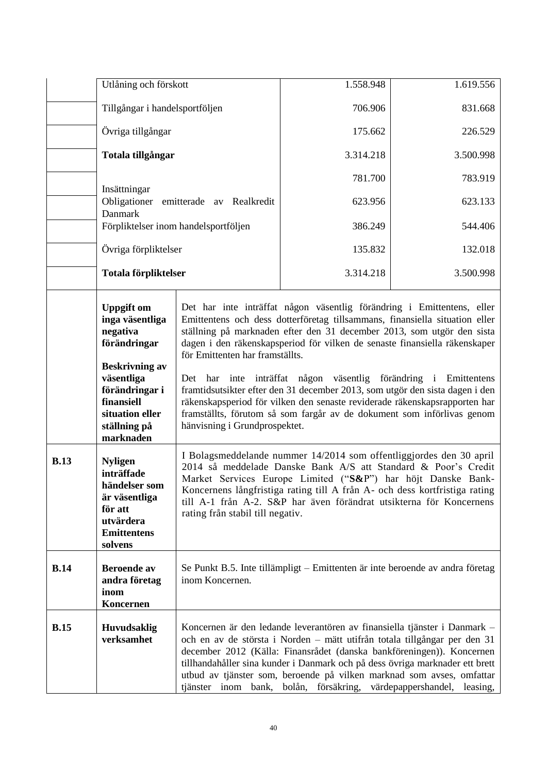|             | Utlåning och förskott                                                                                                                                                                   |                                                                                                                                                                                                                                                                                                                                                                                                | 1.558.948                                                                                                                                                                                                                                                                                                                                                                                                                                                                                                                                                                                                                | 1.619.556 |
|-------------|-----------------------------------------------------------------------------------------------------------------------------------------------------------------------------------------|------------------------------------------------------------------------------------------------------------------------------------------------------------------------------------------------------------------------------------------------------------------------------------------------------------------------------------------------------------------------------------------------|--------------------------------------------------------------------------------------------------------------------------------------------------------------------------------------------------------------------------------------------------------------------------------------------------------------------------------------------------------------------------------------------------------------------------------------------------------------------------------------------------------------------------------------------------------------------------------------------------------------------------|-----------|
|             | Tillgångar i handelsportföljen<br>Övriga tillgångar                                                                                                                                     |                                                                                                                                                                                                                                                                                                                                                                                                | 706.906                                                                                                                                                                                                                                                                                                                                                                                                                                                                                                                                                                                                                  | 831.668   |
|             |                                                                                                                                                                                         |                                                                                                                                                                                                                                                                                                                                                                                                | 175.662                                                                                                                                                                                                                                                                                                                                                                                                                                                                                                                                                                                                                  | 226.529   |
|             | Totala tillgångar                                                                                                                                                                       |                                                                                                                                                                                                                                                                                                                                                                                                | 3.314.218                                                                                                                                                                                                                                                                                                                                                                                                                                                                                                                                                                                                                | 3.500.998 |
|             | Insättningar                                                                                                                                                                            |                                                                                                                                                                                                                                                                                                                                                                                                | 781.700                                                                                                                                                                                                                                                                                                                                                                                                                                                                                                                                                                                                                  | 783.919   |
|             | Obligationer<br>Danmark                                                                                                                                                                 | emitterade av Realkredit                                                                                                                                                                                                                                                                                                                                                                       | 623.956                                                                                                                                                                                                                                                                                                                                                                                                                                                                                                                                                                                                                  | 623.133   |
|             |                                                                                                                                                                                         | Förpliktelser inom handelsportföljen                                                                                                                                                                                                                                                                                                                                                           | 386.249                                                                                                                                                                                                                                                                                                                                                                                                                                                                                                                                                                                                                  | 544.406   |
|             | Övriga förpliktelser                                                                                                                                                                    |                                                                                                                                                                                                                                                                                                                                                                                                | 135.832                                                                                                                                                                                                                                                                                                                                                                                                                                                                                                                                                                                                                  | 132.018   |
|             | Totala förpliktelser                                                                                                                                                                    |                                                                                                                                                                                                                                                                                                                                                                                                | 3.314.218                                                                                                                                                                                                                                                                                                                                                                                                                                                                                                                                                                                                                | 3.500.998 |
|             | <b>Uppgift om</b><br>inga väsentliga<br>negativa<br>förändringar<br><b>Beskrivning av</b><br>väsentliga<br>förändringar i<br>finansiell<br>situation eller<br>ställning på<br>marknaden | för Emittenten har framställts.<br>hänvisning i Grundprospektet.                                                                                                                                                                                                                                                                                                                               | Det har inte inträffat någon väsentlig förändring i Emittentens, eller<br>Emittentens och dess dotterföretag tillsammans, finansiella situation eller<br>ställning på marknaden efter den 31 december 2013, som utgör den sista<br>dagen i den räkenskapsperiod för vilken de senaste finansiella räkenskaper<br>Det har inte inträffat någon väsentlig förändring i Emittentens<br>framtidsutsikter efter den 31 december 2013, som utgör den sista dagen i den<br>räkenskapsperiod för vilken den senaste reviderade räkenskapsrapporten har<br>framställts, förutom så som fargår av de dokument som införlivas genom |           |
| <b>B.13</b> | <b>Nyligen</b><br>inträffade<br>händelser som<br>är väsentliga<br>för att<br>utvärdera<br><b>Emittentens</b><br>solvens                                                                 | I Bolagsmeddelande nummer 14/2014 som offentliggjordes den 30 april<br>2014 så meddelade Danske Bank A/S att Standard & Poor's Credit<br>Market Services Europe Limited ("S&P") har höjt Danske Bank-<br>Koncernens långfristiga rating till A från A- och dess kortfristiga rating<br>till A-1 från A-2. S&P har även förändrat utsikterna för Koncernens<br>rating från stabil till negativ. |                                                                                                                                                                                                                                                                                                                                                                                                                                                                                                                                                                                                                          |           |
| <b>B.14</b> | <b>Beroende</b> av<br>andra företag<br>inom<br>Koncernen                                                                                                                                | inom Koncernen.                                                                                                                                                                                                                                                                                                                                                                                | Se Punkt B.5. Inte tillämpligt – Emittenten är inte beroende av andra företag                                                                                                                                                                                                                                                                                                                                                                                                                                                                                                                                            |           |
| B.15        | <b>Huvudsaklig</b><br>verksamhet                                                                                                                                                        |                                                                                                                                                                                                                                                                                                                                                                                                | Koncernen är den ledande leverantören av finansiella tjänster i Danmark –<br>och en av de största i Norden – mätt utifrån totala tillgångar per den 31<br>december 2012 (Källa: Finansrådet (danska bankföreningen)). Koncernen<br>tillhandahåller sina kunder i Danmark och på dess övriga marknader ett brett<br>utbud av tjänster som, beroende på vilken marknad som avses, omfattar<br>tjänster inom bank, bolån, försäkring, värdepappershandel, leasing,                                                                                                                                                          |           |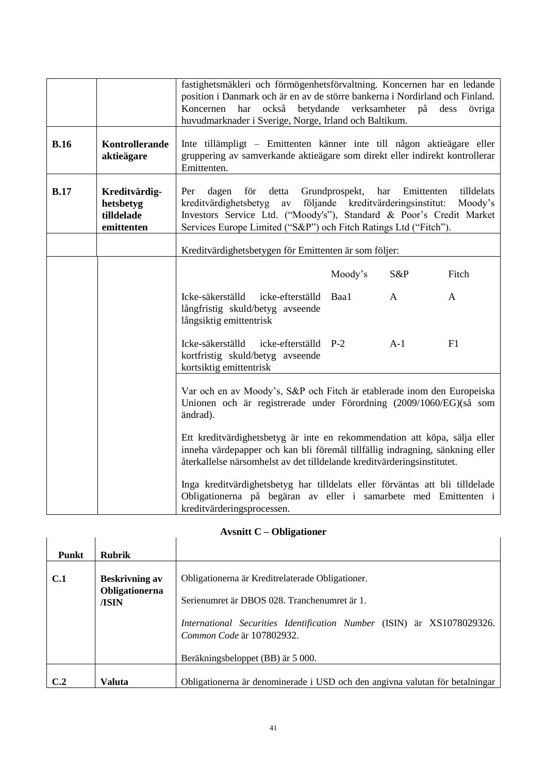|             |                                                        | fastighetsmäkleri och förmögenhetsförvaltning. Koncernen har en ledande<br>position i Danmark och är en av de större bankerna i Nordirland och Finland.<br>har<br>också betydande verksamheter på dess<br>Koncernen<br>huvudmarknader i Sverige, Norge, Irland och Baltikum.                                 |         |       | övriga |
|-------------|--------------------------------------------------------|--------------------------------------------------------------------------------------------------------------------------------------------------------------------------------------------------------------------------------------------------------------------------------------------------------------|---------|-------|--------|
| <b>B.16</b> | Kontrollerande<br>aktieägare                           | Inte tillämpligt – Emittenten känner inte till någon aktieägare eller<br>gruppering av samverkande aktieägare som direkt eller indirekt kontrollerar<br>Emittenten.                                                                                                                                          |         |       |        |
| <b>B.17</b> | Kreditvärdig-<br>hetsbetyg<br>tilldelade<br>emittenten | Grundprospekt,<br>tilldelats<br>Per<br>dagen<br>för<br>detta<br>har<br>Emittenten<br>följande kreditvärderingsinstitut:<br>kreditvärdighetsbetyg<br>av<br>Moody's<br>Investors Service Ltd. ("Moody's"), Standard & Poor's Credit Market<br>Services Europe Limited ("S&P") och Fitch Ratings Ltd ("Fitch"). |         |       |        |
|             |                                                        | Kreditvärdighetsbetygen för Emittenten är som följer:                                                                                                                                                                                                                                                        |         |       |        |
|             |                                                        |                                                                                                                                                                                                                                                                                                              | Moody's | S&P   | Fitch  |
|             |                                                        | Icke-säkerställd<br>icke-efterställd<br>långfristig skuld/betyg avseende<br>långsiktig emittentrisk                                                                                                                                                                                                          | Baa1    | A     | A      |
|             |                                                        | Icke-säkerställd<br>icke-efterställd P-2<br>kortfristig skuld/betyg avseende<br>kortsiktig emittentrisk                                                                                                                                                                                                      |         | $A-1$ | F1     |
|             |                                                        | Var och en av Moody's, S&P och Fitch är etablerade inom den Europeiska<br>Unionen och är registrerade under Förordning (2009/1060/EG)(så som<br>ändrad).                                                                                                                                                     |         |       |        |
|             |                                                        | Ett kreditvärdighetsbetyg är inte en rekommendation att köpa, sälja eller<br>inneha värdepapper och kan bli föremål tillfällig indragning, sänkning eller<br>återkallelse närsomhelst av det tilldelande kreditvärderingsinstitutet.                                                                         |         |       |        |
|             |                                                        | Inga kreditvärdighetsbetyg har tilldelats eller förväntas att bli tilldelade<br>Obligationerna på begäran av eller i samarbete med Emittenten i<br>kreditvärderingsprocessen.                                                                                                                                |         |       |        |

# **Avsnitt C – Obligationer**

| Avanitt $C$ – Obligationer |                                                  |                                                                                                     |  |
|----------------------------|--------------------------------------------------|-----------------------------------------------------------------------------------------------------|--|
| <b>Punkt</b>               | <b>Rubrik</b>                                    |                                                                                                     |  |
| C.1                        | <b>Beskrivning av</b><br>Obligationerna<br>/ISIN | Obligationerna är Kreditrelaterade Obligationer.<br>Serienumret är DBOS 028. Tranchenumret är 1.    |  |
|                            |                                                  | International Securities Identification Number (ISIN) är XS1078029326.<br>Common Code är 107802932. |  |
|                            |                                                  | Beräkningsbeloppet (BB) är 5 000.                                                                   |  |
| C.2                        | Valuta                                           | Obligationerna är denominerade i USD och den angivna valutan för betalningar                        |  |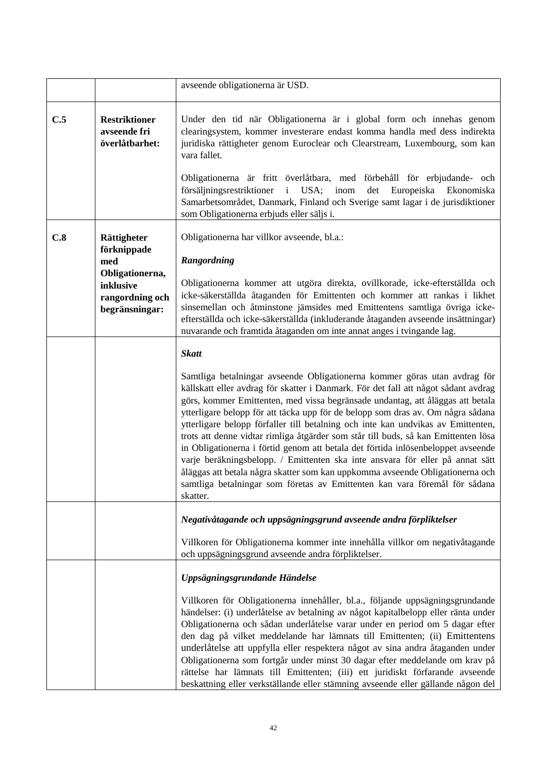|     |                                                                   | avseende obligationerna är USD.                                                                                                                                                                                                                                                                                                                                                                                                                                                                                                                                                                                                                                                                                                                                                                                                                                |
|-----|-------------------------------------------------------------------|----------------------------------------------------------------------------------------------------------------------------------------------------------------------------------------------------------------------------------------------------------------------------------------------------------------------------------------------------------------------------------------------------------------------------------------------------------------------------------------------------------------------------------------------------------------------------------------------------------------------------------------------------------------------------------------------------------------------------------------------------------------------------------------------------------------------------------------------------------------|
| C.5 | <b>Restriktioner</b><br>avseende fri<br>överlåtbarhet:            | Under den tid när Obligationerna är i global form och innehas genom<br>clearingsystem, kommer investerare endast komma handla med dess indirekta<br>juridiska rättigheter genom Euroclear och Clearstream, Luxembourg, som kan<br>vara fallet.<br>Obligationerna är fritt överlåtbara, med förbehåll för erbjudande- och<br>försäljningsrestriktioner<br>USA;<br>inom<br>Europeiska Ekonomiska<br>$\mathbf{i}$<br>det                                                                                                                                                                                                                                                                                                                                                                                                                                          |
|     |                                                                   | Samarbetsområdet, Danmark, Finland och Sverige samt lagar i de jurisdiktioner<br>som Obligationerna erbjuds eller säljs i.                                                                                                                                                                                                                                                                                                                                                                                                                                                                                                                                                                                                                                                                                                                                     |
| C.8 | Rättigheter<br>förknippade                                        | Obligationerna har villkor avseende, bl.a.:                                                                                                                                                                                                                                                                                                                                                                                                                                                                                                                                                                                                                                                                                                                                                                                                                    |
|     | med                                                               | Rangordning                                                                                                                                                                                                                                                                                                                                                                                                                                                                                                                                                                                                                                                                                                                                                                                                                                                    |
|     | Obligationerna,<br>inklusive<br>rangordning och<br>begränsningar: | Obligationerna kommer att utgöra direkta, ovillkorade, icke-efterställda och<br>icke-säkerställda åtaganden för Emittenten och kommer att rankas i likhet<br>sinsemellan och åtminstone jämsides med Emittentens samtliga övriga icke-<br>efterställda och icke-säkerställda (inkluderande åtaganden avseende insättningar)<br>nuvarande och framtida åtaganden om inte annat anges i tvingande lag.                                                                                                                                                                                                                                                                                                                                                                                                                                                           |
|     |                                                                   | <b>Skatt</b>                                                                                                                                                                                                                                                                                                                                                                                                                                                                                                                                                                                                                                                                                                                                                                                                                                                   |
|     |                                                                   | Samtliga betalningar avseende Obligationerna kommer göras utan avdrag för<br>källskatt eller avdrag för skatter i Danmark. För det fall att något sådant avdrag<br>görs, kommer Emittenten, med vissa begränsade undantag, att åläggas att betala<br>ytterligare belopp för att täcka upp för de belopp som dras av. Om några sådana<br>ytterligare belopp förfaller till betalning och inte kan undvikas av Emittenten,<br>trots att denne vidtar rimliga åtgärder som står till buds, så kan Emittenten lösa<br>in Obligationerna i förtid genom att betala det förtida inlösenbeloppet avseende<br>varje beräkningsbelopp. / Emittenten ska inte ansvara för eller på annat sätt<br>åläggas att betala några skatter som kan uppkomma avseende Obligationerna och<br>samtliga betalningar som företas av Emittenten kan vara föremål för sådana<br>skatter. |
|     |                                                                   | Negativåtagande och uppsägningsgrund avseende andra förpliktelser                                                                                                                                                                                                                                                                                                                                                                                                                                                                                                                                                                                                                                                                                                                                                                                              |
|     |                                                                   | Villkoren för Obligationerna kommer inte innehålla villkor om negativåtagande<br>och uppsägningsgrund avseende andra förpliktelser.                                                                                                                                                                                                                                                                                                                                                                                                                                                                                                                                                                                                                                                                                                                            |
|     |                                                                   | Uppsägningsgrundande Händelse                                                                                                                                                                                                                                                                                                                                                                                                                                                                                                                                                                                                                                                                                                                                                                                                                                  |
|     |                                                                   | Villkoren för Obligationerna innehåller, bl.a., följande uppsägningsgrundande<br>händelser: (i) underlåtelse av betalning av något kapitalbelopp eller ränta under<br>Obligationerna och sådan underlåtelse varar under en period om 5 dagar efter<br>den dag på vilket meddelande har lämnats till Emittenten; (ii) Emittentens<br>underlåtelse att uppfylla eller respektera något av sina andra åtaganden under<br>Obligationerna som fortgår under minst 30 dagar efter meddelande om krav på<br>rättelse har lämnats till Emittenten; (iii) ett juridiskt förfarande avseende<br>beskattning eller verkställande eller stämning avseende eller gällande någon del                                                                                                                                                                                         |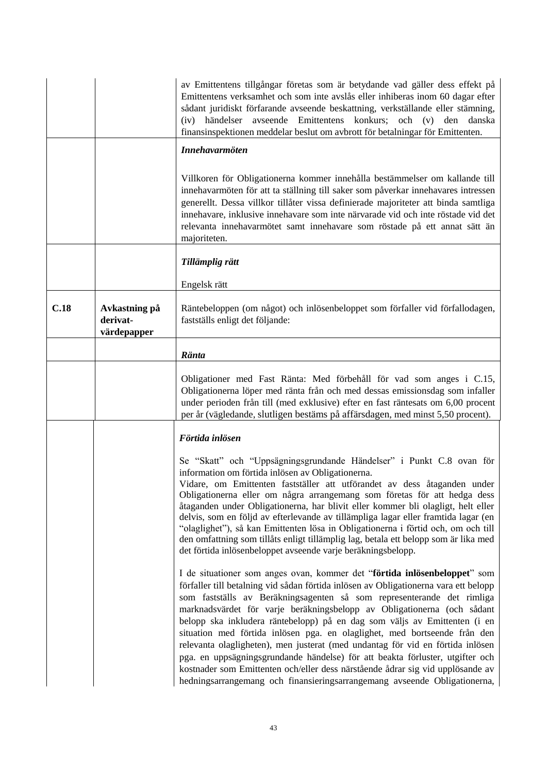|      |                                          | av Emittentens tillgångar företas som är betydande vad gäller dess effekt på<br>Emittentens verksamhet och som inte avslås eller inhiberas inom 60 dagar efter<br>sådant juridiskt förfarande avseende beskattning, verkställande eller stämning,<br>händelser<br>avseende<br>Emittentens<br>konkurs;<br>och<br>(v)<br>den<br>danska<br>(iv)<br>finansinspektionen meddelar beslut om avbrott för betalningar för Emittenten.                                                                                                                                                                                                                                                                                                                                                                                      |
|------|------------------------------------------|--------------------------------------------------------------------------------------------------------------------------------------------------------------------------------------------------------------------------------------------------------------------------------------------------------------------------------------------------------------------------------------------------------------------------------------------------------------------------------------------------------------------------------------------------------------------------------------------------------------------------------------------------------------------------------------------------------------------------------------------------------------------------------------------------------------------|
|      |                                          | <b>Innehavarmöten</b>                                                                                                                                                                                                                                                                                                                                                                                                                                                                                                                                                                                                                                                                                                                                                                                              |
|      |                                          | Villkoren för Obligationerna kommer innehålla bestämmelser om kallande till<br>innehavarmöten för att ta ställning till saker som påverkar innehavares intressen<br>generellt. Dessa villkor tillåter vissa definierade majoriteter att binda samtliga<br>innehavare, inklusive innehavare som inte närvarade vid och inte röstade vid det<br>relevanta innehavarmötet samt innehavare som röstade på ett annat sätt än<br>majoriteten.                                                                                                                                                                                                                                                                                                                                                                            |
|      |                                          | Tillämplig rätt                                                                                                                                                                                                                                                                                                                                                                                                                                                                                                                                                                                                                                                                                                                                                                                                    |
|      |                                          | Engelsk rätt                                                                                                                                                                                                                                                                                                                                                                                                                                                                                                                                                                                                                                                                                                                                                                                                       |
| C.18 | Avkastning på<br>derivat-<br>värdepapper | Räntebeloppen (om något) och inlösenbeloppet som förfaller vid förfallodagen,<br>fastställs enligt det följande:                                                                                                                                                                                                                                                                                                                                                                                                                                                                                                                                                                                                                                                                                                   |
|      |                                          | Ränta                                                                                                                                                                                                                                                                                                                                                                                                                                                                                                                                                                                                                                                                                                                                                                                                              |
|      |                                          | Obligationer med Fast Ränta: Med förbehåll för vad som anges i C.15,<br>Obligationerna löper med ränta från och med dessas emissionsdag som infaller<br>under perioden från till (med exklusive) efter en fast räntesats om 6,00 procent<br>per år (vägledande, slutligen bestäms på affärsdagen, med minst 5,50 procent).                                                                                                                                                                                                                                                                                                                                                                                                                                                                                         |
|      |                                          | Förtida inlösen                                                                                                                                                                                                                                                                                                                                                                                                                                                                                                                                                                                                                                                                                                                                                                                                    |
|      |                                          | Se "Skatt" och "Uppsägningsgrundande Händelser" i Punkt C.8 ovan för<br>information om förtida inlösen av Obligationerna.<br>Vidare, om Emittenten fastställer att utförandet av dess åtaganden under<br>Obligationerna eller om några arrangemang som företas för att hedga dess<br>åtaganden under Obligationerna, har blivit eller kommer bli olagligt, helt eller<br>delvis, som en följd av efterlevande av tillämpliga lagar eller framtida lagar (en<br>"olaglighet"), så kan Emittenten lösa in Obligationerna i förtid och, om och till<br>den omfattning som tillåts enligt tillämplig lag, betala ett belopp som är lika med<br>det förtida inlösenbeloppet avseende varje beräkningsbelopp.                                                                                                            |
|      |                                          | I de situationer som anges ovan, kommer det "förtida inlösenbeloppet" som<br>förfaller till betalning vid sådan förtida inlösen av Obligationerna vara ett belopp<br>som fastställs av Beräkningsagenten så som representerande det rimliga<br>marknadsvärdet för varje beräkningsbelopp av Obligationerna (och sådant<br>belopp ska inkludera räntebelopp) på en dag som väljs av Emittenten (i en<br>situation med förtida inlösen pga. en olaglighet, med bortseende från den<br>relevanta olagligheten), men justerat (med undantag för vid en förtida inlösen<br>pga. en uppsägningsgrundande händelse) för att beakta förluster, utgifter och<br>kostnader som Emittenten och/eller dess närstående ådrar sig vid upplösande av<br>hedningsarrangemang och finansieringsarrangemang avseende Obligationerna, |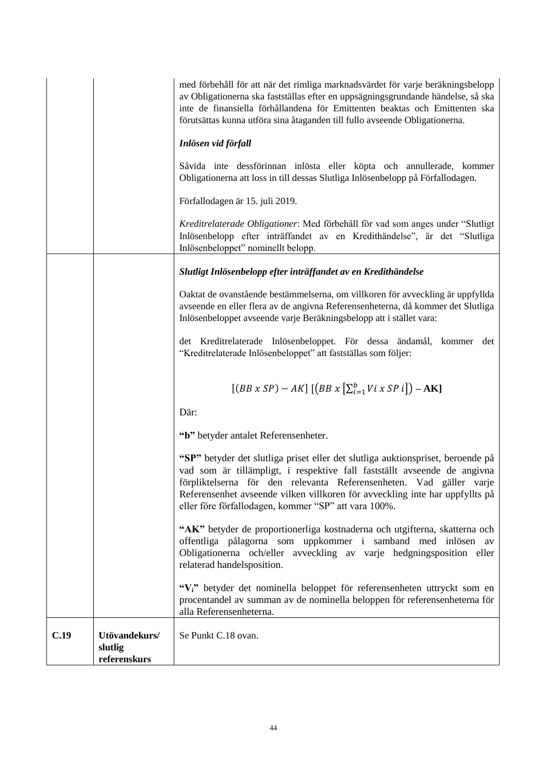|      |                                          | med förbehåll för att när det rimliga marknadsvärdet för varje beräkningsbelopp<br>av Obligationerna ska fastställas efter en uppsägningsgrundande händelse, så ska<br>inte de finansiella förhållandena för Emittenten beaktas och Emittenten ska<br>förutsättas kunna utföra sina åtaganden till fullo avseende Obligationerna.                                          |
|------|------------------------------------------|----------------------------------------------------------------------------------------------------------------------------------------------------------------------------------------------------------------------------------------------------------------------------------------------------------------------------------------------------------------------------|
|      |                                          | Inlösen vid förfall                                                                                                                                                                                                                                                                                                                                                        |
|      |                                          | Såvida inte dessförinnan inlösta eller köpta och annullerade, kommer<br>Obligationerna att loss in till dessas Slutliga Inlösenbelopp på Förfallodagen.                                                                                                                                                                                                                    |
|      |                                          | Förfallodagen är 15. juli 2019.                                                                                                                                                                                                                                                                                                                                            |
|      |                                          | Kreditrelaterade Obligationer: Med förbehåll för vad som anges under "Slutligt"<br>Inlösenbelopp efter inträffandet av en Kredithändelse", är det "Slutliga<br>Inlösenbeloppet" nominellt belopp.                                                                                                                                                                          |
|      |                                          | Slutligt Inlösenbelopp efter inträffandet av en Kredithändelse                                                                                                                                                                                                                                                                                                             |
|      |                                          | Oaktat de ovanstående bestämmelserna, om villkoren för avveckling är uppfyllda<br>avseende en eller flera av de angivna Referensenheterna, då kommer det Slutliga<br>Inlösenbeloppet avseende varje Beräkningsbelopp att i stället vara:                                                                                                                                   |
|      |                                          | det Kreditrelaterade Inlösenbeloppet. För dessa ändamål, kommer det<br>"Kreditrelaterade Inlösenbeloppet" att fastställas som följer:                                                                                                                                                                                                                                      |
|      |                                          | $[(BB \times SP) - AK]$ $[(BB \times [\sum_{i=1}^{b} Vi \times SP i]) - AK]$                                                                                                                                                                                                                                                                                               |
|      |                                          | Där:                                                                                                                                                                                                                                                                                                                                                                       |
|      |                                          | "b" betyder antalet Referensenheter.                                                                                                                                                                                                                                                                                                                                       |
|      |                                          | "SP" betyder det slutliga priset eller det slutliga auktionspriset, beroende på<br>vad som är tillämpligt, i respektive fall fastställt avseende de angivna<br>förpliktelserna för den relevanta Referensenheten. Vad gäller varje<br>Referensenhet avseende vilken villkoren för avveckling inte har uppfyllts på<br>eller före förfallodagen, kommer "SP" att vara 100%. |
|      |                                          | "AK" betyder de proportionerliga kostnaderna och utgifterna, skatterna och<br>offentliga pålagorna som uppkommer i samband med inlösen av<br>Obligationerna och/eller avveckling av varje hedgningsposition eller<br>relaterad handelsposition.                                                                                                                            |
|      |                                          | "Vi" betyder det nominella beloppet för referensenheten uttryckt som en<br>procentandel av summan av de nominella beloppen för referensenheterna för<br>alla Referensenheterna.                                                                                                                                                                                            |
| C.19 | Utövandekurs/<br>slutlig<br>referenskurs | Se Punkt C.18 ovan.                                                                                                                                                                                                                                                                                                                                                        |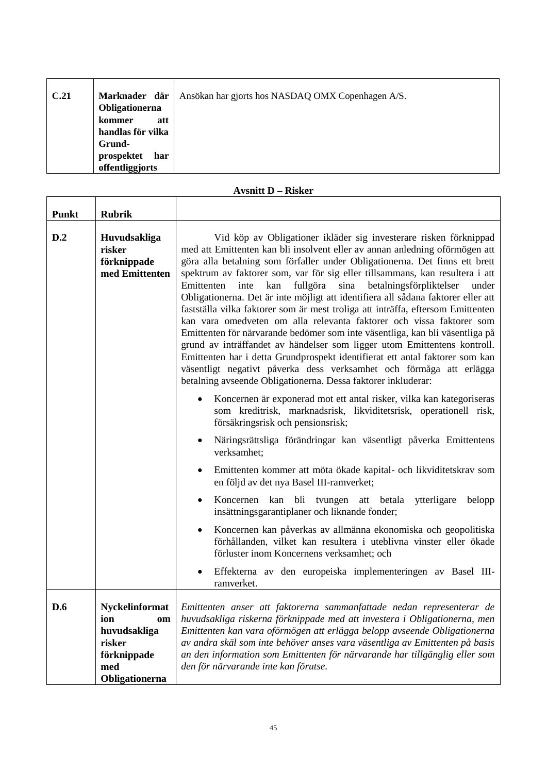| C.21 | Marknader där     | Ansökan har gjorts hos NASDAQ OMX Copenhagen A/S. |
|------|-------------------|---------------------------------------------------|
|      | Obligationerna    |                                                   |
|      | att<br>kommer     |                                                   |
|      | handlas för vilka |                                                   |
|      | Grund-            |                                                   |
|      | prospektet<br>har |                                                   |
|      | offentliggjorts   |                                                   |

# **Avsnitt D – Risker**

 $\overline{\mathsf{T}}$ 

 $\overline{\mathsf{T}}$ 

| <b>Punkt</b> | <b>Rubrik</b>                                                                                        |                                                                                                                                                                                                                                                                                                                                                                                                                                                                                                                                                                                                                                                                                                                                                                                                                                                                                                                                                                                                                                 |
|--------------|------------------------------------------------------------------------------------------------------|---------------------------------------------------------------------------------------------------------------------------------------------------------------------------------------------------------------------------------------------------------------------------------------------------------------------------------------------------------------------------------------------------------------------------------------------------------------------------------------------------------------------------------------------------------------------------------------------------------------------------------------------------------------------------------------------------------------------------------------------------------------------------------------------------------------------------------------------------------------------------------------------------------------------------------------------------------------------------------------------------------------------------------|
| D.2          | Huvudsakliga<br>risker<br>förknippade<br>med Emittenten                                              | Vid köp av Obligationer ikläder sig investerare risken förknippad<br>med att Emittenten kan bli insolvent eller av annan anledning oförmögen att<br>göra alla betalning som förfaller under Obligationerna. Det finns ett brett<br>spektrum av faktorer som, var för sig eller tillsammans, kan resultera i att<br>fullgöra sina betalningsförpliktelser<br>inte kan<br>Emittenten<br>under<br>Obligationerna. Det är inte möjligt att identifiera all sådana faktorer eller att<br>fastställa vilka faktorer som är mest troliga att inträffa, eftersom Emittenten<br>kan vara omedveten om alla relevanta faktorer och vissa faktorer som<br>Emittenten för närvarande bedömer som inte väsentliga, kan bli väsentliga på<br>grund av inträffandet av händelser som ligger utom Emittentens kontroll.<br>Emittenten har i detta Grundprospekt identifierat ett antal faktorer som kan<br>väsentligt negativt påverka dess verksamhet och förmåga att erlägga<br>betalning avseende Obligationerna. Dessa faktorer inkluderar: |
|              |                                                                                                      | Koncernen är exponerad mot ett antal risker, vilka kan kategoriseras<br>som kreditrisk, marknadsrisk, likviditetsrisk, operationell risk,<br>försäkringsrisk och pensionsrisk;                                                                                                                                                                                                                                                                                                                                                                                                                                                                                                                                                                                                                                                                                                                                                                                                                                                  |
|              |                                                                                                      | Näringsrättsliga förändringar kan väsentligt påverka Emittentens<br>verksamhet;                                                                                                                                                                                                                                                                                                                                                                                                                                                                                                                                                                                                                                                                                                                                                                                                                                                                                                                                                 |
|              |                                                                                                      | Emittenten kommer att möta ökade kapital- och likviditetskrav som<br>en följd av det nya Basel III-ramverket;                                                                                                                                                                                                                                                                                                                                                                                                                                                                                                                                                                                                                                                                                                                                                                                                                                                                                                                   |
|              |                                                                                                      | Koncernen kan bli tvungen att betala ytterligare<br>belopp<br>٠<br>insättningsgarantiplaner och liknande fonder;                                                                                                                                                                                                                                                                                                                                                                                                                                                                                                                                                                                                                                                                                                                                                                                                                                                                                                                |
|              |                                                                                                      | Koncernen kan påverkas av allmänna ekonomiska och geopolitiska<br>förhållanden, vilket kan resultera i uteblivna vinster eller ökade<br>förluster inom Koncernens verksamhet; och                                                                                                                                                                                                                                                                                                                                                                                                                                                                                                                                                                                                                                                                                                                                                                                                                                               |
|              |                                                                                                      | Effekterna av den europeiska implementeringen av Basel III-<br>ramverket.                                                                                                                                                                                                                                                                                                                                                                                                                                                                                                                                                                                                                                                                                                                                                                                                                                                                                                                                                       |
| D.6          | <b>Nyckelinformat</b><br>ion<br>om<br>huvudsakliga<br>risker<br>förknippade<br>med<br>Obligationerna | Emittenten anser att faktorerna sammanfattade nedan representerar de<br>huvudsakliga riskerna förknippade med att investera i Obligationerna, men<br>Emittenten kan vara oförmögen att erlägga belopp avseende Obligationerna<br>av andra skäl som inte behöver anses vara väsentliga av Emittenten på basis<br>an den information som Emittenten för närvarande har tillgänglig eller som<br>den för närvarande inte kan förutse.                                                                                                                                                                                                                                                                                                                                                                                                                                                                                                                                                                                              |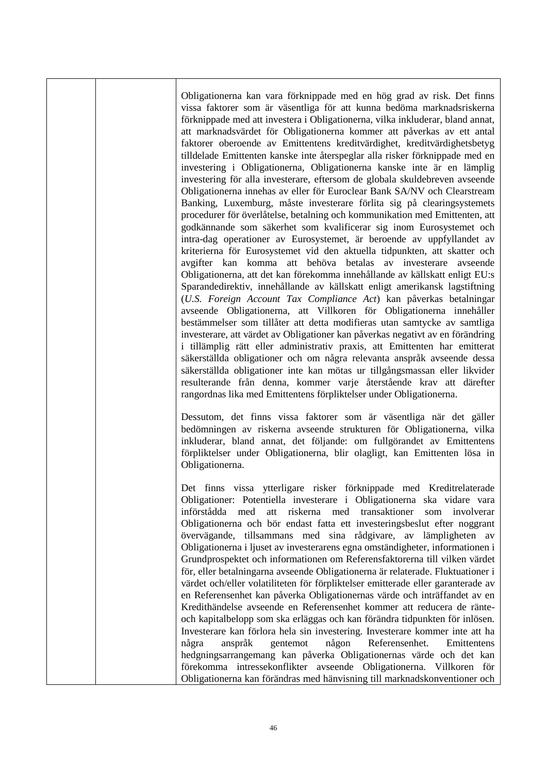Obligationerna kan vara förknippade med en hög grad av risk. Det finns vissa faktorer som är väsentliga för att kunna bedöma marknadsriskerna förknippade med att investera i Obligationerna, vilka inkluderar, bland annat, att marknadsvärdet för Obligationerna kommer att påverkas av ett antal faktorer oberoende av Emittentens kreditvärdighet, kreditvärdighetsbetyg tilldelade Emittenten kanske inte återspeglar alla risker förknippade med en investering i Obligationerna, Obligationerna kanske inte är en lämplig investering för alla investerare, eftersom de globala skuldebreven avseende Obligationerna innehas av eller för Euroclear Bank SA/NV och Clearstream Banking, Luxemburg, måste investerare förlita sig på clearingsystemets procedurer för överlåtelse, betalning och kommunikation med Emittenten, att godkännande som säkerhet som kvalificerar sig inom Eurosystemet och intra-dag operationer av Eurosystemet, är beroende av uppfyllandet av kriterierna för Eurosystemet vid den aktuella tidpunkten, att skatter och avgifter kan komma att behöva betalas av investerare avseende Obligationerna, att det kan förekomma innehållande av källskatt enligt EU:s Sparandedirektiv, innehållande av källskatt enligt amerikansk lagstiftning (*U.S. Foreign Account Tax Compliance Act*) kan påverkas betalningar avseende Obligationerna, att Villkoren för Obligationerna innehåller bestämmelser som tillåter att detta modifieras utan samtycke av samtliga investerare, att värdet av Obligationer kan påverkas negativt av en förändring i tillämplig rätt eller administrativ praxis, att Emittenten har emitterat säkerställda obligationer och om några relevanta anspråk avseende dessa säkerställda obligationer inte kan mötas ur tillgångsmassan eller likvider resulterande från denna, kommer varje återstående krav att därefter rangordnas lika med Emittentens förpliktelser under Obligationerna.

Dessutom, det finns vissa faktorer som är väsentliga när det gäller bedömningen av riskerna avseende strukturen för Obligationerna, vilka inkluderar, bland annat, det följande: om fullgörandet av Emittentens förpliktelser under Obligationerna, blir olagligt, kan Emittenten lösa in Obligationerna.

Det finns vissa ytterligare risker förknippade med Kreditrelaterade Obligationer: Potentiella investerare i Obligationerna ska vidare vara införstådda med att riskerna med transaktioner som involverar Obligationerna och bör endast fatta ett investeringsbeslut efter noggrant övervägande, tillsammans med sina rådgivare, av lämpligheten av Obligationerna i ljuset av investerarens egna omständigheter, informationen i Grundprospektet och informationen om Referensfaktorerna till vilken värdet för, eller betalningarna avseende Obligationerna är relaterade. Fluktuationer i värdet och/eller volatiliteten för förpliktelser emitterade eller garanterade av en Referensenhet kan påverka Obligationernas värde och inträffandet av en Kredithändelse avseende en Referensenhet kommer att reducera de ränteoch kapitalbelopp som ska erläggas och kan förändra tidpunkten för inlösen. Investerare kan förlora hela sin investering. Investerare kommer inte att ha några anspråk gentemot någon Referensenhet. Emittentens hedgningsarrangemang kan påverka Obligationernas värde och det kan förekomma intressekonflikter avseende Obligationerna. Villkoren för Obligationerna kan förändras med hänvisning till marknadskonventioner och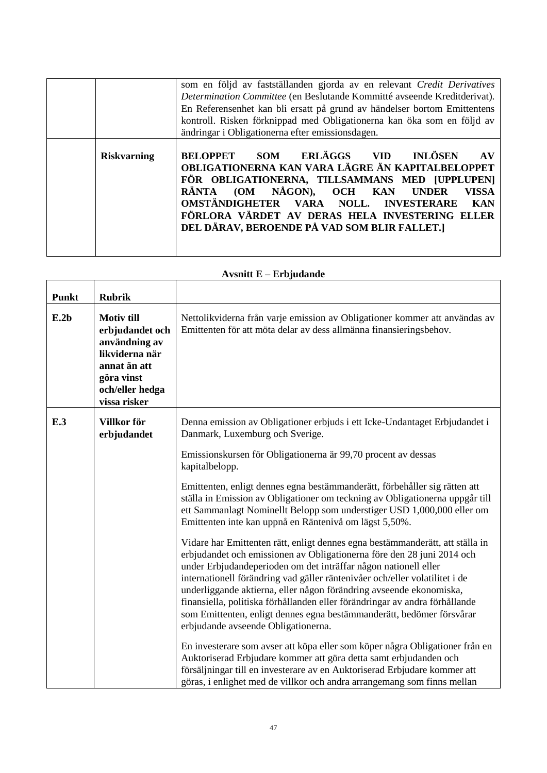|                    | som en följd av fastställanden gjorda av en relevant Credit Derivatives<br>Determination Committee (en Beslutande Kommitté avseende Kreditderivat).<br>En Referensenhet kan bli ersatt på grund av händelser bortom Emittentens<br>kontroll. Risken förknippad med Obligationerna kan öka som en följd av<br>ändringar i Obligationerna efter emissionsdagen.                                                            |
|--------------------|--------------------------------------------------------------------------------------------------------------------------------------------------------------------------------------------------------------------------------------------------------------------------------------------------------------------------------------------------------------------------------------------------------------------------|
| <b>Riskvarning</b> | ERLÄGGS<br><b>INLÖSEN</b><br><b>SOM</b><br><b>BELOPPET</b><br>VID)<br><b>AV</b><br>OBLIGATIONERNA KAN VARA LÄGRE ÄN KAPITALBELOPPET<br>FÖR OBLIGATIONERNA, TILLSAMMANS MED [UPPLUPEN]<br>(OM NÅGON), OCH KAN<br>RÄNTA<br><b>UNDER</b><br><b>VISSA</b><br>OMSTÄNDIGHETER VARA NOLL.<br><b>INVESTERARE</b><br><b>KAN</b><br>FÖRLORA VÄRDET AV DERAS HELA INVESTERING ELLER<br>DEL DÄRAV, BEROENDE PÅ VAD SOM BLIR FALLET.] |

| <b>Punkt</b> | <b>Rubrik</b>                                                                                                                            |                                                                                                                                                                                                                                                                                                                                                                                                                                                                                                                                                                                                                                                                                                                                                                                                                                                                                                                                                                                                                                                                                                                                                                                                                                                                                                                                                                                                    |
|--------------|------------------------------------------------------------------------------------------------------------------------------------------|----------------------------------------------------------------------------------------------------------------------------------------------------------------------------------------------------------------------------------------------------------------------------------------------------------------------------------------------------------------------------------------------------------------------------------------------------------------------------------------------------------------------------------------------------------------------------------------------------------------------------------------------------------------------------------------------------------------------------------------------------------------------------------------------------------------------------------------------------------------------------------------------------------------------------------------------------------------------------------------------------------------------------------------------------------------------------------------------------------------------------------------------------------------------------------------------------------------------------------------------------------------------------------------------------------------------------------------------------------------------------------------------------|
| E.2b         | <b>Motiv till</b><br>erbjudandet och<br>användning av<br>likviderna när<br>annat än att<br>göra vinst<br>och/eller hedga<br>vissa risker | Nettolikviderna från varje emission av Obligationer kommer att användas av<br>Emittenten för att möta delar av dess allmänna finansieringsbehov.                                                                                                                                                                                                                                                                                                                                                                                                                                                                                                                                                                                                                                                                                                                                                                                                                                                                                                                                                                                                                                                                                                                                                                                                                                                   |
| E.3          | Villkor för<br>erbjudandet                                                                                                               | Denna emission av Obligationer erbjuds i ett Icke-Undantaget Erbjudandet i<br>Danmark, Luxemburg och Sverige.<br>Emissionskursen för Obligationerna är 99,70 procent av dessas<br>kapitalbelopp.<br>Emittenten, enligt dennes egna bestämmanderätt, förbehåller sig rätten att<br>ställa in Emission av Obligationer om teckning av Obligationerna uppgår till<br>ett Sammanlagt Nominellt Belopp som understiger USD 1,000,000 eller om<br>Emittenten inte kan uppnå en Räntenivå om lägst 5,50%.<br>Vidare har Emittenten rätt, enligt dennes egna bestämmanderätt, att ställa in<br>erbjudandet och emissionen av Obligationerna före den 28 juni 2014 och<br>under Erbjudandeperioden om det inträffar någon nationell eller<br>internationell förändring vad gäller räntenivåer och/eller volatilitet i de<br>underliggande aktierna, eller någon förändring avseende ekonomiska,<br>finansiella, politiska förhållanden eller förändringar av andra förhållande<br>som Emittenten, enligt dennes egna bestämmanderätt, bedömer försvårar<br>erbjudande avseende Obligationerna.<br>En investerare som avser att köpa eller som köper några Obligationer från en<br>Auktoriserad Erbjudare kommer att göra detta samt erbjudanden och<br>försäljningar till en investerare av en Auktoriserad Erbjudare kommer att<br>göras, i enlighet med de villkor och andra arrangemang som finns mellan |

## **Avsnitt E – Erbjudande**